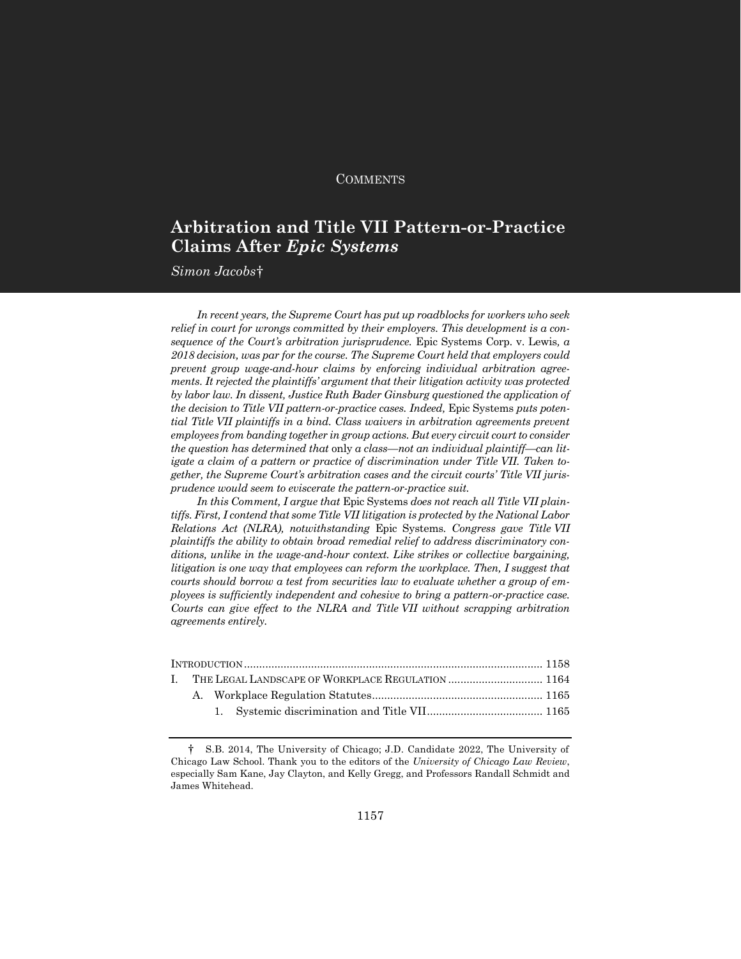## **COMMENTS**

# **Arbitration and Title VII Pattern-or-Practice Claims After** *Epic Systems*

 $Simon \: Jacobs†$ 

*In recent years, the Supreme Court has put up roadblocks for workers who seek relief in court for wrongs committed by their employers. This development is a consequence of the Court's arbitration jurisprudence.* Epic Systems Corp. v. Lewis*, a 2018 decision, was par for the course. The Supreme Court held that employers could prevent group wage-and-hour claims by enforcing individual arbitration agreements. It rejected the plaintiffs' argument that their litigation activity was protected by labor law. In dissent, Justice Ruth Bader Ginsburg questioned the application of the decision to Title VII pattern-or-practice cases. Indeed,* Epic Systems *puts potential Title VII plaintiffs in a bind. Class waivers in arbitration agreements prevent employees from banding together in group actions. But every circuit court to consider the question has determined that* only *a class—not an individual plaintiff—can litigate a claim of a pattern or practice of discrimination under Title VII. Taken together, the Supreme Court's arbitration cases and the circuit courts' Title VII jurisprudence would seem to eviscerate the pattern-or-practice suit.*

*In this Comment, I argue that* Epic Systems *does not reach all Title VII plaintiffs. First, I contend that some Title VII litigation is protected by the National Labor Relations Act (NLRA), notwithstanding* Epic Systems*. Congress gave Title VII plaintiffs the ability to obtain broad remedial relief to address discriminatory conditions, unlike in the wage-and-hour context. Like strikes or collective bargaining, litigation is one way that employees can reform the workplace. Then, I suggest that courts should borrow a test from securities law to evaluate whether a group of employees is sufficiently independent and cohesive to bring a pattern-or-practice case. Courts can give effect to the NLRA and Title VII without scrapping arbitration agreements entirely.*

|  | I. THE LEGAL LANDSCAPE OF WORKPLACE REGULATION  1164 |  |
|--|------------------------------------------------------|--|
|  |                                                      |  |
|  |                                                      |  |
|  |                                                      |  |

<sup>†</sup> S.B. 2014, The University of Chicago; J.D. Candidate 2022, The University of Chicago Law School. Thank you to the editors of the *University of Chicago Law Review*, especially Sam Kane, Jay Clayton, and Kelly Gregg, and Professors Randall Schmidt and James Whitehead.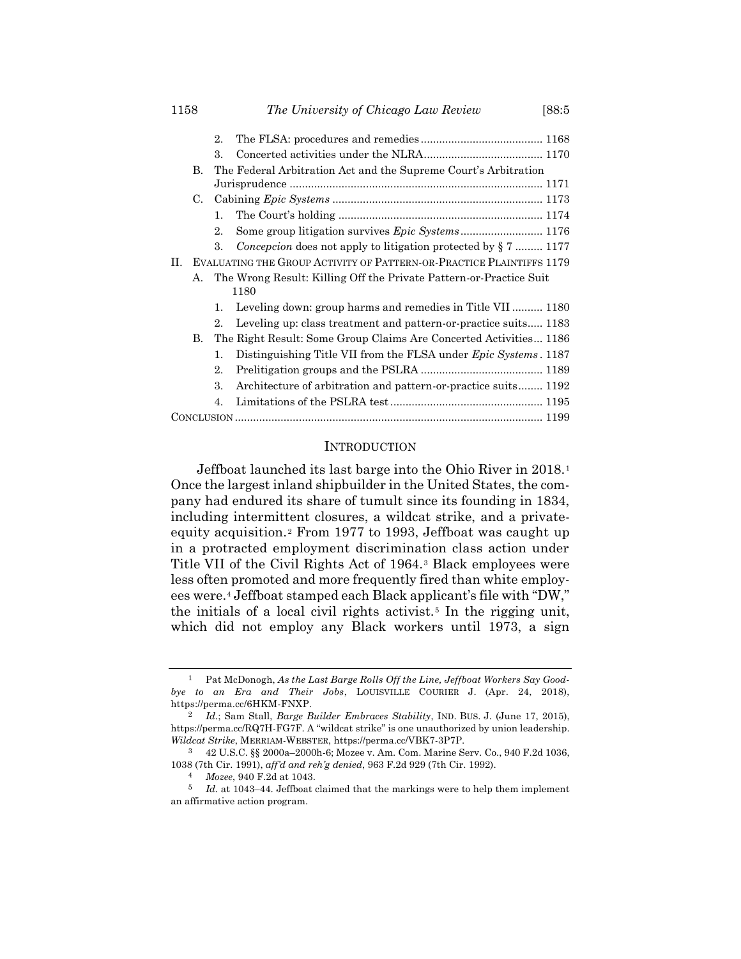|    |                                                                      | 2                                                               |                                                                         |  |  |  |  |
|----|----------------------------------------------------------------------|-----------------------------------------------------------------|-------------------------------------------------------------------------|--|--|--|--|
|    |                                                                      | 3.                                                              |                                                                         |  |  |  |  |
|    | B.                                                                   | The Federal Arbitration Act and the Supreme Court's Arbitration |                                                                         |  |  |  |  |
|    |                                                                      |                                                                 |                                                                         |  |  |  |  |
|    | C.                                                                   |                                                                 |                                                                         |  |  |  |  |
|    |                                                                      | 1.                                                              |                                                                         |  |  |  |  |
|    |                                                                      | 2.                                                              |                                                                         |  |  |  |  |
|    |                                                                      | 3.                                                              | <i>Concepcion</i> does not apply to litigation protected by $\S 7$ 1177 |  |  |  |  |
| H. | EVALUATING THE GROUP ACTIVITY OF PATTERN-OR-PRACTICE PLAINTIFFS 1179 |                                                                 |                                                                         |  |  |  |  |
|    | А.                                                                   |                                                                 | The Wrong Result: Killing Off the Private Pattern-or-Practice Suit      |  |  |  |  |
|    |                                                                      |                                                                 | 1180                                                                    |  |  |  |  |
|    |                                                                      | 1.                                                              | Leveling down: group harms and remedies in Title VII 1180               |  |  |  |  |
|    |                                                                      | 2.                                                              | Leveling up: class treatment and pattern-or-practice suits 1183         |  |  |  |  |
|    | B.                                                                   |                                                                 | The Right Result: Some Group Claims Are Concerted Activities 1186       |  |  |  |  |
|    |                                                                      | $\mathbf{1}$ .                                                  | Distinguishing Title VII from the FLSA under <i>Epic Systems</i> . 1187 |  |  |  |  |
|    |                                                                      | 2.                                                              |                                                                         |  |  |  |  |
|    |                                                                      | 3.                                                              | Architecture of arbitration and pattern-or-practice suits 1192          |  |  |  |  |
|    |                                                                      | 4.                                                              |                                                                         |  |  |  |  |
|    |                                                                      |                                                                 |                                                                         |  |  |  |  |

#### **INTRODUCTION**

Jeffboat launched its last barge into the Ohio River in 2018.<sup>1</sup> Once the largest inland shipbuilder in the United States, the company had endured its share of tumult since its founding in 1834, including intermittent closures, a wildcat strike, and a privateequity acquisition.<sup>2</sup> From 1977 to 1993, Jeffboat was caught up in a protracted employment discrimination class action under Title VII of the Civil Rights Act of 1964.<sup>3</sup> Black employees were less often promoted and more frequently fired than white employees were.<sup>4</sup> Jeffboat stamped each Black applicant's file with "DW," the initials of a local civil rights activist.<sup>5</sup> In the rigging unit, which did not employ any Black workers until 1973, a sign

<sup>1</sup> Pat McDonogh, *As the Last Barge Rolls Off the Line, Jeffboat Workers Say Goodbye to an Era and Their Jobs*, LOUISVILLE COURIER J. (Apr. 24, 2018), https://perma.cc/6HKM-FNXP.

<sup>2</sup> *Id.*; Sam Stall, *Barge Builder Embraces Stability*, IND. BUS. J. (June 17, 2015), https://perma.cc/RQ7H-FG7F. A "wildcat strike" is one unauthorized by union leadership. *Wildcat Strike*, MERRIAM-WEBSTER, https://perma.cc/VBK7-3P7P.

<sup>3</sup> 42 U.S.C. §§ 2000a–2000h-6; Mozee v. Am. Com. Marine Serv. Co., 940 F.2d 1036, 1038 (7th Cir. 1991), *aff'd and reh'g denied*, 963 F.2d 929 (7th Cir. 1992).

<sup>4</sup> *Mozee*, 940 F.2d at 1043.

<sup>5</sup> *Id.* at 1043–44. Jeffboat claimed that the markings were to help them implement an affirmative action program.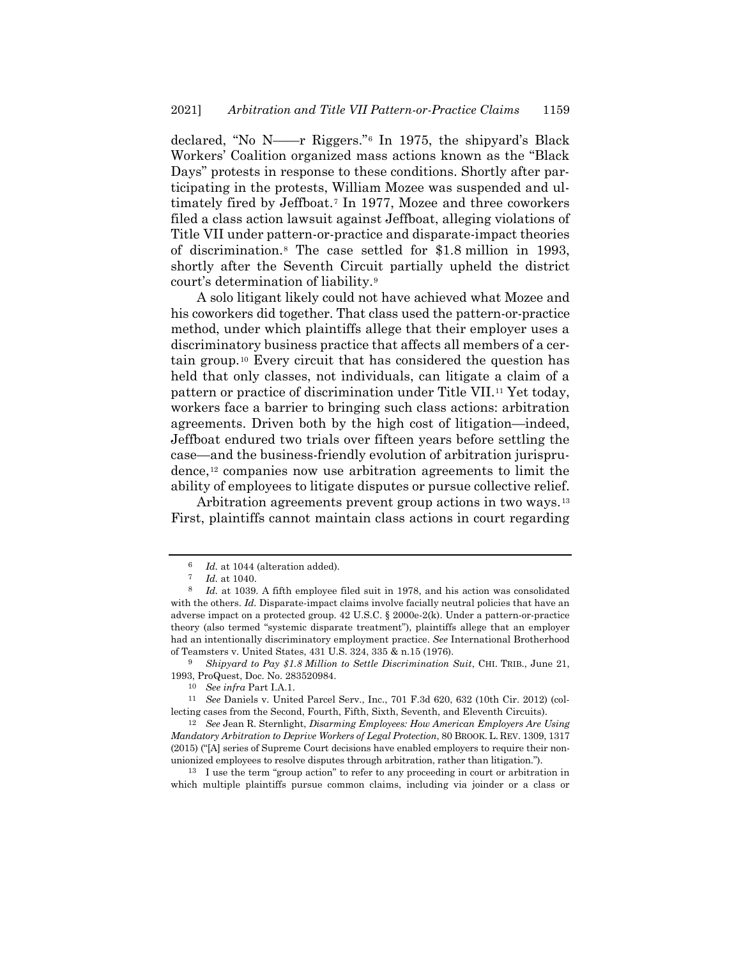declared, "No N——r Riggers."<sup>6</sup> In 1975, the shipyard's Black Workers' Coalition organized mass actions known as the "Black Days" protests in response to these conditions. Shortly after participating in the protests, William Mozee was suspended and ultimately fired by Jeffboat.<sup>7</sup> In 1977, Mozee and three coworkers filed a class action lawsuit against Jeffboat, alleging violations of Title VII under pattern-or-practice and disparate-impact theories of discrimination.<sup>8</sup> The case settled for \$1.8 million in 1993, shortly after the Seventh Circuit partially upheld the district court's determination of liability.<sup>9</sup>

A solo litigant likely could not have achieved what Mozee and his coworkers did together. That class used the pattern-or-practice method, under which plaintiffs allege that their employer uses a discriminatory business practice that affects all members of a certain group.<sup>10</sup> Every circuit that has considered the question has held that only classes, not individuals, can litigate a claim of a pattern or practice of discrimination under Title VII.<sup>11</sup> Yet today, workers face a barrier to bringing such class actions: arbitration agreements. Driven both by the high cost of litigation—indeed, Jeffboat endured two trials over fifteen years before settling the case—and the business-friendly evolution of arbitration jurisprudence,<sup>12</sup> companies now use arbitration agreements to limit the ability of employees to litigate disputes or pursue collective relief.

<span id="page-2-0"></span>Arbitration agreements prevent group actions in two ways.<sup>13</sup> First, plaintiffs cannot maintain class actions in court regarding

<sup>13</sup> I use the term "group action" to refer to any proceeding in court or arbitration in which multiple plaintiffs pursue common claims, including via joinder or a class or

 $\frac{6}{7}$  *Id.* at 1044 (alteration added).

*Id.* at 1040.

<sup>8</sup> *Id.* at 1039. A fifth employee filed suit in 1978, and his action was consolidated with the others. *Id.* Disparate-impact claims involve facially neutral policies that have an adverse impact on a protected group.  $42$  U.S.C.  $\S$  2000e-2(k). Under a pattern-or-practice theory (also termed "systemic disparate treatment"), plaintiffs allege that an employer had an intentionally discriminatory employment practice. *See* International Brotherhood of Teamsters v. United States, 431 U.S. 324, 335 & n.15 (1976).

<sup>9</sup> *Shipyard to Pay \$1.8 Million to Settle Discrimination Suit*, CHI. TRIB., June 21, 1993, ProQuest, Doc. No. 283520984.

<sup>10</sup> *See infra* Part I.A.1.

<sup>11</sup> *See* Daniels v. United Parcel Serv., Inc., 701 F.3d 620, 632 (10th Cir. 2012) (collecting cases from the Second, Fourth, Fifth, Sixth, Seventh, and Eleventh Circuits).

<sup>12</sup> *See* Jean R. Sternlight, *Disarming Employees: How American Employers Are Using Mandatory Arbitration to Deprive Workers of Legal Protection*, 80 BROOK. L. REV. 1309, 1317 (2015) ("[A] series of Supreme Court decisions have enabled employers to require their nonunionized employees to resolve disputes through arbitration, rather than litigation.").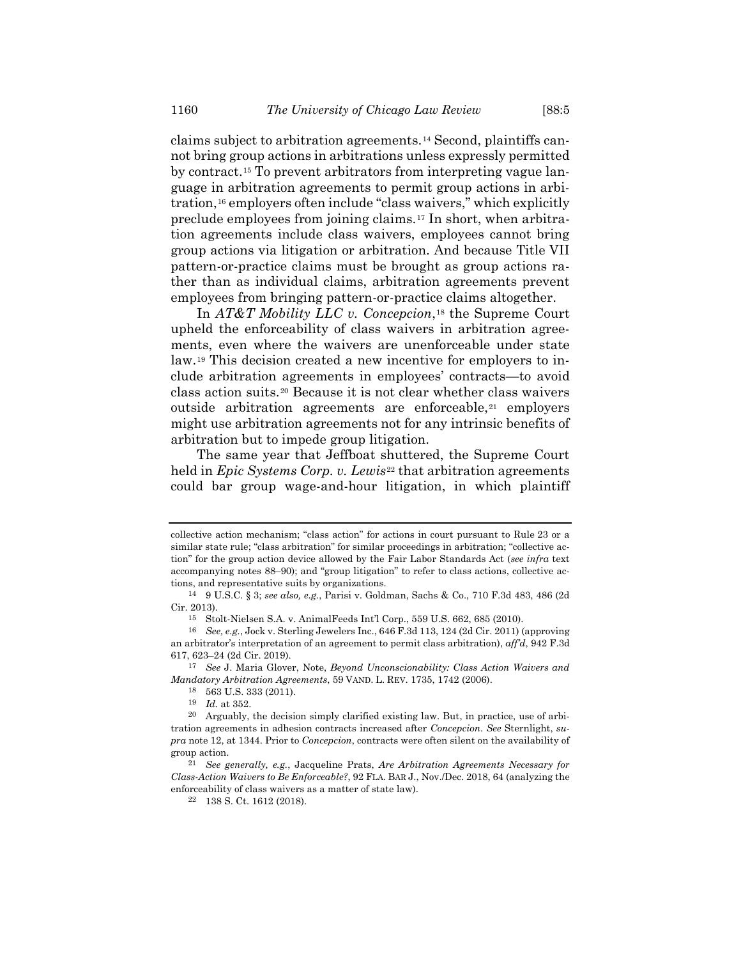claims subject to arbitration agreements.<sup>14</sup> Second, plaintiffs cannot bring group actions in arbitrations unless expressly permitted by contract.<sup>15</sup> To prevent arbitrators from interpreting vague language in arbitration agreements to permit group actions in arbitration,<sup>16</sup> employers often include "class waivers," which explicitly preclude employees from joining claims.<sup>17</sup> In short, when arbitration agreements include class waivers, employees cannot bring group actions via litigation or arbitration. And because Title VII pattern-or-practice claims must be brought as group actions rather than as individual claims, arbitration agreements prevent employees from bringing pattern-or-practice claims altogether.

In *AT&T Mobility LLC v. Concepcion*,<sup>18</sup> the Supreme Court upheld the enforceability of class waivers in arbitration agreements, even where the waivers are unenforceable under state law.<sup>19</sup> This decision created a new incentive for employers to include arbitration agreements in employees' contracts—to avoid class action suits.<sup>20</sup> Because it is not clear whether class waivers outside arbitration agreements are enforceable,<sup>21</sup> employers might use arbitration agreements not for any intrinsic benefits of arbitration but to impede group litigation.

The same year that Jeffboat shuttered, the Supreme Court held in *Epic Systems Corp. v. Lewis*<sup>22</sup> that arbitration agreements could bar group wage-and-hour litigation, in which plaintiff

collective action mechanism; "class action" for actions in court pursuant to Rule 23 or a similar state rule; "class arbitration" for similar proceedings in arbitration; "collective action" for the group action device allowed by the Fair Labor Standards Act (*see infra* text accompanying note[s 88](#page-12-0)–[90\)](#page-12-1); and "group litigation" to refer to class actions, collective actions, and representative suits by organizations.

<sup>14</sup> 9 U.S.C. § 3; *see also, e.g.*, Parisi v. Goldman, Sachs & Co., 710 F.3d 483, 486 (2d Cir. 2013).

<sup>15</sup> Stolt-Nielsen S.A. v. AnimalFeeds Int'l Corp., 559 U.S. 662, 685 (2010).

<sup>16</sup> *See, e.g.*, Jock v. Sterling Jewelers Inc., 646 F.3d 113, 124 (2d Cir. 2011) (approving an arbitrator's interpretation of an agreement to permit class arbitration), *aff'd*, 942 F.3d 617, 623–24 (2d Cir. 2019).

<sup>17</sup> *See* J. Maria Glover, Note, *Beyond Unconscionability: Class Action Waivers and Mandatory Arbitration Agreements*, 59 VAND. L. REV. 1735, 1742 (2006).

<sup>18</sup> 563 U.S. 333 (2011).

<sup>19</sup> *Id.* at 352.

<sup>&</sup>lt;sup>20</sup> Arguably, the decision simply clarified existing law. But, in practice, use of arbitration agreements in adhesion contracts increased after *Concepcion*. *See* Sternlight, *supra* note [12,](#page-2-0) at 1344. Prior to *Concepcion*, contracts were often silent on the availability of group action.

<sup>21</sup> *See generally, e.g.*, Jacqueline Prats, *Are Arbitration Agreements Necessary for Class-Action Waivers to Be Enforceable?*, 92 FLA. BAR J., Nov./Dec. 2018, 64 (analyzing the enforceability of class waivers as a matter of state law).

<sup>22</sup> 138 S. Ct. 1612 (2018).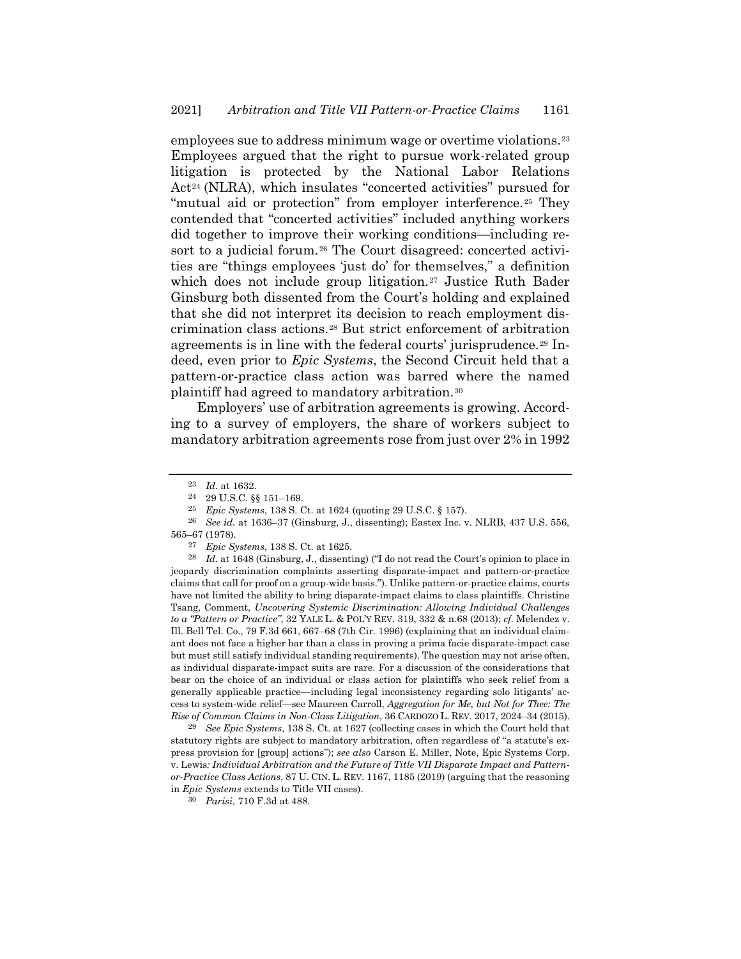employees sue to address minimum wage or overtime violations.<sup>23</sup> Employees argued that the right to pursue work-related group litigation is protected by the National Labor Relations Act<sup>24</sup> (NLRA), which insulates "concerted activities" pursued for "mutual aid or protection" from employer interference.<sup>25</sup> They contended that "concerted activities" included anything workers did together to improve their working conditions—including resort to a judicial forum.<sup>26</sup> The Court disagreed: concerted activities are "things employees 'just do' for themselves," a definition which does not include group litigation.<sup>27</sup> Justice Ruth Bader Ginsburg both dissented from the Court's holding and explained that she did not interpret its decision to reach employment discrimination class actions.<sup>28</sup> But strict enforcement of arbitration agreements is in line with the federal courts' jurisprudence.<sup>29</sup> Indeed, even prior to *Epic Systems*, the Second Circuit held that a pattern-or-practice class action was barred where the named plaintiff had agreed to mandatory arbitration.<sup>30</sup>

<span id="page-4-1"></span><span id="page-4-0"></span>Employers' use of arbitration agreements is growing. According to a survey of employers, the share of workers subject to mandatory arbitration agreements rose from just over 2% in 1992

29 *See Epic Systems*, 138 S. Ct. at 1627 (collecting cases in which the Court held that statutory rights are subject to mandatory arbitration, often regardless of "a statute's express provision for [group] actions"); *see also* Carson E. Miller, Note, Epic Systems Corp. v. Lewis*: Individual Arbitration and the Future of Title VII Disparate Impact and Patternor-Practice Class Actions*, 87 U. CIN. L. REV. 1167, 1185 (2019) (arguing that the reasoning in *Epic Systems* extends to Title VII cases).

<sup>23</sup> *Id.* at 1632.

<sup>24</sup> 29 U.S.C. §§ 151–169.

<sup>25</sup> *Epic Systems*, 138 S. Ct. at 1624 (quoting 29 U.S.C. § 157).

<sup>26</sup> *See id.* at 1636–37 (Ginsburg, J., dissenting); Eastex Inc. v. NLRB, 437 U.S. 556, 565–67 (1978).

<sup>27</sup> *Epic Systems*, 138 S. Ct. at 1625.

<sup>28</sup> *Id.* at 1648 (Ginsburg, J., dissenting) ("I do not read the Court's opinion to place in jeopardy discrimination complaints asserting disparate-impact and pattern-or-practice claims that call for proof on a group-wide basis."). Unlike pattern-or-practice claims, courts have not limited the ability to bring disparate-impact claims to class plaintiffs. Christine Tsang, Comment, *Uncovering Systemic Discrimination: Allowing Individual Challenges to a "Pattern or Practice"*, 32 YALE L. & POL'Y REV. 319, 332 & n.68 (2013); *cf.* Melendez v. Ill. Bell Tel. Co., 79 F.3d 661, 667–68 (7th Cir. 1996) (explaining that an individual claimant does not face a higher bar than a class in proving a prima facie disparate-impact case but must still satisfy individual standing requirements). The question may not arise often, as individual disparate-impact suits are rare. For a discussion of the considerations that bear on the choice of an individual or class action for plaintiffs who seek relief from a generally applicable practice—including legal inconsistency regarding solo litigants' access to system-wide relief—see Maureen Carroll, *Aggregation for Me, but Not for Thee: The Rise of Common Claims in Non-Class Litigation*, 36 CARDOZO L. REV. 2017, 2024–34 (2015).

<sup>30</sup> *Parisi*, 710 F.3d at 488.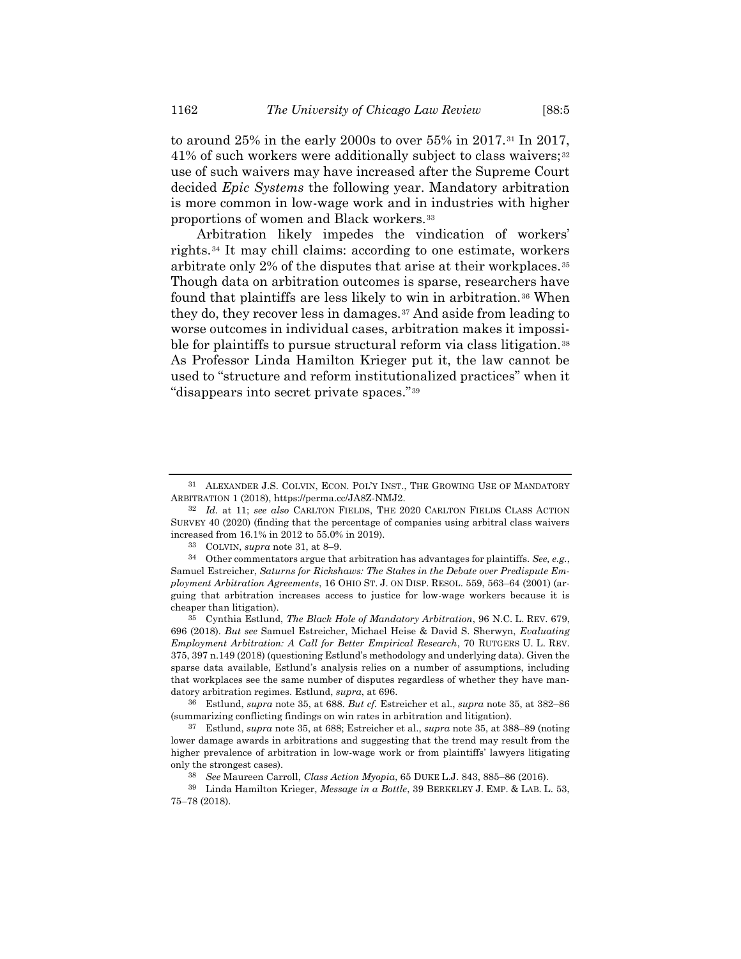<span id="page-5-3"></span>to around 25% in the early 2000s to over 55% in 2017.<sup>31</sup> In 2017, 41% of such workers were additionally subject to class waivers;<sup>32</sup> use of such waivers may have increased after the Supreme Court decided *Epic Systems* the following year. Mandatory arbitration is more common in low-wage work and in industries with higher proportions of women and Black workers.*3F* 33

<span id="page-5-1"></span>Arbitration likely impedes the vindication of workers' rights.<sup>34</sup> It may chill claims: according to one estimate, workers arbitrate only 2% of the disputes that arise at their workplaces.<sup>35</sup> Though data on arbitration outcomes is sparse, researchers have found that plaintiffs are less likely to win in arbitration.<sup>36</sup> When they do, they recover less in damages.<sup>37</sup> And aside from leading to worse outcomes in individual cases, arbitration makes it impossible for plaintiffs to pursue structural reform via class litigation.<sup>38</sup> As Professor Linda Hamilton Krieger put it, the law cannot be used to "structure and reform institutionalized practices" when it "disappears into secret private spaces."<sup>39</sup>

35 Cynthia Estlund, *The Black Hole of Mandatory Arbitration*, 96 N.C. L. REV. 679, 696 (2018). *But see* Samuel Estreicher, Michael Heise & David S. Sherwyn, *Evaluating Employment Arbitration: A Call for Better Empirical Research*, 70 RUTGERS U. L. REV. 375, 397 n.149 (2018) (questioning Estlund's methodology and underlying data). Given the sparse data available, Estlund's analysis relies on a number of assumptions, including that workplaces see the same number of disputes regardless of whether they have mandatory arbitration regimes. Estlund, *supra*, at 696.

<span id="page-5-0"></span>

<span id="page-5-2"></span><sup>31</sup> ALEXANDER J.S. COLVIN, ECON. POL'Y INST., THE GROWING USE OF MANDATORY ARBITRATION 1 (2018), https://perma.cc/JA8Z-NMJ2.

<sup>32</sup> *Id.* at 11; *see also* CARLTON FIELDS, THE 2020 CARLTON FIELDS CLASS ACTION SURVEY 40 (2020) (finding that the percentage of companies using arbitral class waivers increased from 16.1% in 2012 to 55.0% in 2019).

<sup>33</sup> COLVIN, *supra* note [31,](#page-5-0) at 8–9.

<sup>34</sup> Other commentators argue that arbitration has advantages for plaintiffs. *See, e.g.*, Samuel Estreicher, *Saturns for Rickshaws: The Stakes in the Debate over Predispute Employment Arbitration Agreements*, 16 OHIO ST. J. ON DISP. RESOL. 559, 563–64 (2001) (arguing that arbitration increases access to justice for low-wage workers because it is cheaper than litigation).

<sup>36</sup> Estlund, *supra* note [35,](#page-5-1) at 688. *But cf.* Estreicher et al., *supra* not[e 35,](#page-5-1) at 382–86 (summarizing conflicting findings on win rates in arbitration and litigation).

<sup>37</sup> Estlund, *supra* not[e 35,](#page-5-1) at 688; Estreicher et al., *supra* not[e 35,](#page-5-1) at 388–89 (noting lower damage awards in arbitrations and suggesting that the trend may result from the higher prevalence of arbitration in low-wage work or from plaintiffs' lawyers litigating only the strongest cases).

<sup>38</sup> *See* Maureen Carroll, *Class Action Myopia*, 65 DUKE L.J. 843, 885–86 (2016).

<sup>39</sup> Linda Hamilton Krieger, *Message in a Bottle*, 39 BERKELEY J. EMP. & LAB. L. 53, 75–78 (2018).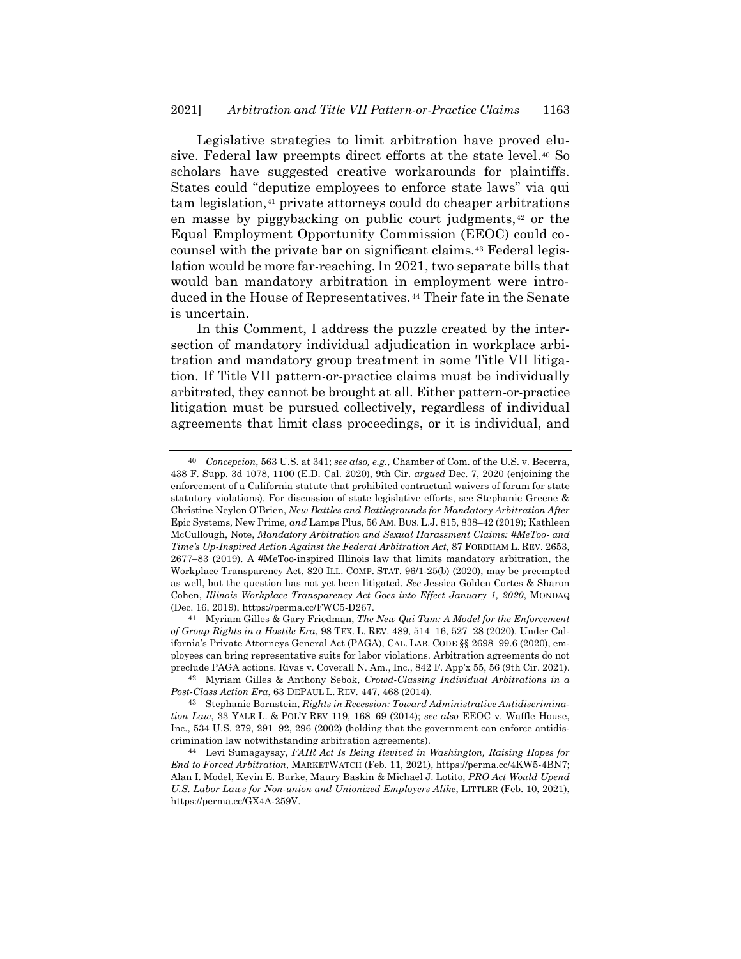<span id="page-6-1"></span>Legislative strategies to limit arbitration have proved elusive. Federal law preempts direct efforts at the state level.<sup>40</sup> So scholars have suggested creative workarounds for plaintiffs. States could "deputize employees to enforce state laws" via qui tam legislation,<sup>41</sup> private attorneys could do cheaper arbitrations en masse by piggybacking on public court judgments,<sup>42</sup> or the Equal Employment Opportunity Commission (EEOC) could cocounsel with the private bar on significant claims.<sup>43</sup> Federal legislation would be more far-reaching. In 2021, two separate bills that would ban mandatory arbitration in employment were introduced in the House of Representatives.<sup>44</sup> Their fate in the Senate is uncertain.

<span id="page-6-0"></span>In this Comment, I address the puzzle created by the intersection of mandatory individual adjudication in workplace arbitration and mandatory group treatment in some Title VII litigation. If Title VII pattern-or-practice claims must be individually arbitrated, they cannot be brought at all. Either pattern-or-practice litigation must be pursued collectively, regardless of individual agreements that limit class proceedings, or it is individual, and

<sup>40</sup> *Concepcion*, 563 U.S. at 341; *see also, e.g.*, Chamber of Com. of the U.S. v. Becerra, 438 F. Supp. 3d 1078, 1100 (E.D. Cal. 2020), 9th Cir. *argued* Dec. 7, 2020 (enjoining the enforcement of a California statute that prohibited contractual waivers of forum for state statutory violations). For discussion of state legislative efforts, see Stephanie Greene & Christine Neylon O'Brien, *New Battles and Battlegrounds for Mandatory Arbitration After*  Epic Systems*,* New Prime*, and* Lamps Plus, 56 AM. BUS. L.J. 815, 838–42 (2019); Kathleen McCullough, Note, *Mandatory Arbitration and Sexual Harassment Claims: #MeToo- and Time's Up-Inspired Action Against the Federal Arbitration Act*, 87 FORDHAM L. REV. 2653, 2677–83 (2019). A #MeToo-inspired Illinois law that limits mandatory arbitration, the Workplace Transparency Act, 820 ILL. COMP. STAT. 96/1-25(b) (2020), may be preempted as well, but the question has not yet been litigated. *See* Jessica Golden Cortes & Sharon Cohen, *Illinois Workplace Transparency Act Goes into Effect January 1, 2020*, MONDAQ (Dec. 16, 2019), https://perma.cc/FWC5-D267.

<sup>41</sup> Myriam Gilles & Gary Friedman, *The New Qui Tam: A Model for the Enforcement of Group Rights in a Hostile Era*, 98 TEX. L. REV. 489, 514–16, 527–28 (2020). Under California's Private Attorneys General Act (PAGA), CAL. LAB. CODE §§ 2698–99.6 (2020), employees can bring representative suits for labor violations. Arbitration agreements do not preclude PAGA actions. Rivas v. Coverall N. Am., Inc., 842 F. App'x 55, 56 (9th Cir. 2021).

<sup>42</sup> Myriam Gilles & Anthony Sebok, *Crowd-Classing Individual Arbitrations in a Post-Class Action Era*, 63 DEPAUL L. REV. 447, 468 (2014).

<sup>43</sup> Stephanie Bornstein, *Rights in Recession: Toward Administrative Antidiscrimination Law*, 33 YALE L. & POL'Y REV 119, 168–69 (2014); *see also* EEOC v. Waffle House, Inc., 534 U.S. 279, 291–92, 296 (2002) (holding that the government can enforce antidiscrimination law notwithstanding arbitration agreements).

<sup>44</sup> Levi Sumagaysay, *FAIR Act Is Being Revived in Washington, Raising Hopes for End to Forced Arbitration*, MARKETWATCH (Feb. 11, 2021), https://perma.cc/4KW5-4BN7; Alan I. Model, Kevin E. Burke, Maury Baskin & Michael J. Lotito, *PRO Act Would Upend U.S. Labor Laws for Non-union and Unionized Employers Alike*, LITTLER (Feb. 10, 2021), https://perma.cc/GX4A-259V.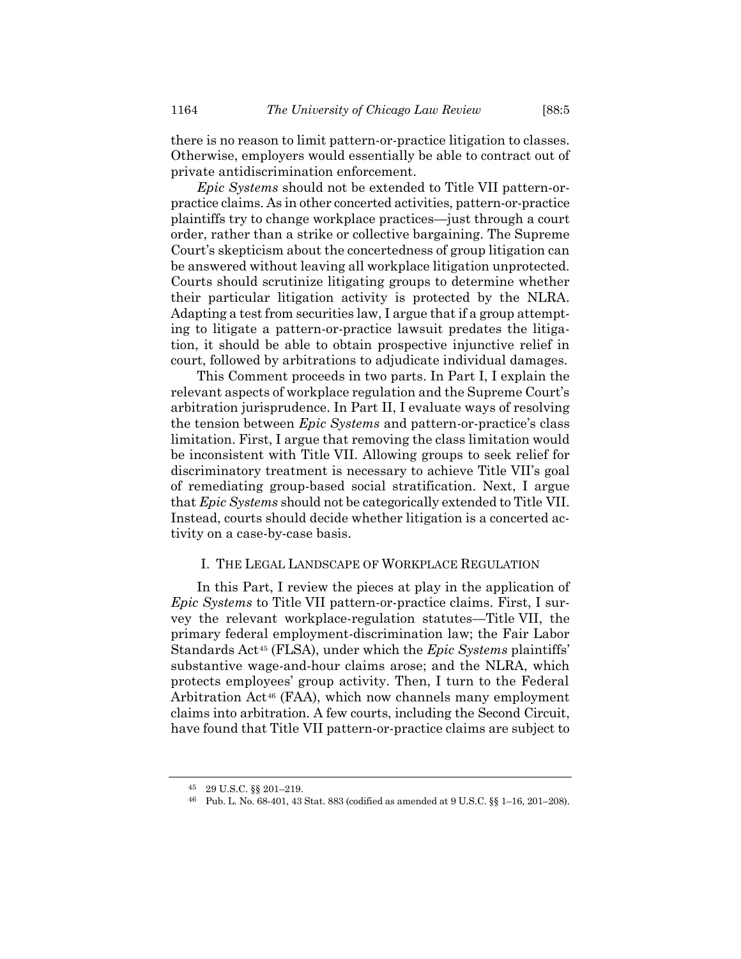there is no reason to limit pattern-or-practice litigation to classes. Otherwise, employers would essentially be able to contract out of private antidiscrimination enforcement.

*Epic Systems* should not be extended to Title VII pattern-orpractice claims. As in other concerted activities, pattern-or-practice plaintiffs try to change workplace practices—just through a court order, rather than a strike or collective bargaining. The Supreme Court's skepticism about the concertedness of group litigation can be answered without leaving all workplace litigation unprotected. Courts should scrutinize litigating groups to determine whether their particular litigation activity is protected by the NLRA. Adapting a test from securities law, I argue that if a group attempting to litigate a pattern-or-practice lawsuit predates the litigation, it should be able to obtain prospective injunctive relief in court, followed by arbitrations to adjudicate individual damages.

This Comment proceeds in two parts. In Part I, I explain the relevant aspects of workplace regulation and the Supreme Court's arbitration jurisprudence. In Part II, I evaluate ways of resolving the tension between *Epic Systems* and pattern-or-practice's class limitation. First, I argue that removing the class limitation would be inconsistent with Title VII. Allowing groups to seek relief for discriminatory treatment is necessary to achieve Title VII's goal of remediating group-based social stratification. Next, I argue that *Epic Systems* should not be categorically extended to Title VII. Instead, courts should decide whether litigation is a concerted activity on a case-by-case basis.

## I. THE LEGAL LANDSCAPE OF WORKPLACE REGULATION

In this Part, I review the pieces at play in the application of *Epic Systems* to Title VII pattern-or-practice claims. First, I survey the relevant workplace-regulation statutes—Title VII, the primary federal employment-discrimination law; the Fair Labor Standards Act<sup>45</sup> (FLSA), under which the *Epic Systems* plaintiffs' substantive wage-and-hour claims arose; and the NLRA, which protects employees' group activity. Then, I turn to the Federal Arbitration Act<sup>46</sup> (FAA), which now channels many employment claims into arbitration. A few courts, including the Second Circuit, have found that Title VII pattern-or-practice claims are subject to

<sup>45</sup> 29 U.S.C. §§ 201–219.

<sup>46</sup> Pub. L. No. 68-401, 43 Stat. 883 (codified as amended at 9 U.S.C. §§ 1–16, 201–208).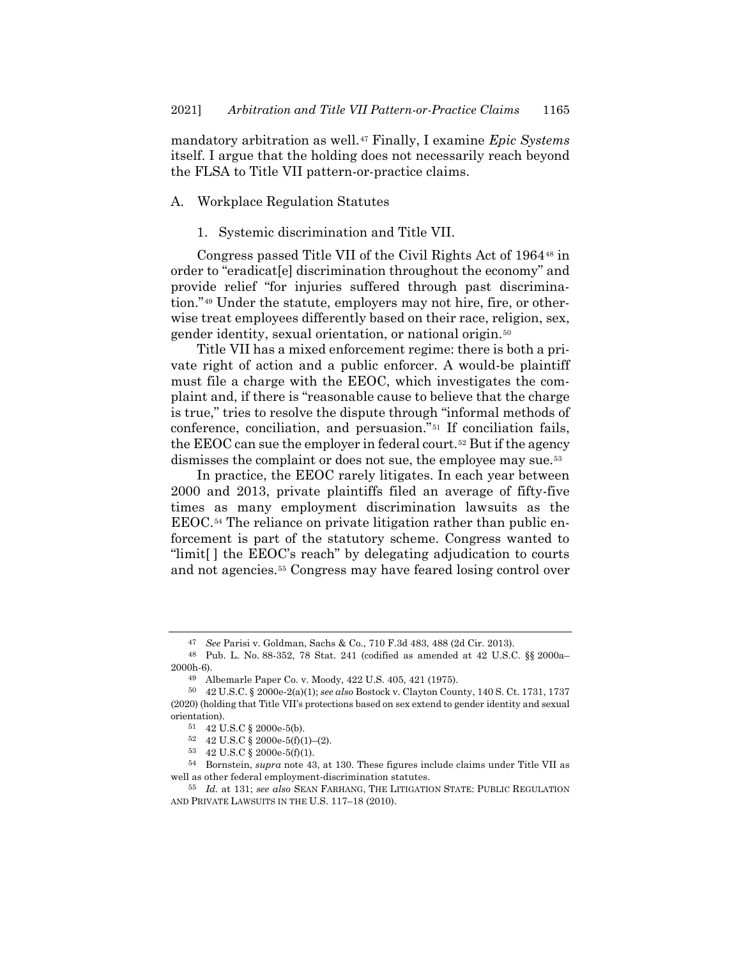mandatory arbitration as well.*47F* <sup>47</sup> Finally, I examine *Epic Systems* itself. I argue that the holding does not necessarily reach beyond the FLSA to Title VII pattern-or-practice claims.

## A. Workplace Regulation Statutes

1. Systemic discrimination and Title VII.

Congress passed Title VII of the Civil Rights Act of 1964<sup>48</sup> in order to "eradicat[e] discrimination throughout the economy" and provide relief "for injuries suffered through past discrimination."<sup>49</sup> Under the statute, employers may not hire, fire, or otherwise treat employees differently based on their race, religion, sex, gender identity, sexual orientation, or national origin.<sup>50</sup>

Title VII has a mixed enforcement regime: there is both a private right of action and a public enforcer. A would-be plaintiff must file a charge with the EEOC, which investigates the complaint and, if there is "reasonable cause to believe that the charge is true," tries to resolve the dispute through "informal methods of conference, conciliation, and persuasion."<sup>51</sup> If conciliation fails, the EEOC can sue the employer in federal court.<sup>52</sup> But if the agency dismisses the complaint or does not sue, the employee may sue.<sup>53</sup>

In practice, the EEOC rarely litigates. In each year between 2000 and 2013, private plaintiffs filed an average of fifty-five times as many employment discrimination lawsuits as the EEOC.<sup>54</sup> The reliance on private litigation rather than public enforcement is part of the statutory scheme. Congress wanted to "limit[ ] the EEOC's reach" by delegating adjudication to courts and not agencies.*5F* <sup>55</sup> Congress may have feared losing control over

<span id="page-8-0"></span><sup>47</sup> *See* Parisi v. Goldman, Sachs & Co., 710 F.3d 483, 488 (2d Cir. 2013).

<sup>48</sup> Pub. L. No. 88-352, 78 Stat. 241 (codified as amended at 42 U.S.C. §§ 2000a– 2000h-6).

<sup>49</sup> Albemarle Paper Co. v. Moody, 422 U.S. 405, 421 (1975).

<sup>50</sup> 42 U.S.C. § 2000e-2(a)(1); *see also* Bostock v. Clayton County, 140 S. Ct. 1731, 1737 (2020) (holding that Title VII's protections based on sex extend to gender identity and sexual orientation).

<sup>51</sup> 42 U.S.C § 2000e-5(b).

<sup>52 42</sup> U.S.C  $\S$  2000e-5(f)(1)–(2).

<sup>53</sup> 42 U.S.C § 2000e-5(f)(1).

<sup>54</sup> Bornstein, *supra* note [43,](#page-6-0) at 130. These figures include claims under Title VII as well as other federal employment-discrimination statutes.

<sup>55</sup> *Id.* at 131; *see also* SEAN FARHANG, THE LITIGATION STATE: PUBLIC REGULATION AND PRIVATE LAWSUITS IN THE U.S. 117–18 (2010).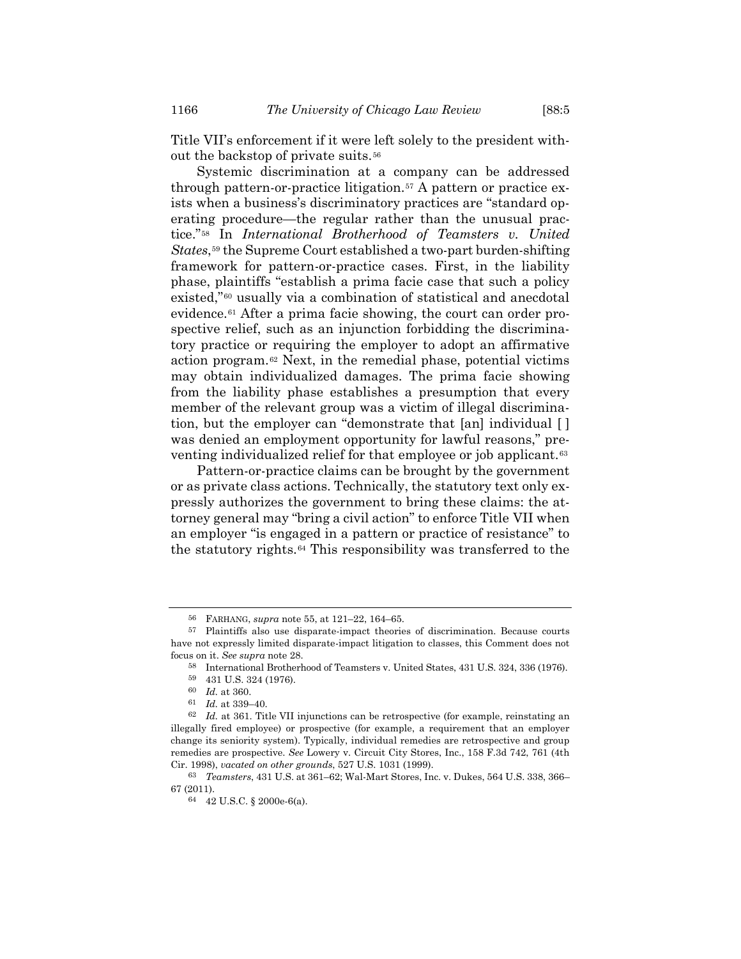Title VII's enforcement if it were left solely to the president without the backstop of private suits.<sup>56</sup>

Systemic discrimination at a company can be addressed through pattern-or-practice litigation.<sup>57</sup> A pattern or practice exists when a business's discriminatory practices are "standard operating procedure—the regular rather than the unusual practice."<sup>58</sup> In *International Brotherhood of Teamsters v. United* States,<sup>59</sup> the Supreme Court established a two-part burden-shifting framework for pattern-or-practice cases. First, in the liability phase, plaintiffs "establish a prima facie case that such a policy existed,"<sup>60</sup> usually via a combination of statistical and anecdotal evidence.<sup>61</sup> After a prima facie showing, the court can order prospective relief, such as an injunction forbidding the discriminatory practice or requiring the employer to adopt an affirmative action program.<sup>62</sup> Next, in the remedial phase, potential victims may obtain individualized damages. The prima facie showing from the liability phase establishes a presumption that every member of the relevant group was a victim of illegal discrimination, but the employer can "demonstrate that [an] individual [ ] was denied an employment opportunity for lawful reasons," preventing individualized relief for that employee or job applicant.<sup>63</sup>

Pattern-or-practice claims can be brought by the government or as private class actions. Technically, the statutory text only expressly authorizes the government to bring these claims: the attorney general may "bring a civil action" to enforce Title VII when an employer "is engaged in a pattern or practice of resistance" to the statutory rights.<sup>64</sup> This responsibility was transferred to the

<sup>56</sup> FARHANG, *supra* note [55,](#page-8-0) at 121–22, 164–65.

<sup>57</sup> Plaintiffs also use disparate-impact theories of discrimination. Because courts have not expressly limited disparate-impact litigation to classes, this Comment does not focus on it. *See supra* not[e 28.](#page-4-0)

<sup>58</sup> International Brotherhood of Teamsters v. United States, 431 U.S. 324, 336 (1976). 59 431 U.S. 324 (1976).

<sup>60</sup> *Id.* at 360.

<sup>61</sup> *Id.* at 339–40.

<sup>62</sup> *Id.* at 361. Title VII injunctions can be retrospective (for example, reinstating an illegally fired employee) or prospective (for example, a requirement that an employer change its seniority system). Typically, individual remedies are retrospective and group remedies are prospective. *See* Lowery v. Circuit City Stores, Inc., 158 F.3d 742, 761 (4th Cir. 1998), *vacated on other grounds*, 527 U.S. 1031 (1999).

<sup>63</sup> *Teamsters*, 431 U.S. at 361–62; Wal-Mart Stores, Inc. v. Dukes, 564 U.S. 338, 366– 67 (2011).

<sup>64</sup> 42 U.S.C. § 2000e-6(a).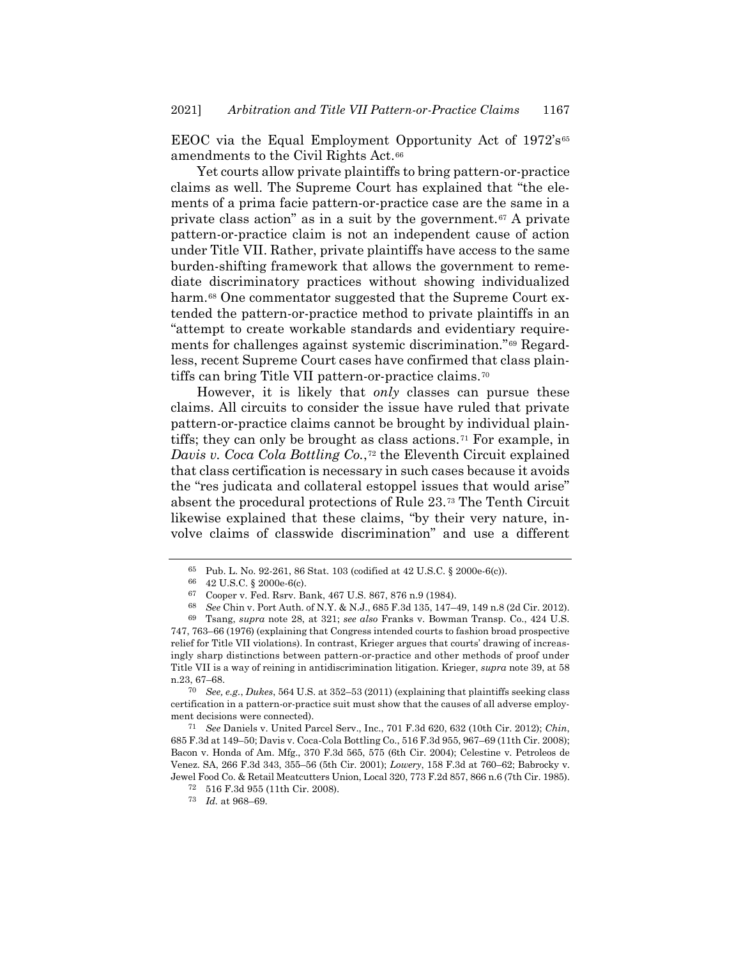EEOC via the Equal Employment Opportunity Act of 1972's<sup>65</sup> amendments to the Civil Rights Act.<sup>66</sup>

Yet courts allow private plaintiffs to bring pattern-or-practice claims as well. The Supreme Court has explained that "the elements of a prima facie pattern-or-practice case are the same in a private class action" as in a suit by the government.<sup>67</sup> A private pattern-or-practice claim is not an independent cause of action under Title VII. Rather, private plaintiffs have access to the same burden-shifting framework that allows the government to remediate discriminatory practices without showing individualized harm.<sup>68</sup> One commentator suggested that the Supreme Court extended the pattern-or-practice method to private plaintiffs in an "attempt to create workable standards and evidentiary requirements for challenges against systemic discrimination."<sup>69</sup> Regardless, recent Supreme Court cases have confirmed that class plaintiffs can bring Title VII pattern-or-practice claims.<sup>70</sup>

<span id="page-10-0"></span>However, it is likely that *only* classes can pursue these claims. All circuits to consider the issue have ruled that private pattern-or-practice claims cannot be brought by individual plaintiffs; they can only be brought as class actions.<sup>71</sup> For example, in *Davis v. Coca Cola Bottling Co.*,<sup>72</sup> the Eleventh Circuit explained that class certification is necessary in such cases because it avoids the "res judicata and collateral estoppel issues that would arise" absent the procedural protections of Rule 23.<sup>73</sup> The Tenth Circuit likewise explained that these claims, "by their very nature, involve claims of classwide discrimination" and use a different

70 *See, e.g.*, *Dukes*, 564 U.S. at 352–53 (2011) (explaining that plaintiffs seeking class certification in a pattern-or-practice suit must show that the causes of all adverse employment decisions were connected).

71 *See* Daniels v. United Parcel Serv., Inc., 701 F.3d 620, 632 (10th Cir. 2012); *Chin*, 685 F.3d at 149–50; Davis v. Coca-Cola Bottling Co., 516 F.3d 955, 967–69 (11th Cir. 2008); Bacon v. Honda of Am. Mfg., 370 F.3d 565, 575 (6th Cir. 2004); Celestine v. Petroleos de Venez. SA, 266 F.3d 343, 355–56 (5th Cir. 2001); *Lowery*, 158 F.3d at 760–62; Babrocky v. Jewel Food Co. & Retail Meatcutters Union, Local 320, 773 F.2d 857, 866 n.6 (7th Cir. 1985).

<sup>65</sup> Pub. L. No. 92-261, 86 Stat. 103 (codified at 42 U.S.C. § 2000e-6(c)).

<sup>66</sup> 42 U.S.C. § 2000e-6(c).

<sup>67</sup> Cooper v. Fed. Rsrv. Bank, 467 U.S. 867, 876 n.9 (1984).

<sup>68</sup> *See* Chin v. Port Auth. of N.Y. & N.J., 685 F.3d 135, 147–49, 149 n.8 (2d Cir. 2012).

<sup>69</sup> Tsang, *supra* note [28,](#page-4-0) at 321; *see also* Franks v. Bowman Transp. Co., 424 U.S. 747, 763–66 (1976) (explaining that Congress intended courts to fashion broad prospective relief for Title VII violations). In contrast, Krieger argues that courts' drawing of increasingly sharp distinctions between pattern-or-practice and other methods of proof under Title VII is a way of reining in antidiscrimination litigation. Krieger, *supra* note [39,](#page-5-2) at 58 n.23, 67–68.

<sup>72</sup> 516 F.3d 955 (11th Cir. 2008).

<sup>73</sup> *Id.* at 968–69.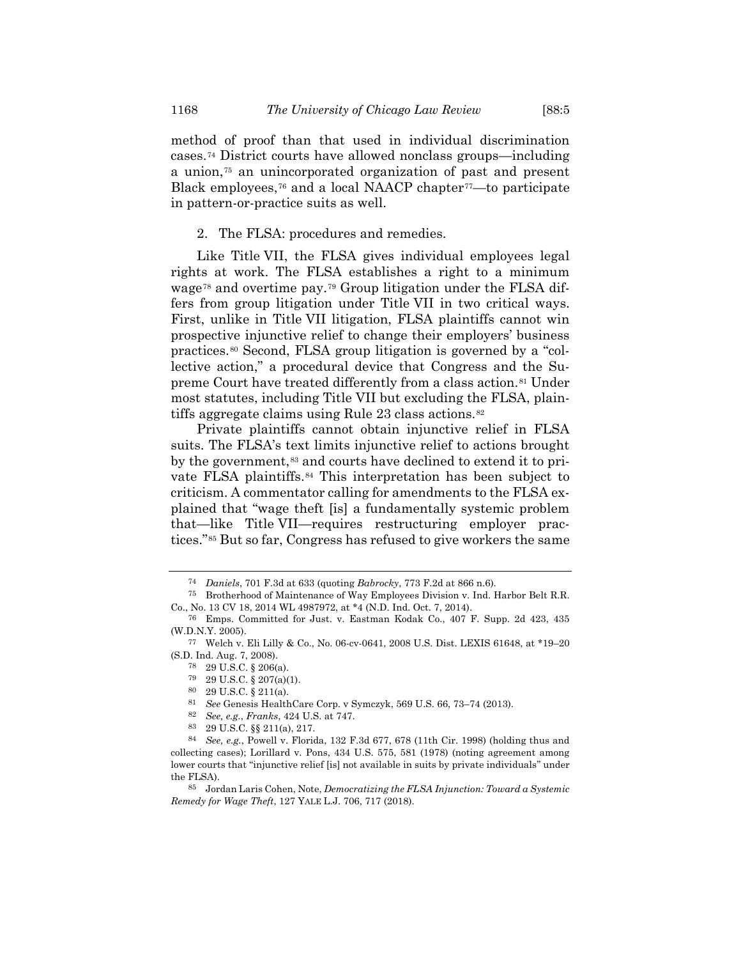<span id="page-11-2"></span>method of proof than that used in individual discrimination cases.<sup>74</sup> District courts have allowed nonclass groups—including a union,<sup>75</sup> an unincorporated organization of past and present Black employees,<sup>76</sup> and a local NAACP chapter<sup>77</sup>—to participate in pattern-or-practice suits as well.

<span id="page-11-0"></span>2. The FLSA: procedures and remedies.

Like Title VII, the FLSA gives individual employees legal rights at work. The FLSA establishes a right to a minimum wage<sup>78</sup> and overtime pay.<sup>79</sup> Group litigation under the FLSA differs from group litigation under Title VII in two critical ways. First, unlike in Title VII litigation, FLSA plaintiffs cannot win prospective injunctive relief to change their employers' business practices.<sup>80</sup> Second, FLSA group litigation is governed by a "collective action," a procedural device that Congress and the Supreme Court have treated differently from a class action.<sup>81</sup> Under most statutes, including Title VII but excluding the FLSA, plaintiffs aggregate claims using Rule 23 class actions.<sup>82</sup>

<span id="page-11-1"></span>Private plaintiffs cannot obtain injunctive relief in FLSA suits. The FLSA's text limits injunctive relief to actions brought by the government,<sup>83</sup> and courts have declined to extend it to private FLSA plaintiffs.<sup>84</sup> This interpretation has been subject to criticism. A commentator calling for amendments to the FLSA explained that "wage theft [is] a fundamentally systemic problem that—like Title VII—requires restructuring employer practices."<sup>85</sup> But so far, Congress has refused to give workers the same

<sup>74</sup> *Daniels*, 701 F.3d at 633 (quoting *Babrocky*, 773 F.2d at 866 n.6).

<sup>75</sup> Brotherhood of Maintenance of Way Employees Division v. Ind. Harbor Belt R.R. Co., No. 13 CV 18, 2014 WL 4987972, at \*4 (N.D. Ind. Oct. 7, 2014).

<sup>76</sup> Emps. Committed for Just. v. Eastman Kodak Co., 407 F. Supp. 2d 423, 435 (W.D.N.Y. 2005).

<sup>77</sup> Welch v. Eli Lilly & Co., No. 06-cv-0641, 2008 U.S. Dist. LEXIS 61648, at \*19–20 (S.D. Ind. Aug. 7, 2008).

<sup>78</sup> 29 U.S.C. § 206(a).

<sup>79</sup> 29 U.S.C. § 207(a)(1).

<sup>80</sup> 29 U.S.C. § 211(a).

<sup>81</sup> *See* Genesis HealthCare Corp. v Symczyk, 569 U.S. 66, 73–74 (2013).

<sup>82</sup> *See, e.g.*, *Franks*, 424 U.S. at 747.

<sup>83</sup> 29 U.S.C. §§ 211(a), 217.

<sup>84</sup> *See, e.g.*, Powell v. Florida, 132 F.3d 677, 678 (11th Cir. 1998) (holding thus and collecting cases); Lorillard v. Pons, 434 U.S. 575, 581 (1978) (noting agreement among lower courts that "injunctive relief [is] not available in suits by private individuals" under the FLSA).

<sup>85</sup> Jordan Laris Cohen, Note, *Democratizing the FLSA Injunction: Toward a Systemic Remedy for Wage Theft*, 127 YALE L.J. 706, 717 (2018).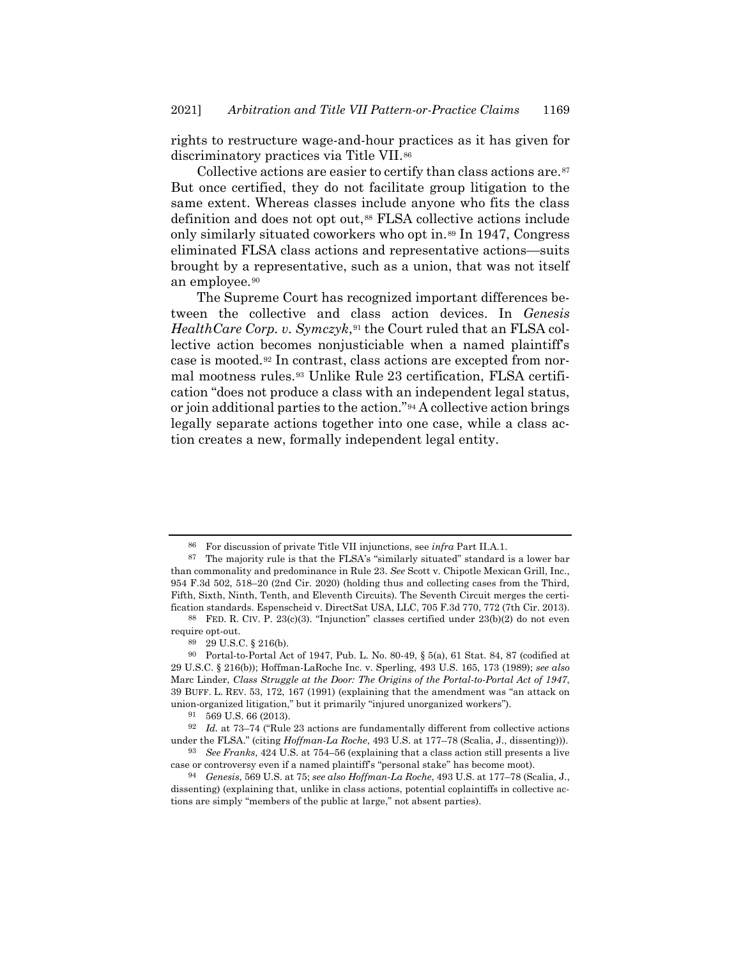<span id="page-12-2"></span>rights to restructure wage-and-hour practices as it has given for discriminatory practices via Title VII.<sup>86</sup>

<span id="page-12-3"></span><span id="page-12-0"></span>Collective actions are easier to certify than class actions are.<sup>87</sup> But once certified, they do not facilitate group litigation to the same extent. Whereas classes include anyone who fits the class definition and does not opt out,*8F* <sup>88</sup> FLSA collective actions include only similarly situated coworkers who opt in.<sup>89</sup> In 1947, Congress eliminated FLSA class actions and representative actions—suits brought by a representative, such as a union, that was not itself an employee.<sup>90</sup>

<span id="page-12-1"></span>The Supreme Court has recognized important differences between the collective and class action devices. In *Genesis HealthCare Corp. v.* Symczyk,<sup>91</sup> the Court ruled that an FLSA collective action becomes nonjusticiable when a named plaintiff's case is mooted.<sup>92</sup> In contrast, class actions are excepted from normal mootness rules.<sup>93</sup> Unlike Rule 23 certification, FLSA certification "does not produce a class with an independent legal status, or join additional parties to the action."<sup>94</sup> A collective action brings legally separate actions together into one case, while a class action creates a new, formally independent legal entity.

<sup>86</sup> For discussion of private Title VII injunctions, see *infra* Part II.A.1.

<sup>87</sup> The majority rule is that the FLSA's "similarly situated" standard is a lower bar than commonality and predominance in Rule 23. *See* Scott v. Chipotle Mexican Grill, Inc., 954 F.3d 502, 518–20 (2nd Cir. 2020) (holding thus and collecting cases from the Third, Fifth, Sixth, Ninth, Tenth, and Eleventh Circuits). The Seventh Circuit merges the certification standards. Espenscheid v. DirectSat USA, LLC, 705 F.3d 770, 772 (7th Cir. 2013).

<sup>88</sup> FED. R. CIV. P. 23(c)(3). "Injunction" classes certified under 23(b)(2) do not even require opt-out.

<sup>89</sup> 29 U.S.C. § 216(b).

<sup>90</sup> Portal-to-Portal Act of 1947, Pub. L. No. 80-49, § 5(a), 61 Stat. 84, 87 (codified at 29 U.S.C. § 216(b)); Hoffman-LaRoche Inc. v. Sperling, 493 U.S. 165, 173 (1989); *see also* Marc Linder, *Class Struggle at the Door: The Origins of the Portal-to-Portal Act of 1947*, 39 BUFF. L. REV. 53, 172, 167 (1991) (explaining that the amendment was "an attack on union-organized litigation," but it primarily "injured unorganized workers").

<sup>91</sup> 569 U.S. 66 (2013).

<sup>92</sup> *Id.* at 73–74 ("Rule 23 actions are fundamentally different from collective actions under the FLSA." (citing *Hoffman-La Roche*, 493 U.S. at 177–78 (Scalia, J., dissenting))).

<sup>93</sup> *See Franks*, 424 U.S. at 754–56 (explaining that a class action still presents a live case or controversy even if a named plaintiff's "personal stake" has become moot).

<sup>94</sup> *Genesis*, 569 U.S. at 75; *see also Hoffman-La Roche*, 493 U.S. at 177–78 (Scalia, J., dissenting) (explaining that, unlike in class actions, potential coplaintiffs in collective actions are simply "members of the public at large," not absent parties).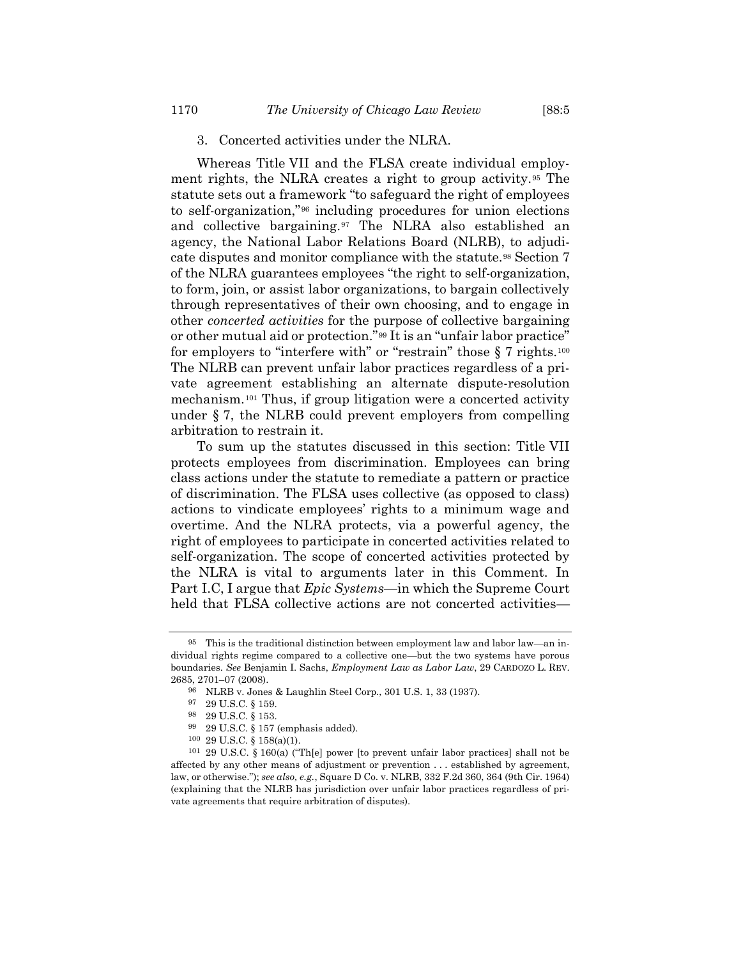# 3. Concerted activities under the NLRA.

Whereas Title VII and the FLSA create individual employment rights, the NLRA creates a right to group activity.<sup>95</sup> The statute sets out a framework "to safeguard the right of employees to self-organization,"<sup>96</sup> including procedures for union elections and collective bargaining.<sup>97</sup> The NLRA also established an agency, the National Labor Relations Board (NLRB), to adjudicate disputes and monitor compliance with the statute.<sup>98</sup> Section 7 of the NLRA guarantees employees "the right to self-organization, to form, join, or assist labor organizations, to bargain collectively through representatives of their own choosing, and to engage in other *concerted activities* for the purpose of collective bargaining or other mutual aid or protection."<sup>99</sup> It is an "unfair labor practice" for employers to "interfere with" or "restrain" those § 7 rights.<sup>100</sup> The NLRB can prevent unfair labor practices regardless of a private agreement establishing an alternate dispute-resolution mechanism.<sup>101</sup> Thus, if group litigation were a concerted activity under § 7, the NLRB could prevent employers from compelling arbitration to restrain it.

To sum up the statutes discussed in this section: Title VII protects employees from discrimination. Employees can bring class actions under the statute to remediate a pattern or practice of discrimination. The FLSA uses collective (as opposed to class) actions to vindicate employees' rights to a minimum wage and overtime. And the NLRA protects, via a powerful agency, the right of employees to participate in concerted activities related to self-organization. The scope of concerted activities protected by the NLRA is vital to arguments later in this Comment. In Part I.C, I argue that *Epic Systems*—in which the Supreme Court held that FLSA collective actions are not concerted activities–

<sup>95</sup> This is the traditional distinction between employment law and labor law—an individual rights regime compared to a collective one—but the two systems have porous boundaries. *See* Benjamin I. Sachs, *Employment Law as Labor Law*, 29 CARDOZO L. REV. 2685, 2701–07 (2008).

<sup>96</sup> NLRB v. Jones & Laughlin Steel Corp., 301 U.S. 1, 33 (1937).

<sup>97</sup> 29 U.S.C. § 159.

<sup>98</sup> 29 U.S.C. § 153.

<sup>99</sup> 29 U.S.C. § 157 (emphasis added).

<sup>100</sup> 29 U.S.C. § 158(a)(1).

<sup>101</sup> 29 U.S.C. § 160(a) ("Th[e] power [to prevent unfair labor practices] shall not be affected by any other means of adjustment or prevention . . . established by agreement, law, or otherwise."); *see also, e.g.*, Square D Co. v. NLRB, 332 F.2d 360, 364 (9th Cir. 1964) (explaining that the NLRB has jurisdiction over unfair labor practices regardless of private agreements that require arbitration of disputes).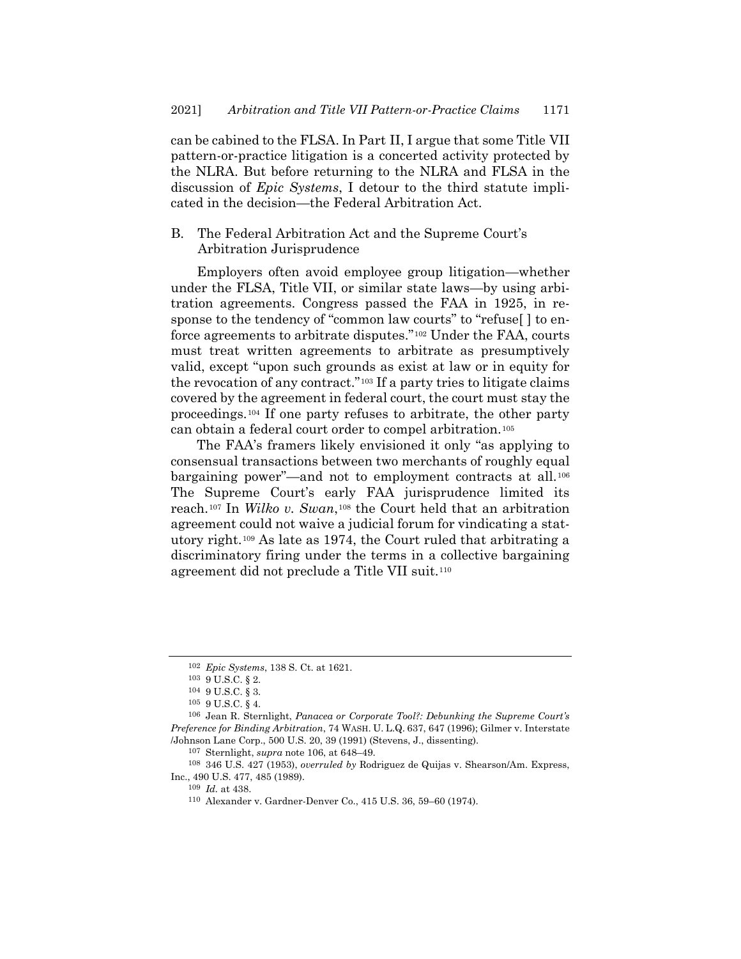can be cabined to the FLSA. In Part II, I argue that some Title VII pattern-or-practice litigation is a concerted activity protected by the NLRA. But before returning to the NLRA and FLSA in the discussion of *Epic Systems*, I detour to the third statute implicated in the decision—the Federal Arbitration Act.

## B. The Federal Arbitration Act and the Supreme Court's Arbitration Jurisprudence

Employers often avoid employee group litigation—whether under the FLSA, Title VII, or similar state laws—by using arbitration agreements. Congress passed the FAA in 1925, in response to the tendency of "common law courts" to "refuse[ ] to enforce agreements to arbitrate disputes."<sup>102</sup> Under the FAA, courts must treat written agreements to arbitrate as presumptively valid, except "upon such grounds as exist at law or in equity for the revocation of any contract."<sup>103</sup> If a party tries to litigate claims covered by the agreement in federal court, the court must stay the proceedings.<sup>104</sup> If one party refuses to arbitrate, the other party can obtain a federal court order to compel arbitration.<sup>105</sup>

<span id="page-14-0"></span>The FAA's framers likely envisioned it only "as applying to consensual transactions between two merchants of roughly equal bargaining power<sup>"</sup>—and not to employment contracts at all.<sup>106</sup> The Supreme Court's early FAA jurisprudence limited its reach.<sup>107</sup> In *Wilko v. Swan*,<sup>108</sup> the Court held that an arbitration agreement could not waive a judicial forum for vindicating a statutory right.<sup>109</sup> As late as 1974, the Court ruled that arbitrating a discriminatory firing under the terms in a collective bargaining agreement did not preclude a Title VII suit.<sup>110</sup>

109 *Id.* at 438.

<sup>102</sup> *Epic Systems*, 138 S. Ct. at 1621.

 $^{103}$  9 U.S.C.  $\S$  2.

<sup>104</sup> 9 U.S.C. § 3.

<sup>105</sup> 9 U.S.C. § 4.

<sup>106</sup> Jean R. Sternlight, *Panacea or Corporate Tool?: Debunking the Supreme Court's Preference for Binding Arbitration*, 74 WASH. U. L.Q. 637, 647 (1996); Gilmer v. Interstate /Johnson Lane Corp., 500 U.S. 20, 39 (1991) (Stevens, J., dissenting).

<sup>107</sup> Sternlight, *supra* note [106,](#page-14-0) at 648–49.

<sup>108</sup> 346 U.S. 427 (1953), *overruled by* Rodriguez de Quijas v. Shearson/Am. Express, Inc., 490 U.S. 477, 485 (1989).

<sup>110</sup> Alexander v. Gardner-Denver Co., 415 U.S. 36, 59–60 (1974).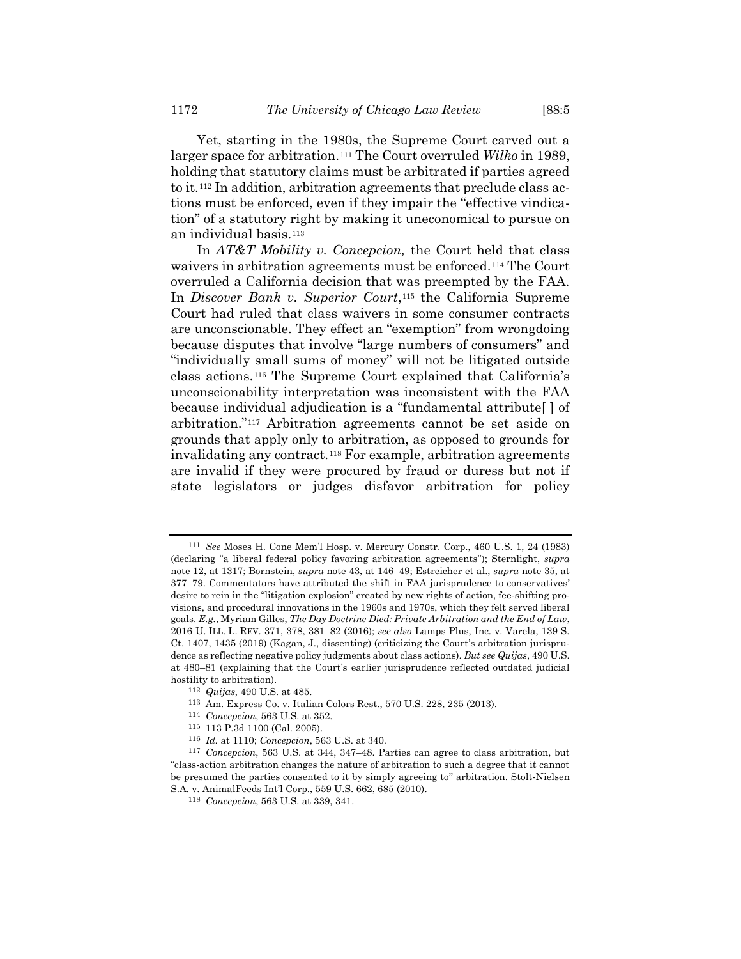<span id="page-15-0"></span>Yet, starting in the 1980s, the Supreme Court carved out a larger space for arbitration.<sup>111</sup> The Court overruled *Wilko* in 1989, holding that statutory claims must be arbitrated if parties agreed to it.<sup>112</sup> In addition, arbitration agreements that preclude class actions must be enforced, even if they impair the "effective vindication" of a statutory right by making it uneconomical to pursue on an individual basis.<sup>113</sup>

<span id="page-15-1"></span>In *AT&T Mobility v. Concepcion,* the Court held that class waivers in arbitration agreements must be enforced.<sup>114</sup> The Court overruled a California decision that was preempted by the FAA. In *Discover Bank v. Superior Court*,<sup>115</sup> the California Supreme Court had ruled that class waivers in some consumer contracts are unconscionable. They effect an "exemption" from wrongdoing because disputes that involve "large numbers of consumers" and "individually small sums of money" will not be litigated outside class actions.<sup>116</sup> The Supreme Court explained that California's unconscionability interpretation was inconsistent with the FAA because individual adjudication is a "fundamental attribute[ ] of arbitration."<sup>117</sup> Arbitration agreements cannot be set aside on grounds that apply only to arbitration, as opposed to grounds for invalidating any contract.*18F* <sup>118</sup> For example, arbitration agreements are invalid if they were procured by fraud or duress but not if state legislators or judges disfavor arbitration for policy

<sup>111</sup> *See* Moses H. Cone Mem'l Hosp. v. Mercury Constr. Corp., 460 U.S. 1, 24 (1983) (declaring "a liberal federal policy favoring arbitration agreements"); Sternlight, *supra* not[e 12,](#page-2-0) at 1317; Bornstein, *supra* not[e 43,](#page-6-0) at 146–49; Estreicher et al., *supra* note [35,](#page-5-1) at 377–79. Commentators have attributed the shift in FAA jurisprudence to conservatives' desire to rein in the "litigation explosion" created by new rights of action, fee-shifting provisions, and procedural innovations in the 1960s and 1970s, which they felt served liberal goals. *E.g.*, Myriam Gilles, *The Day Doctrine Died: Private Arbitration and the End of Law*, 2016 U. ILL. L. REV. 371, 378, 381–82 (2016); *see also* Lamps Plus, Inc. v. Varela, 139 S. Ct. 1407, 1435 (2019) (Kagan, J., dissenting) (criticizing the Court's arbitration jurisprudence as reflecting negative policy judgments about class actions). *But see Quijas*, 490 U.S. at 480–81 (explaining that the Court's earlier jurisprudence reflected outdated judicial hostility to arbitration).

<sup>112</sup> *Quijas*, 490 U.S. at 485.

<sup>113</sup> Am. Express Co. v. Italian Colors Rest., 570 U.S. 228, 235 (2013).

<sup>114</sup> *Concepcion*, 563 U.S. at 352.

<sup>115</sup> 113 P.3d 1100 (Cal. 2005).

<sup>116</sup> *Id.* at 1110; *Concepcion*, 563 U.S. at 340.

<sup>117</sup> *Concepcion*, 563 U.S. at 344, 347–48. Parties can agree to class arbitration, but "class-action arbitration changes the nature of arbitration to such a degree that it cannot be presumed the parties consented to it by simply agreeing to" arbitration. Stolt-Nielsen S.A. v. AnimalFeeds Int'l Corp., 559 U.S. 662, 685 (2010).

<sup>118</sup> *Concepcion*, 563 U.S. at 339, 341.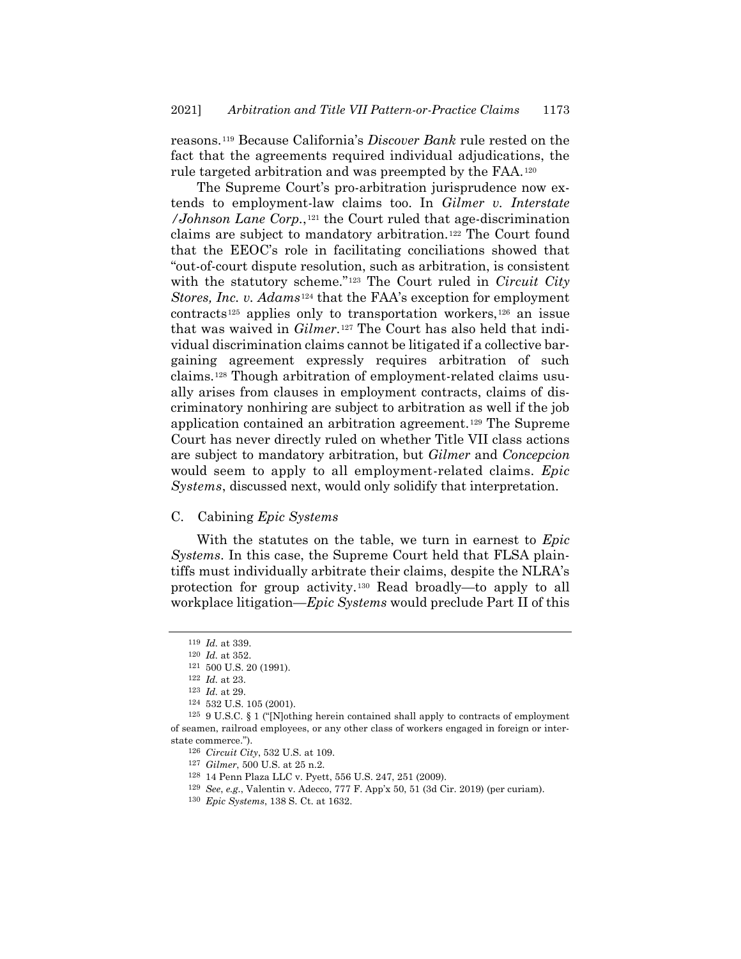reasons.<sup>119</sup> Because California's *Discover Bank* rule rested on the fact that the agreements required individual adjudications, the rule targeted arbitration and was preempted by the FAA.<sup>120</sup>

The Supreme Court's pro-arbitration jurisprudence now extends to employment-law claims too. In *Gilmer v. Interstate /Johnson Lane Corp.*,*12F* <sup>121</sup> the Court ruled that age-discrimination claims are subject to mandatory arbitration.<sup>122</sup> The Court found that the EEOC's role in facilitating conciliations showed that "out-of-court dispute resolution, such as arbitration, is consistent with the statutory scheme."<sup>123</sup> The Court ruled in *Circuit City Stores, Inc. v. Adams*<sup>124</sup> that the FAA's exception for employment contracts<sup>125</sup> applies only to transportation workers,<sup>126</sup> an issue that was waived in *Gilmer*.<sup>127</sup> The Court has also held that individual discrimination claims cannot be litigated if a collective bargaining agreement expressly requires arbitration of such claims.<sup>128</sup> Though arbitration of employment-related claims usually arises from clauses in employment contracts, claims of discriminatory nonhiring are subject to arbitration as well if the job application contained an arbitration agreement.<sup>129</sup> The Supreme Court has never directly ruled on whether Title VII class actions are subject to mandatory arbitration, but *Gilmer* and *Concepcion* would seem to apply to all employment-related claims. *Epic Systems*, discussed next, would only solidify that interpretation.

#### C. Cabining *Epic Systems*

With the statutes on the table, we turn in earnest to *Epic Systems*. In this case, the Supreme Court held that FLSA plaintiffs must individually arbitrate their claims, despite the NLRA's protection for group activity.<sup>130</sup> Read broadly—to apply to all workplace litigation—*Epic Systems* would preclude Part II of this

<sup>119</sup> *Id.* at 339.

<sup>120</sup> *Id.* at 352.

<sup>121</sup> 500 U.S. 20 (1991).

<sup>122</sup> *Id.* at 23.

<sup>123</sup> *Id.* at 29.

<sup>124</sup> 532 U.S. 105 (2001).

<sup>&</sup>lt;sup>125</sup> 9 U.S.C. § 1 ("[N]othing herein contained shall apply to contracts of employment of seamen, railroad employees, or any other class of workers engaged in foreign or interstate commerce.").

<sup>126</sup> *Circuit City*, 532 U.S. at 109.

<sup>127</sup> *Gilmer*, 500 U.S. at 25 n.2.

<sup>128</sup> 14 Penn Plaza LLC v. Pyett, 556 U.S. 247, 251 (2009).

<sup>129</sup> *See*, *e.g.*, Valentin v. Adecco, 777 F. App'x 50, 51 (3d Cir. 2019) (per curiam).

<sup>130</sup> *Epic Systems*, 138 S. Ct. at 1632.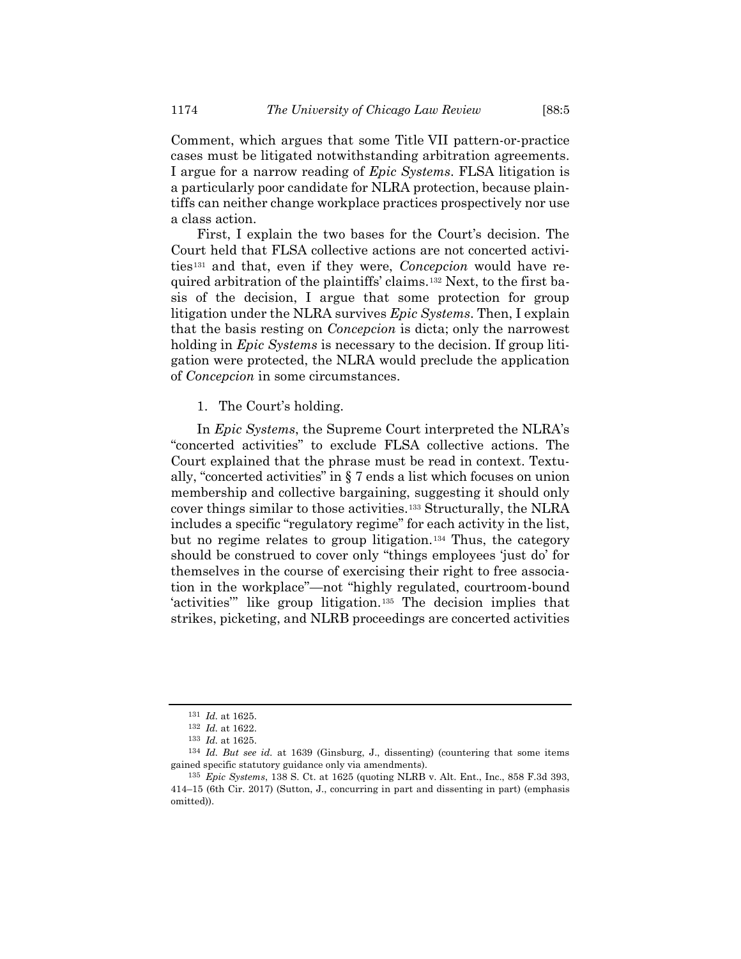Comment, which argues that some Title VII pattern-or-practice cases must be litigated notwithstanding arbitration agreements. I argue for a narrow reading of *Epic Systems*. FLSA litigation is a particularly poor candidate for NLRA protection, because plaintiffs can neither change workplace practices prospectively nor use a class action.

First, I explain the two bases for the Court's decision. The Court held that FLSA collective actions are not concerted activities*13F* <sup>131</sup> and that, even if they were, *Concepcion* would have required arbitration of the plaintiffs' claims.<sup>132</sup> Next, to the first basis of the decision, I argue that some protection for group litigation under the NLRA survives *Epic Systems*. Then, I explain that the basis resting on *Concepcion* is dicta; only the narrowest holding in *Epic Systems* is necessary to the decision. If group litigation were protected, the NLRA would preclude the application of *Concepcion* in some circumstances.

1. The Court's holding.

In *Epic Systems*, the Supreme Court interpreted the NLRA's "concerted activities" to exclude FLSA collective actions. The Court explained that the phrase must be read in context. Textually, "concerted activities" in § 7 ends a list which focuses on union membership and collective bargaining, suggesting it should only cover things similar to those activities.<sup>133</sup> Structurally, the NLRA includes a specific "regulatory regime" for each activity in the list, but no regime relates to group litigation.<sup>134</sup> Thus, the category should be construed to cover only "things employees 'just do' for themselves in the course of exercising their right to free association in the workplace"—not "highly regulated, courtroom-bound 'activities'" like group litigation.<sup>135</sup> The decision implies that strikes, picketing, and NLRB proceedings are concerted activities

<sup>131</sup> *Id.* at 1625.

<sup>132</sup> *Id.* at 1622.

<sup>133</sup> *Id.* at 1625.

<sup>134</sup> *Id. But see id.* at 1639 (Ginsburg, J., dissenting) (countering that some items gained specific statutory guidance only via amendments).

<sup>135</sup> *Epic Systems*, 138 S. Ct. at 1625 (quoting NLRB v. Alt. Ent., Inc., 858 F.3d 393, 414–15 (6th Cir. 2017) (Sutton, J., concurring in part and dissenting in part) (emphasis omitted)).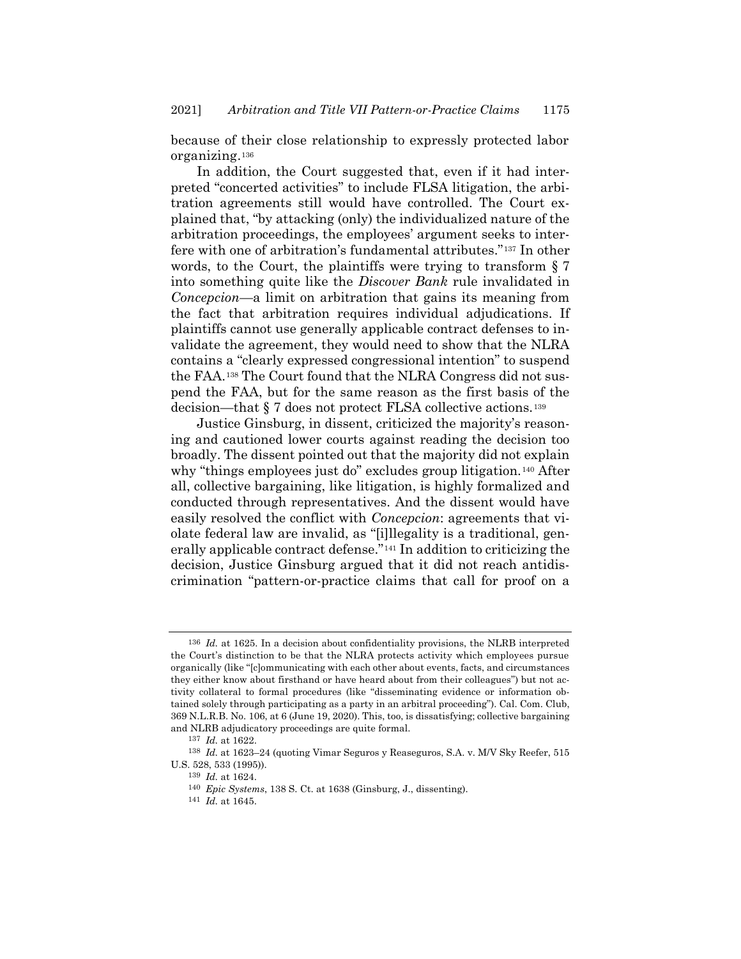because of their close relationship to expressly protected labor organizing.<sup>136</sup>

In addition, the Court suggested that, even if it had interpreted "concerted activities" to include FLSA litigation, the arbitration agreements still would have controlled. The Court explained that, "by attacking (only) the individualized nature of the arbitration proceedings, the employees' argument seeks to interfere with one of arbitration's fundamental attributes."<sup>137</sup> In other words, to the Court, the plaintiffs were trying to transform § 7 into something quite like the *Discover Bank* rule invalidated in *Concepcion*—a limit on arbitration that gains its meaning from the fact that arbitration requires individual adjudications. If plaintiffs cannot use generally applicable contract defenses to invalidate the agreement, they would need to show that the NLRA contains a "clearly expressed congressional intention" to suspend the FAA.<sup>138</sup> The Court found that the NLRA Congress did not suspend the FAA, but for the same reason as the first basis of the decision—that § 7 does not protect FLSA collective actions.<sup>139</sup>

<span id="page-18-0"></span>Justice Ginsburg, in dissent, criticized the majority's reasoning and cautioned lower courts against reading the decision too broadly. The dissent pointed out that the majority did not explain why "things employees just do" excludes group litigation.<sup>140</sup> After all, collective bargaining, like litigation, is highly formalized and conducted through representatives. And the dissent would have easily resolved the conflict with *Concepcion*: agreements that violate federal law are invalid, as "[i]llegality is a traditional, generally applicable contract defense.<sup>"141</sup> In addition to criticizing the decision, Justice Ginsburg argued that it did not reach antidiscrimination "pattern-or-practice claims that call for proof on a

<sup>136</sup> *Id.* at 1625. In a decision about confidentiality provisions, the NLRB interpreted the Court's distinction to be that the NLRA protects activity which employees pursue organically (like "[c]ommunicating with each other about events, facts, and circumstances they either know about firsthand or have heard about from their colleagues") but not activity collateral to formal procedures (like "disseminating evidence or information obtained solely through participating as a party in an arbitral proceeding"). Cal. Com. Club, 369 N.L.R.B. No. 106, at 6 (June 19, 2020). This, too, is dissatisfying; collective bargaining and NLRB adjudicatory proceedings are quite formal.

<sup>137</sup> *Id.* at 1622.

<sup>138</sup> *Id.* at 1623–24 (quoting Vimar Seguros y Reaseguros, S.A. v. M/V Sky Reefer, 515 U.S. 528, 533 (1995)).

<sup>139</sup> *Id.* at 1624.

<sup>140</sup> *Epic Systems*, 138 S. Ct. at 1638 (Ginsburg, J., dissenting).

<sup>141</sup> *Id.* at 1645.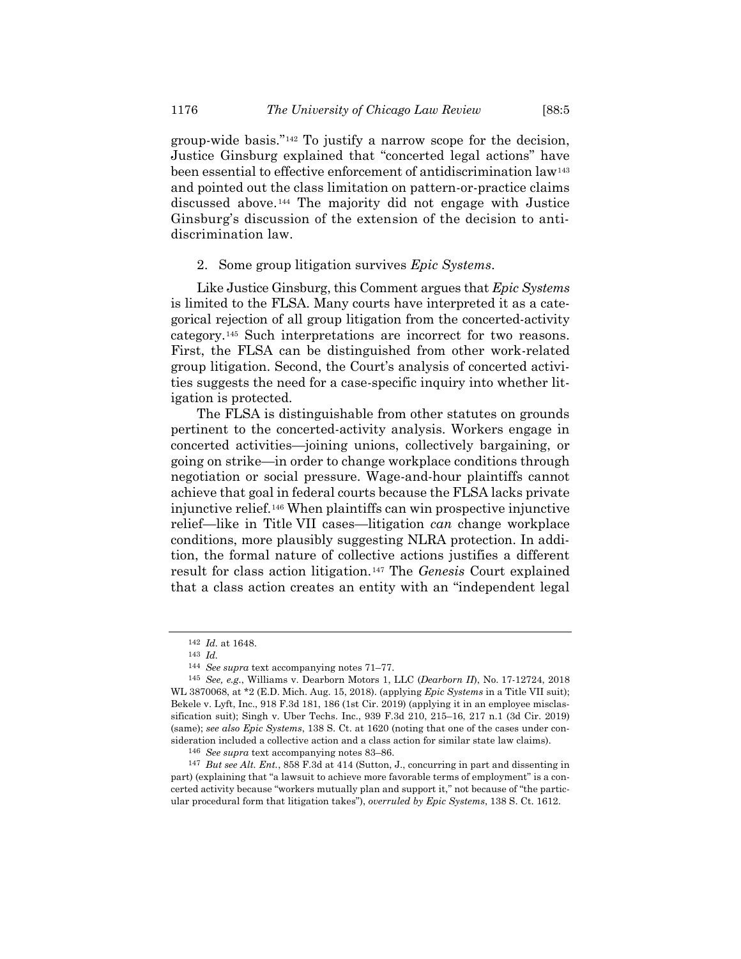group-wide basis."*142F* <sup>142</sup> To justify a narrow scope for the decision, Justice Ginsburg explained that "concerted legal actions" have been essential to effective enforcement of antidiscrimination law<sup>143</sup> and pointed out the class limitation on pattern-or-practice claims discussed above.<sup>144</sup> The majority did not engage with Justice Ginsburg's discussion of the extension of the decision to antidiscrimination law.

#### 2. Some group litigation survives *Epic Systems*.

Like Justice Ginsburg, this Comment argues that *Epic Systems* is limited to the FLSA. Many courts have interpreted it as a categorical rejection of all group litigation from the concerted-activity category.<sup>145</sup> Such interpretations are incorrect for two reasons. First, the FLSA can be distinguished from other work-related group litigation. Second, the Court's analysis of concerted activities suggests the need for a case-specific inquiry into whether litigation is protected.

The FLSA is distinguishable from other statutes on grounds pertinent to the concerted-activity analysis. Workers engage in concerted activities—joining unions, collectively bargaining, or going on strike—in order to change workplace conditions through negotiation or social pressure. Wage-and-hour plaintiffs cannot achieve that goal in federal courts because the FLSA lacks private injunctive relief.<sup>146</sup> When plaintiffs can win prospective injunctive relief—like in Title VII cases—litigation *can* change workplace conditions, more plausibly suggesting NLRA protection. In addition, the formal nature of collective actions justifies a different result for class action litigation.<sup>147</sup> The *Genesis* Court explained that a class action creates an entity with an "independent legal

<sup>142</sup> *Id.* at 1648.

<sup>143</sup> *Id.*

<sup>144</sup> *See supra* text accompanying note[s 71](#page-10-0)–[77.](#page-11-0)

<sup>145</sup> *See, e.g.*, Williams v. Dearborn Motors 1, LLC (*Dearborn II*), No. 17-12724, 2018 WL 3870068, at \*2 (E.D. Mich. Aug. 15, 2018). (applying *Epic Systems* in a Title VII suit); Bekele v. Lyft, Inc., 918 F.3d 181, 186 (1st Cir. 2019) (applying it in an employee misclassification suit); Singh v. Uber Techs. Inc., 939 F.3d 210, 215–16, 217 n.1 (3d Cir. 2019) (same); *see also Epic Systems*, 138 S. Ct. at 1620 (noting that one of the cases under consideration included a collective action and a class action for similar state law claims).

<sup>146</sup> *See supra* text accompanying note[s 83](#page-11-1)–[86.](#page-12-2)

<sup>147</sup> *But see Alt. Ent.*, 858 F.3d at 414 (Sutton, J., concurring in part and dissenting in part) (explaining that "a lawsuit to achieve more favorable terms of employment" is a concerted activity because "workers mutually plan and support it," not because of "the particular procedural form that litigation takes"), *overruled by Epic Systems*, 138 S. Ct. 1612.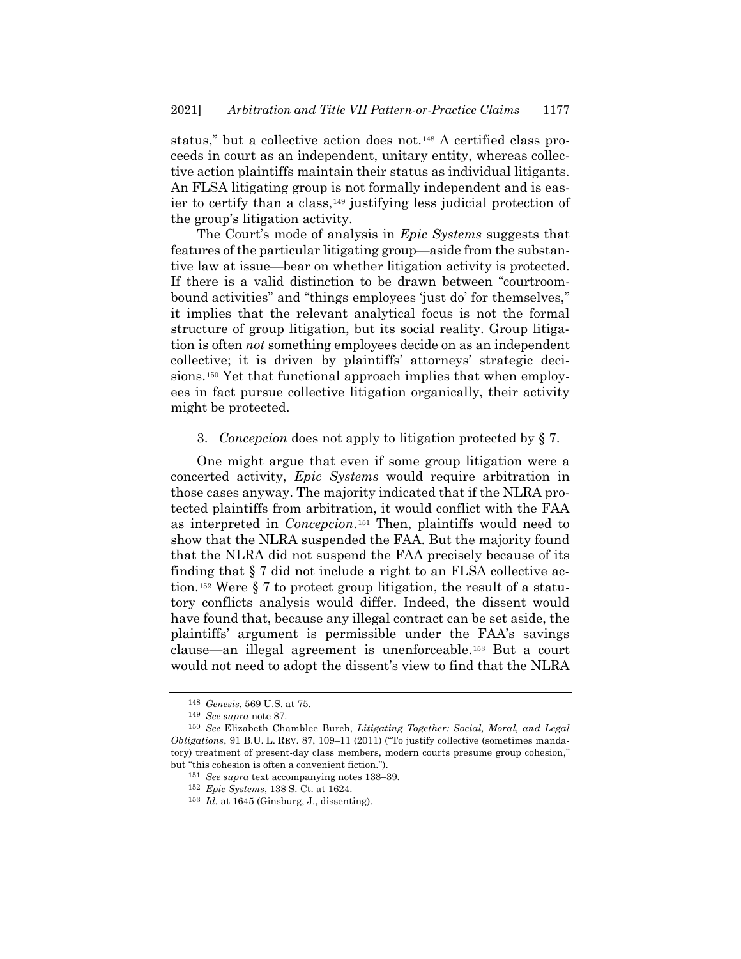status," but a collective action does not.<sup>148</sup> A certified class proceeds in court as an independent, unitary entity, whereas collective action plaintiffs maintain their status as individual litigants. An FLSA litigating group is not formally independent and is easier to certify than a class,<sup>149</sup> justifying less judicial protection of the group's litigation activity.

The Court's mode of analysis in *Epic Systems* suggests that features of the particular litigating group—aside from the substantive law at issue—bear on whether litigation activity is protected. If there is a valid distinction to be drawn between "courtroombound activities" and "things employees 'just do' for themselves," it implies that the relevant analytical focus is not the formal structure of group litigation, but its social reality. Group litigation is often *not* something employees decide on as an independent collective; it is driven by plaintiffs' attorneys' strategic decisions.<sup>150</sup> Yet that functional approach implies that when employees in fact pursue collective litigation organically, their activity might be protected.

#### <span id="page-20-1"></span><span id="page-20-0"></span>3. *Concepcion* does not apply to litigation protected by § 7.

One might argue that even if some group litigation were a concerted activity, *Epic Systems* would require arbitration in those cases anyway. The majority indicated that if the NLRA protected plaintiffs from arbitration, it would conflict with the FAA as interpreted in *Concepcion*.<sup>151</sup> Then, plaintiffs would need to show that the NLRA suspended the FAA. But the majority found that the NLRA did not suspend the FAA precisely because of its finding that § 7 did not include a right to an FLSA collective action.<sup>152</sup> Were § 7 to protect group litigation, the result of a statutory conflicts analysis would differ. Indeed, the dissent would have found that, because any illegal contract can be set aside, the plaintiffs' argument is permissible under the FAA's savings clause—an illegal agreement is unenforceable.<sup>153</sup> But a court would not need to adopt the dissent's view to find that the NLRA

<sup>148</sup> *Genesis*, 569 U.S. at 75.

<sup>149</sup> *See supra* note [87.](#page-12-3)

<sup>150</sup> *See* Elizabeth Chamblee Burch, *Litigating Together: Social, Moral, and Legal Obligations*, 91 B.U. L. REV. 87, 109–11 (2011) ("To justify collective (sometimes mandatory) treatment of present-day class members, modern courts presume group cohesion," but "this cohesion is often a convenient fiction.").

<sup>151</sup> *See supra* text accompanying note[s 138](#page-18-0)–39.

<sup>152</sup> *Epic Systems*, 138 S. Ct. at 1624.

<sup>153</sup> *Id.* at 1645 (Ginsburg, J., dissenting).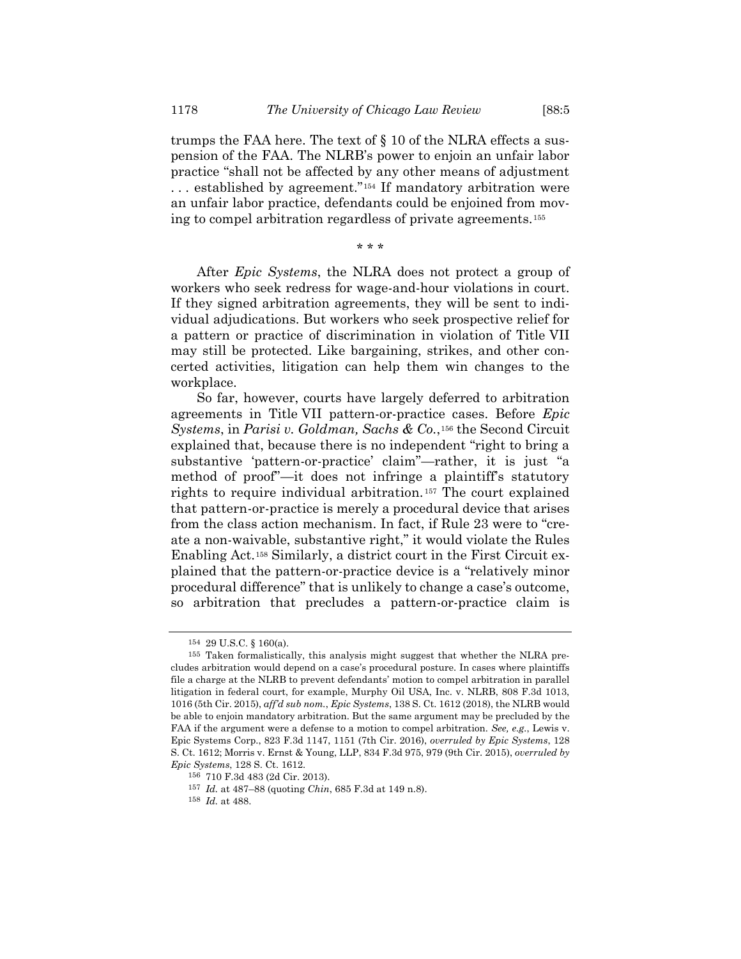trumps the FAA here. The text of § 10 of the NLRA effects a suspension of the FAA. The NLRB's power to enjoin an unfair labor practice "shall not be affected by any other means of adjustment ... established by agreement."<sup>154</sup> If mandatory arbitration were an unfair labor practice, defendants could be enjoined from moving to compel arbitration regardless of private agreements.*15F* 155

\* \* \*

After *Epic Systems*, the NLRA does not protect a group of workers who seek redress for wage-and-hour violations in court. If they signed arbitration agreements, they will be sent to individual adjudications. But workers who seek prospective relief for a pattern or practice of discrimination in violation of Title VII may still be protected. Like bargaining, strikes, and other concerted activities, litigation can help them win changes to the workplace.

So far, however, courts have largely deferred to arbitration agreements in Title VII pattern-or-practice cases. Before *Epic Systems, in Parisi v. Goldman, Sachs & Co.,*<sup>156</sup> the Second Circuit explained that, because there is no independent "right to bring a substantive 'pattern-or-practice' claim"—rather, it is just "a method of proof"—it does not infringe a plaintiff's statutory rights to require individual arbitration.<sup>157</sup> The court explained that pattern-or-practice is merely a procedural device that arises from the class action mechanism. In fact, if Rule 23 were to "create a non-waivable, substantive right," it would violate the Rules Enabling Act.<sup>158</sup> Similarly, a district court in the First Circuit explained that the pattern-or-practice device is a "relatively minor procedural difference" that is unlikely to change a case's outcome, so arbitration that precludes a pattern-or-practice claim is

<sup>154</sup> 29 U.S.C. § 160(a).

<sup>155</sup> Taken formalistically, this analysis might suggest that whether the NLRA precludes arbitration would depend on a case's procedural posture. In cases where plaintiffs file a charge at the NLRB to prevent defendants' motion to compel arbitration in parallel litigation in federal court, for example, Murphy Oil USA, Inc. v. NLRB, 808 F.3d 1013, 1016 (5th Cir. 2015), *aff'd sub nom.*, *Epic Systems*, 138 S. Ct. 1612 (2018), the NLRB would be able to enjoin mandatory arbitration. But the same argument may be precluded by the FAA if the argument were a defense to a motion to compel arbitration. *See, e.g.*, Lewis v. Epic Systems Corp., 823 F.3d 1147, 1151 (7th Cir. 2016), *overruled by Epic Systems*, 128 S. Ct. 1612; Morris v. Ernst & Young, LLP, 834 F.3d 975, 979 (9th Cir. 2015), *overruled by Epic Systems*, 128 S. Ct. 1612.

<sup>156</sup> 710 F.3d 483 (2d Cir. 2013).

<sup>157</sup> *Id.* at 487–88 (quoting *Chin*, 685 F.3d at 149 n.8).

<sup>158</sup> *Id.* at 488.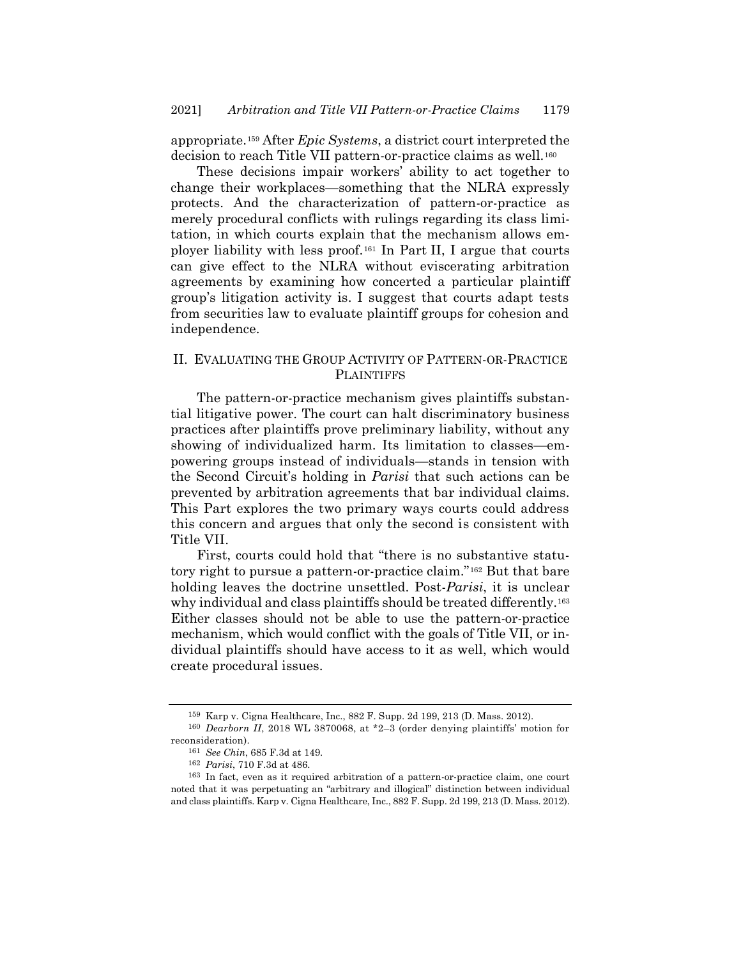appropriate.<sup>159</sup> After *Epic Systems*, a district court interpreted the decision to reach Title VII pattern-or-practice claims as well.<sup>160</sup>

These decisions impair workers' ability to act together to change their workplaces—something that the NLRA expressly protects. And the characterization of pattern-or-practice as merely procedural conflicts with rulings regarding its class limitation, in which courts explain that the mechanism allows employer liability with less proof.<sup>161</sup> In Part II, I argue that courts can give effect to the NLRA without eviscerating arbitration agreements by examining how concerted a particular plaintiff group's litigation activity is. I suggest that courts adapt tests from securities law to evaluate plaintiff groups for cohesion and independence.

# II. EVALUATING THE GROUP ACTIVITY OF PATTERN-OR-PRACTICE PLAINTIFFS

The pattern-or-practice mechanism gives plaintiffs substantial litigative power. The court can halt discriminatory business practices after plaintiffs prove preliminary liability, without any showing of individualized harm. Its limitation to classes—empowering groups instead of individuals—stands in tension with the Second Circuit's holding in *Parisi* that such actions can be prevented by arbitration agreements that bar individual claims. This Part explores the two primary ways courts could address this concern and argues that only the second is consistent with Title VII.

First, courts could hold that "there is no substantive statutory right to pursue a pattern-or-practice claim."<sup>162</sup> But that bare holding leaves the doctrine unsettled. Post-*Parisi*, it is unclear why individual and class plaintiffs should be treated differently.<sup>163</sup> Either classes should not be able to use the pattern-or-practice mechanism, which would conflict with the goals of Title VII, or individual plaintiffs should have access to it as well, which would create procedural issues.

<sup>159</sup> Karp v. Cigna Healthcare, Inc., 882 F. Supp. 2d 199, 213 (D. Mass. 2012).

<sup>160</sup> *Dearborn II*, 2018 WL 3870068, at \*2–3 (order denying plaintiffs' motion for reconsideration).

<sup>161</sup> *See Chin*, 685 F.3d at 149.

<sup>162</sup> *Parisi*, 710 F.3d at 486.

<sup>163</sup> In fact, even as it required arbitration of a pattern-or-practice claim, one court noted that it was perpetuating an "arbitrary and illogical" distinction between individual and class plaintiffs. Karp v. Cigna Healthcare, Inc., 882 F. Supp. 2d 199, 213 (D. Mass. 2012).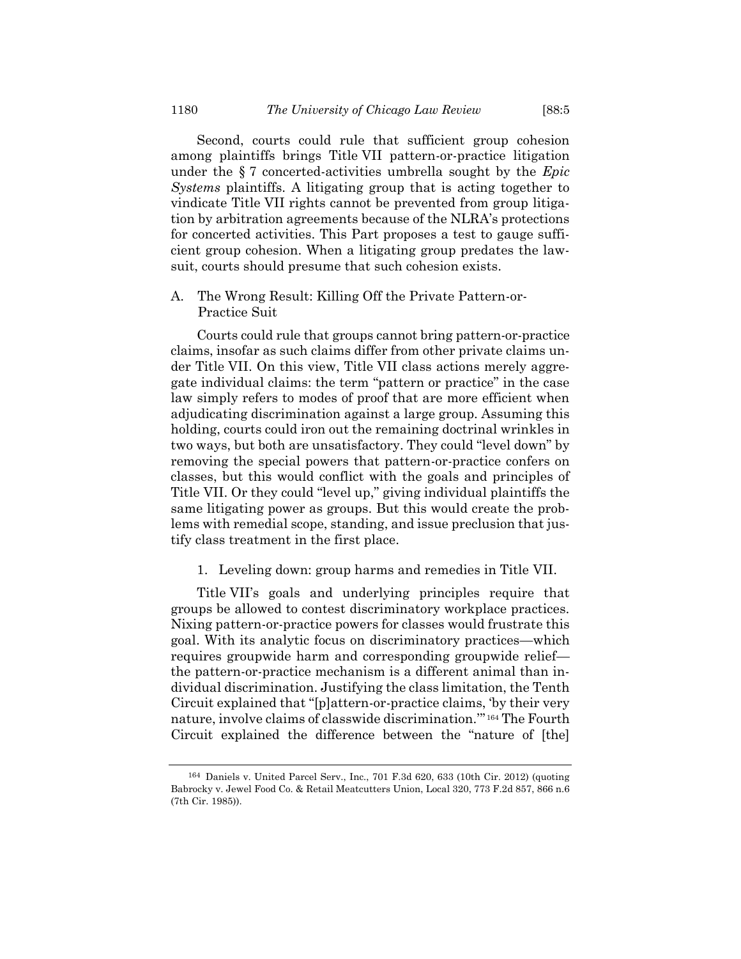Second, courts could rule that sufficient group cohesion among plaintiffs brings Title VII pattern-or-practice litigation under the § 7 concerted-activities umbrella sought by the *Epic Systems* plaintiffs. A litigating group that is acting together to vindicate Title VII rights cannot be prevented from group litigation by arbitration agreements because of the NLRA's protections for concerted activities. This Part proposes a test to gauge sufficient group cohesion. When a litigating group predates the lawsuit, courts should presume that such cohesion exists.

A. The Wrong Result: Killing Off the Private Pattern-or-Practice Suit

Courts could rule that groups cannot bring pattern-or-practice claims, insofar as such claims differ from other private claims under Title VII. On this view, Title VII class actions merely aggregate individual claims: the term "pattern or practice" in the case law simply refers to modes of proof that are more efficient when adjudicating discrimination against a large group. Assuming this holding, courts could iron out the remaining doctrinal wrinkles in two ways, but both are unsatisfactory. They could "level down" by removing the special powers that pattern-or-practice confers on classes, but this would conflict with the goals and principles of Title VII. Or they could "level up," giving individual plaintiffs the same litigating power as groups. But this would create the problems with remedial scope, standing, and issue preclusion that justify class treatment in the first place.

1. Leveling down: group harms and remedies in Title VII.

Title VII's goals and underlying principles require that groups be allowed to contest discriminatory workplace practices. Nixing pattern-or-practice powers for classes would frustrate this goal. With its analytic focus on discriminatory practices—which requires groupwide harm and corresponding groupwide relief the pattern-or-practice mechanism is a different animal than individual discrimination. Justifying the class limitation, the Tenth Circuit explained that "[p]attern-or-practice claims, 'by their very nature, involve claims of classwide discrimination."<sup>164</sup> The Fourth Circuit explained the difference between the "nature of [the]

<sup>164</sup> Daniels v. United Parcel Serv., Inc., 701 F.3d 620, 633 (10th Cir. 2012) (quoting Babrocky v. Jewel Food Co. & Retail Meatcutters Union, Local 320, 773 F.2d 857, 866 n.6 (7th Cir. 1985)).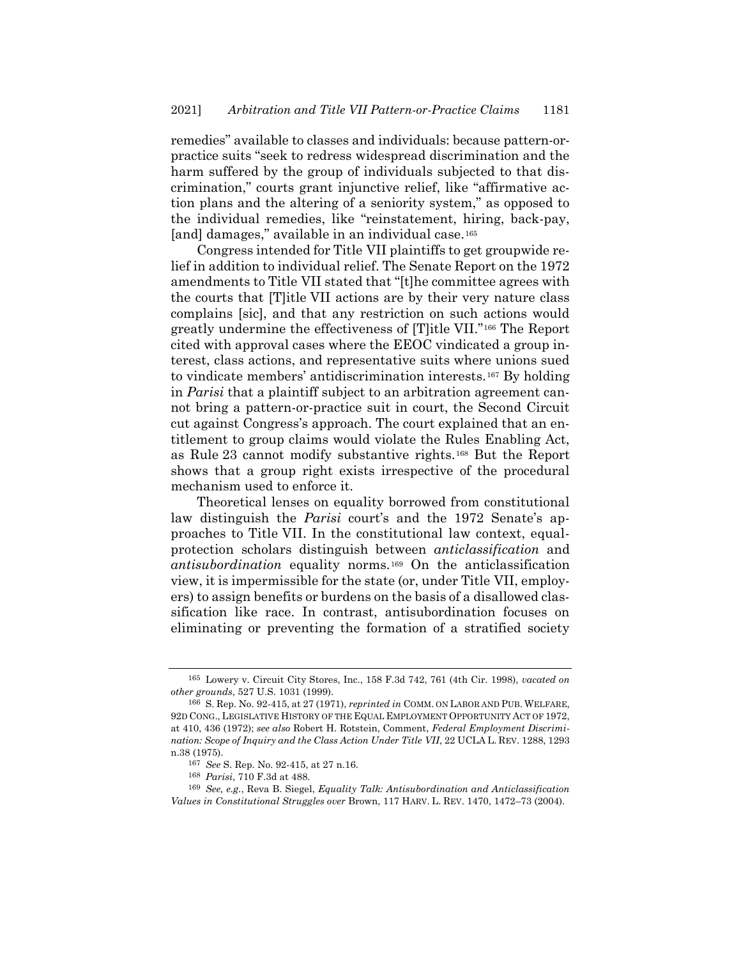remedies" available to classes and individuals: because pattern-orpractice suits "seek to redress widespread discrimination and the harm suffered by the group of individuals subjected to that discrimination," courts grant injunctive relief, like "affirmative action plans and the altering of a seniority system," as opposed to the individual remedies, like "reinstatement, hiring, back-pay, [and] damages," available in an individual case.<sup>165</sup>

<span id="page-24-0"></span>Congress intended for Title VII plaintiffs to get groupwide relief in addition to individual relief. The Senate Report on the 1972 amendments to Title VII stated that "[t]he committee agrees with the courts that [T]itle VII actions are by their very nature class complains [sic], and that any restriction on such actions would greatly undermine the effectiveness of [T]itle VII."<sup>166</sup> The Report cited with approval cases where the EEOC vindicated a group interest, class actions, and representative suits where unions sued to vindicate members' antidiscrimination interests.<sup>167</sup> By holding in *Parisi* that a plaintiff subject to an arbitration agreement cannot bring a pattern-or-practice suit in court, the Second Circuit cut against Congress's approach. The court explained that an entitlement to group claims would violate the Rules Enabling Act, as Rule 23 cannot modify substantive rights.<sup>168</sup> But the Report shows that a group right exists irrespective of the procedural mechanism used to enforce it.

Theoretical lenses on equality borrowed from constitutional law distinguish the *Parisi* court's and the 1972 Senate's approaches to Title VII. In the constitutional law context, equalprotection scholars distinguish between *anticlassification* and antisubordination equality norms.<sup>169</sup> On the anticlassification view, it is impermissible for the state (or, under Title VII, employers) to assign benefits or burdens on the basis of a disallowed classification like race. In contrast, antisubordination focuses on eliminating or preventing the formation of a stratified society

<sup>165</sup> Lowery v. Circuit City Stores, Inc., 158 F.3d 742, 761 (4th Cir. 1998), *vacated on other grounds*, 527 U.S. 1031 (1999).

<sup>166</sup> S. Rep. No. 92-415, at 27 (1971), *reprinted in* COMM. ON LABOR AND PUB. WELFARE, 92D CONG., LEGISLATIVE HISTORY OF THE EQUAL EMPLOYMENT OPPORTUNITY ACT OF 1972, at 410, 436 (1972); *see also* Robert H. Rotstein, Comment, *Federal Employment Discrimination: Scope of Inquiry and the Class Action Under Title VII*, 22 UCLA L. REV. 1288, 1293 n.38 (1975).

<sup>167</sup> *See* S. Rep. No. 92-415, at 27 n.16.

<sup>168</sup> *Parisi*, 710 F.3d at 488.

<sup>169</sup> *See, e.g.*, Reva B. Siegel, *Equality Talk: Antisubordination and Anticlassification Values in Constitutional Struggles over* Brown, 117 HARV. L. REV. 1470, 1472–73 (2004).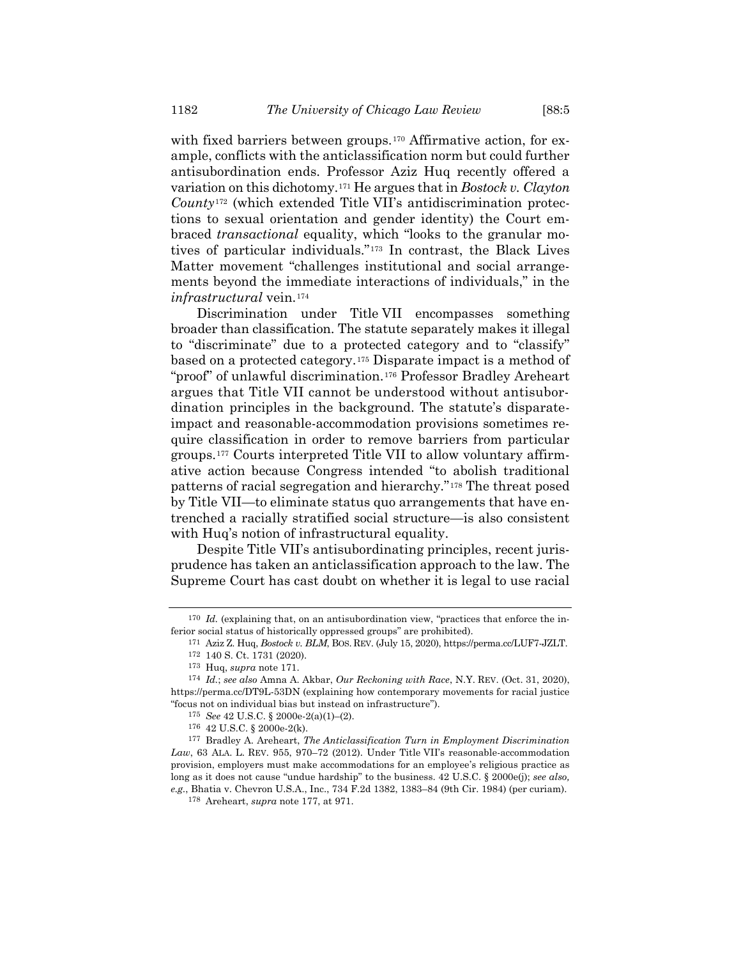<span id="page-25-0"></span>with fixed barriers between groups.<sup>170</sup> Affirmative action, for example, conflicts with the anticlassification norm but could further antisubordination ends. Professor Aziz Huq recently offered a variation on this dichotomy.<sup>171</sup> He argues that in *Bostock v. Clayton* County<sup>172</sup> (which extended Title VII's antidiscrimination protections to sexual orientation and gender identity) the Court embraced *transactional* equality, which "looks to the granular motives of particular individuals."<sup>173</sup> In contrast, the Black Lives Matter movement "challenges institutional and social arrangements beyond the immediate interactions of individuals," in the  $in$ *frastructural* vein.<sup>174</sup>

<span id="page-25-2"></span>Discrimination under Title VII encompasses something broader than classification. The statute separately makes it illegal to "discriminate" due to a protected category and to "classify" based on a protected category.<sup>175</sup> Disparate impact is a method of "proof" of unlawful discrimination.<sup>176</sup> Professor Bradley Areheart argues that Title VII cannot be understood without antisubordination principles in the background. The statute's disparateimpact and reasonable-accommodation provisions sometimes require classification in order to remove barriers from particular groups.*17F* <sup>177</sup> Courts interpreted Title VII to allow voluntary affirmative action because Congress intended "to abolish traditional patterns of racial segregation and hierarchy."<sup>178</sup> The threat posed by Title VII—to eliminate status quo arrangements that have entrenched a racially stratified social structure—is also consistent with Huq's notion of infrastructural equality.

<span id="page-25-1"></span>Despite Title VII's antisubordinating principles, recent jurisprudence has taken an anticlassification approach to the law. The Supreme Court has cast doubt on whether it is legal to use racial

<sup>&</sup>lt;sup>170</sup> *Id.* (explaining that, on an antisubordination view, "practices that enforce the inferior social status of historically oppressed groups" are prohibited).

<sup>171</sup> Aziz Z. Huq, *Bostock v. BLM*, BOS. REV. (July 15, 2020), https://perma.cc/LUF7-JZLT.

<sup>172</sup> 140 S. Ct. 1731 (2020).

<sup>173</sup> Huq, *supra* note [171.](#page-25-0)

<sup>174</sup> *Id.*; *see also* Amna A. Akbar, *Our Reckoning with Race*, N.Y. REV. (Oct. 31, 2020), https://perma.cc/DT9L-53DN (explaining how contemporary movements for racial justice "focus not on individual bias but instead on infrastructure").

<sup>175</sup> *See* 42 U.S.C. § 2000e-2(a)(1)–(2).

<sup>176</sup> 42 U.S.C. § 2000e-2(k).

<sup>177</sup> Bradley A. Areheart, *The Anticlassification Turn in Employment Discrimination Law*, 63 ALA. L. REV. 955, 970–72 (2012). Under Title VII's reasonable-accommodation provision, employers must make accommodations for an employee's religious practice as long as it does not cause "undue hardship" to the business. 42 U.S.C. § 2000e(j); *see also, e.g.*, Bhatia v. Chevron U.S.A., Inc., 734 F.2d 1382, 1383–84 (9th Cir. 1984) (per curiam).

<sup>178</sup> Areheart, *supra* not[e 177,](#page-25-1) at 971.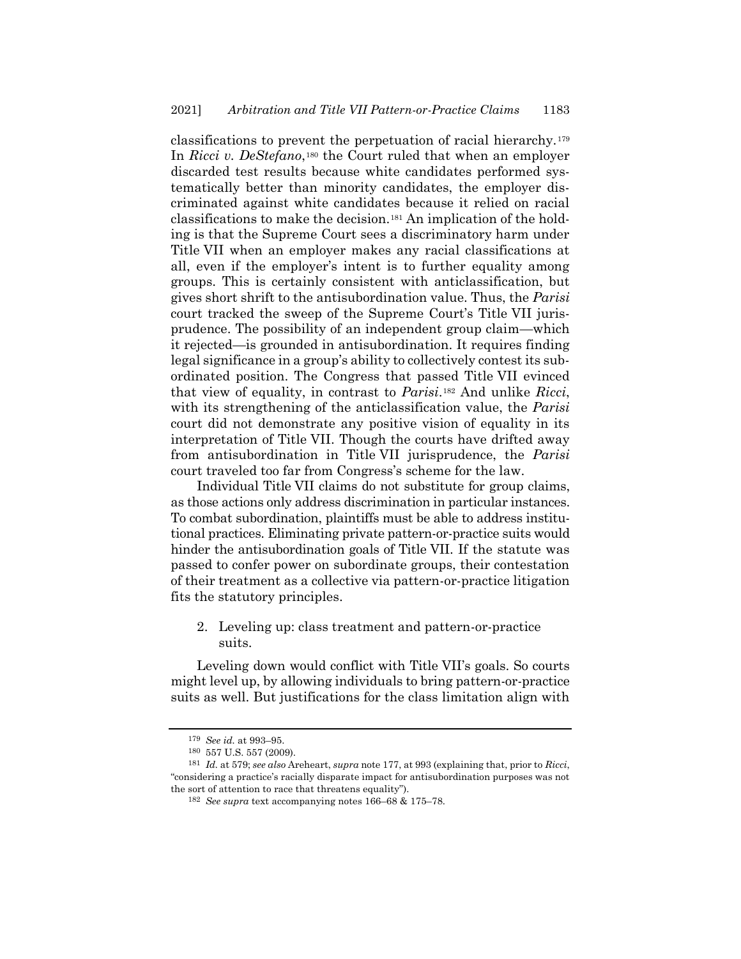classifications to prevent the perpetuation of racial hierarchy.<sup>179</sup> In *Ricci v. DeStefano*,<sup>180</sup> the Court ruled that when an employer discarded test results because white candidates performed systematically better than minority candidates, the employer discriminated against white candidates because it relied on racial classifications to make the decision.<sup>181</sup> An implication of the holding is that the Supreme Court sees a discriminatory harm under Title VII when an employer makes any racial classifications at all, even if the employer's intent is to further equality among groups. This is certainly consistent with anticlassification, but gives short shrift to the antisubordination value. Thus, the *Parisi* court tracked the sweep of the Supreme Court's Title VII jurisprudence. The possibility of an independent group claim—which it rejected—is grounded in antisubordination. It requires finding legal significance in a group's ability to collectively contest its subordinated position. The Congress that passed Title VII evinced that view of equality, in contrast to *Parisi*.<sup>182</sup> And unlike *Ricci*, with its strengthening of the anticlassification value, the *Parisi* court did not demonstrate any positive vision of equality in its interpretation of Title VII. Though the courts have drifted away from antisubordination in Title VII jurisprudence, the *Parisi* court traveled too far from Congress's scheme for the law.

Individual Title VII claims do not substitute for group claims, as those actions only address discrimination in particular instances. To combat subordination, plaintiffs must be able to address institutional practices. Eliminating private pattern-or-practice suits would hinder the antisubordination goals of Title VII. If the statute was passed to confer power on subordinate groups, their contestation of their treatment as a collective via pattern-or-practice litigation fits the statutory principles.

2. Leveling up: class treatment and pattern-or-practice suits.

Leveling down would conflict with Title VII's goals. So courts might level up, by allowing individuals to bring pattern-or-practice suits as well. But justifications for the class limitation align with

<sup>179</sup> *See id.* at 993–95.

<sup>180</sup> 557 U.S. 557 (2009).

<sup>181</sup> *Id.* at 579; *see also* Areheart, *supra* not[e 177,](#page-25-1) at 993 (explaining that, prior to *Ricci*, "considering a practice's racially disparate impact for antisubordination purposes was not the sort of attention to race that threatens equality").

<sup>182</sup> *See supra* text accompanying note[s 166](#page-24-0)–68 & [175](#page-25-2)–78.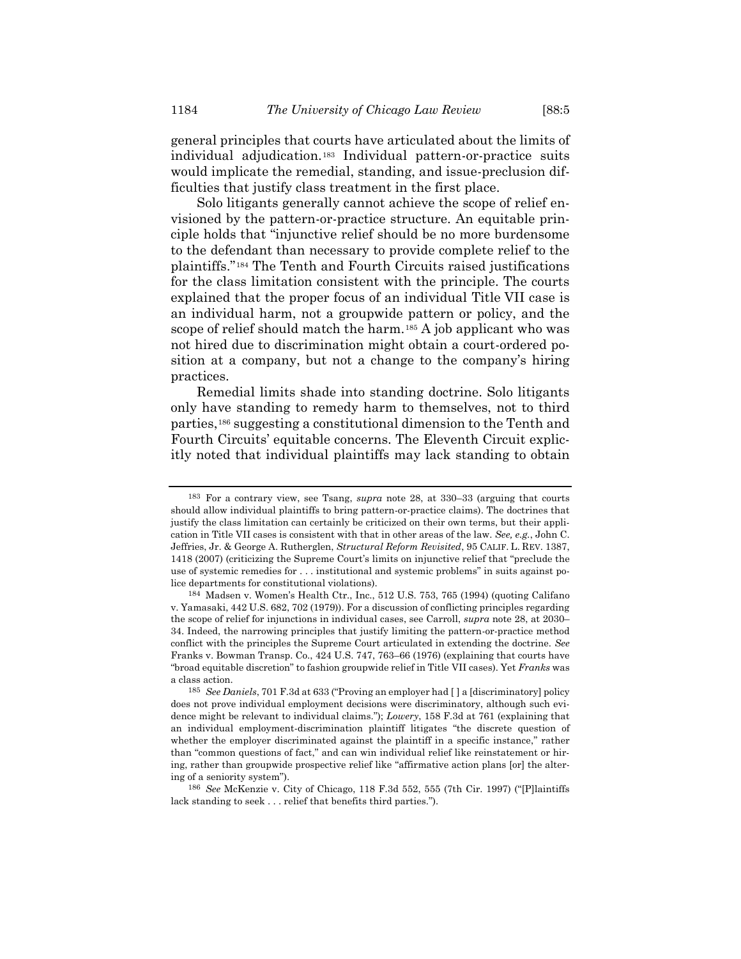general principles that courts have articulated about the limits of individual adjudication.<sup>183</sup> Individual pattern-or-practice suits would implicate the remedial, standing, and issue-preclusion difficulties that justify class treatment in the first place.

Solo litigants generally cannot achieve the scope of relief envisioned by the pattern-or-practice structure. An equitable principle holds that "injunctive relief should be no more burdensome to the defendant than necessary to provide complete relief to the plaintiffs."<sup>184</sup> The Tenth and Fourth Circuits raised justifications for the class limitation consistent with the principle. The courts explained that the proper focus of an individual Title VII case is an individual harm, not a groupwide pattern or policy, and the scope of relief should match the harm.<sup>185</sup> A job applicant who was not hired due to discrimination might obtain a court-ordered position at a company, but not a change to the company's hiring practices.

Remedial limits shade into standing doctrine. Solo litigants only have standing to remedy harm to themselves, not to third parties,<sup>186</sup> suggesting a constitutional dimension to the Tenth and Fourth Circuits' equitable concerns. The Eleventh Circuit explicitly noted that individual plaintiffs may lack standing to obtain

<sup>183</sup> For a contrary view, see Tsang, *supra* note [28,](#page-4-0) at 330–33 (arguing that courts should allow individual plaintiffs to bring pattern-or-practice claims). The doctrines that justify the class limitation can certainly be criticized on their own terms, but their application in Title VII cases is consistent with that in other areas of the law. *See, e.g.*, John C. Jeffries, Jr. & George A. Rutherglen, *Structural Reform Revisited*, 95 CALIF. L. REV. 1387, 1418 (2007) (criticizing the Supreme Court's limits on injunctive relief that "preclude the use of systemic remedies for . . . institutional and systemic problems" in suits against police departments for constitutional violations).

<sup>184</sup> Madsen v. Women's Health Ctr., Inc., 512 U.S. 753, 765 (1994) (quoting Califano v. Yamasaki, 442 U.S. 682, 702 (1979)). For a discussion of conflicting principles regarding the scope of relief for injunctions in individual cases, see Carroll, *supra* note [28,](#page-4-0) at 2030– 34. Indeed, the narrowing principles that justify limiting the pattern-or-practice method conflict with the principles the Supreme Court articulated in extending the doctrine. *See* Franks v. Bowman Transp. Co., 424 U.S. 747, 763–66 (1976) (explaining that courts have "broad equitable discretion" to fashion groupwide relief in Title VII cases). Yet *Franks* was a class action.

<sup>185</sup> *See Daniels*, 701 F.3d at 633 ("Proving an employer had [ ] a [discriminatory] policy does not prove individual employment decisions were discriminatory, although such evidence might be relevant to individual claims."); *Lowery*, 158 F.3d at 761 (explaining that an individual employment-discrimination plaintiff litigates "the discrete question of whether the employer discriminated against the plaintiff in a specific instance," rather than "common questions of fact," and can win individual relief like reinstatement or hiring, rather than groupwide prospective relief like "affirmative action plans [or] the altering of a seniority system").

<sup>186</sup> *See* McKenzie v. City of Chicago, 118 F.3d 552, 555 (7th Cir. 1997) ("[P]laintiffs lack standing to seek . . . relief that benefits third parties.").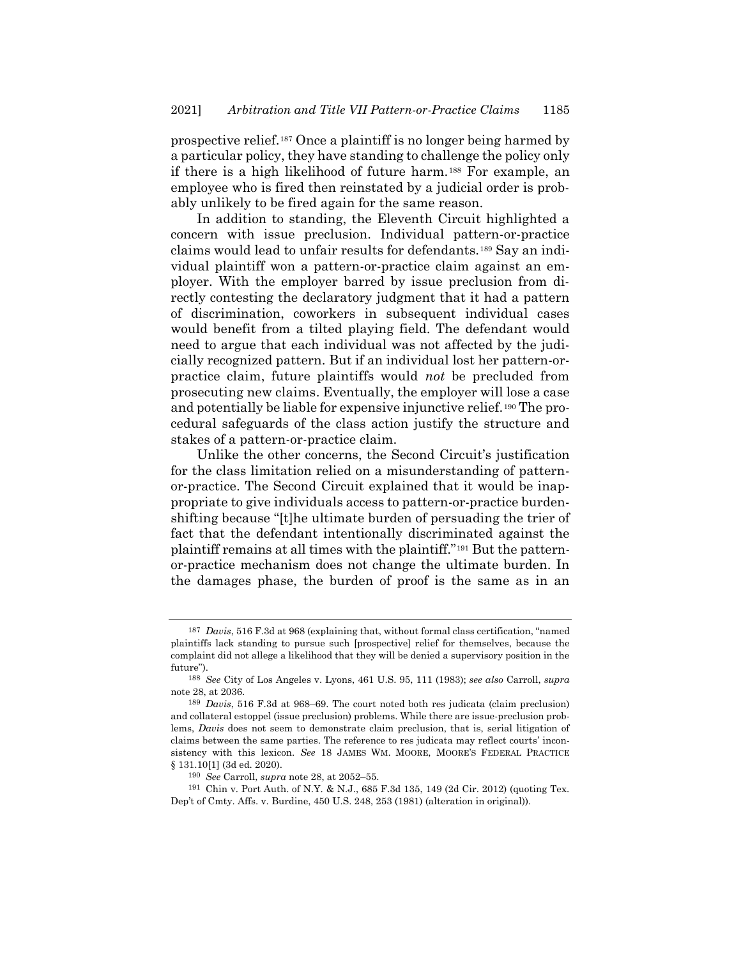prospective relief.<sup>187</sup> Once a plaintiff is no longer being harmed by a particular policy, they have standing to challenge the policy only if there is a high likelihood of future harm.<sup>188</sup> For example, an employee who is fired then reinstated by a judicial order is probably unlikely to be fired again for the same reason.

In addition to standing, the Eleventh Circuit highlighted a concern with issue preclusion. Individual pattern-or-practice claims would lead to unfair results for defendants.<sup>189</sup> Say an individual plaintiff won a pattern-or-practice claim against an employer. With the employer barred by issue preclusion from directly contesting the declaratory judgment that it had a pattern of discrimination, coworkers in subsequent individual cases would benefit from a tilted playing field. The defendant would need to argue that each individual was not affected by the judicially recognized pattern. But if an individual lost her pattern-orpractice claim, future plaintiffs would *not* be precluded from prosecuting new claims. Eventually, the employer will lose a case and potentially be liable for expensive injunctive relief.<sup>190</sup> The procedural safeguards of the class action justify the structure and stakes of a pattern-or-practice claim.

Unlike the other concerns, the Second Circuit's justification for the class limitation relied on a misunderstanding of patternor-practice. The Second Circuit explained that it would be inappropriate to give individuals access to pattern-or-practice burdenshifting because "[t]he ultimate burden of persuading the trier of fact that the defendant intentionally discriminated against the plaintiff remains at all times with the plaintiff."<sup>191</sup> But the patternor-practice mechanism does not change the ultimate burden. In the damages phase, the burden of proof is the same as in an

<sup>187</sup> *Davis*, 516 F.3d at 968 (explaining that, without formal class certification, "named plaintiffs lack standing to pursue such [prospective] relief for themselves, because the complaint did not allege a likelihood that they will be denied a supervisory position in the future").

<sup>188</sup> *See* City of Los Angeles v. Lyons, 461 U.S. 95, 111 (1983); *see also* Carroll, *supra* not[e 28,](#page-4-0) at 2036.

<sup>189</sup> *Davis*, 516 F.3d at 968–69. The court noted both res judicata (claim preclusion) and collateral estoppel (issue preclusion) problems. While there are issue-preclusion problems, *Davis* does not seem to demonstrate claim preclusion, that is, serial litigation of claims between the same parties. The reference to res judicata may reflect courts' inconsistency with this lexicon. *See* 18 JAMES WM. MOORE, MOORE'S FEDERAL PRACTICE § 131.10[1] (3d ed. 2020).

<sup>190</sup> *See* Carroll, *supra* note [28,](#page-4-0) at 2052–55.

<sup>191</sup> Chin v. Port Auth. of N.Y. & N.J., 685 F.3d 135, 149 (2d Cir. 2012) (quoting Tex. Dep't of Cmty. Affs. v. Burdine, 450 U.S. 248, 253 (1981) (alteration in original)).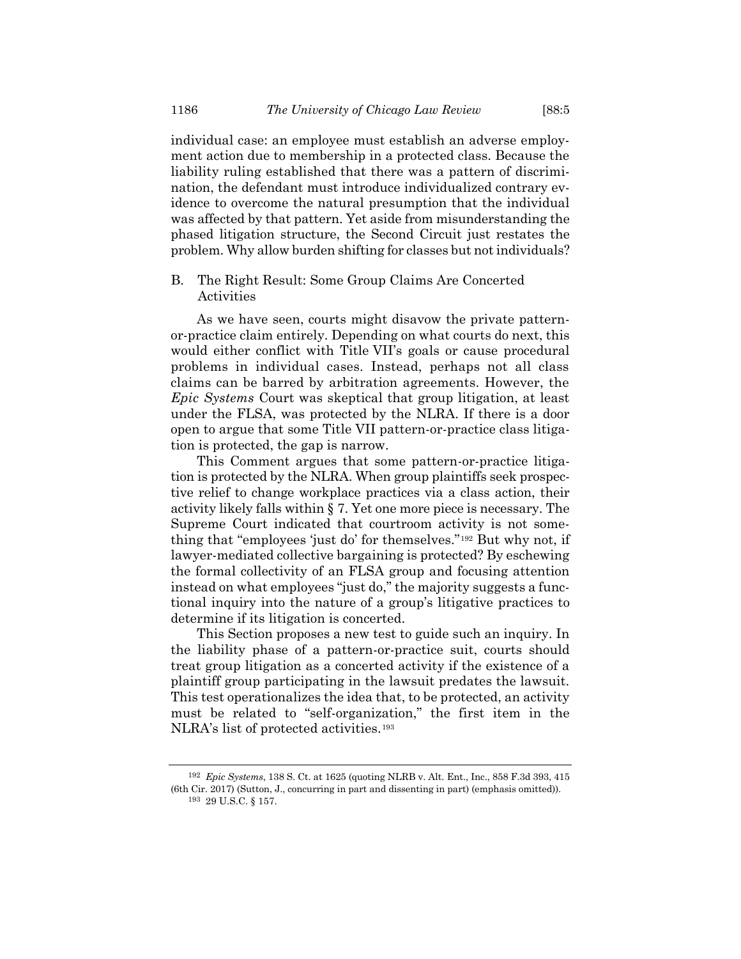individual case: an employee must establish an adverse employment action due to membership in a protected class. Because the liability ruling established that there was a pattern of discrimination, the defendant must introduce individualized contrary evidence to overcome the natural presumption that the individual was affected by that pattern. Yet aside from misunderstanding the phased litigation structure, the Second Circuit just restates the problem. Why allow burden shifting for classes but not individuals?

# B. The Right Result: Some Group Claims Are Concerted Activities

As we have seen, courts might disavow the private patternor-practice claim entirely. Depending on what courts do next, this would either conflict with Title VII's goals or cause procedural problems in individual cases. Instead, perhaps not all class claims can be barred by arbitration agreements. However, the *Epic Systems* Court was skeptical that group litigation, at least under the FLSA, was protected by the NLRA. If there is a door open to argue that some Title VII pattern-or-practice class litigation is protected, the gap is narrow.

This Comment argues that some pattern-or-practice litigation is protected by the NLRA. When group plaintiffs seek prospective relief to change workplace practices via a class action, their activity likely falls within § 7. Yet one more piece is necessary. The Supreme Court indicated that courtroom activity is not something that "employees 'just do' for themselves."<sup>192</sup> But why not, if lawyer-mediated collective bargaining is protected? By eschewing the formal collectivity of an FLSA group and focusing attention instead on what employees "just do," the majority suggests a functional inquiry into the nature of a group's litigative practices to determine if its litigation is concerted.

This Section proposes a new test to guide such an inquiry. In the liability phase of a pattern-or-practice suit, courts should treat group litigation as a concerted activity if the existence of a plaintiff group participating in the lawsuit predates the lawsuit. This test operationalizes the idea that, to be protected, an activity must be related to "self-organization," the first item in the NLRA's list of protected activities.<sup>193</sup>

<sup>192</sup> *Epic Systems*, 138 S. Ct. at 1625 (quoting NLRB v. Alt. Ent., Inc., 858 F.3d 393, 415 (6th Cir. 2017) (Sutton, J., concurring in part and dissenting in part) (emphasis omitted)).  $^{193}$  29 U.S.C.  $\S$  157.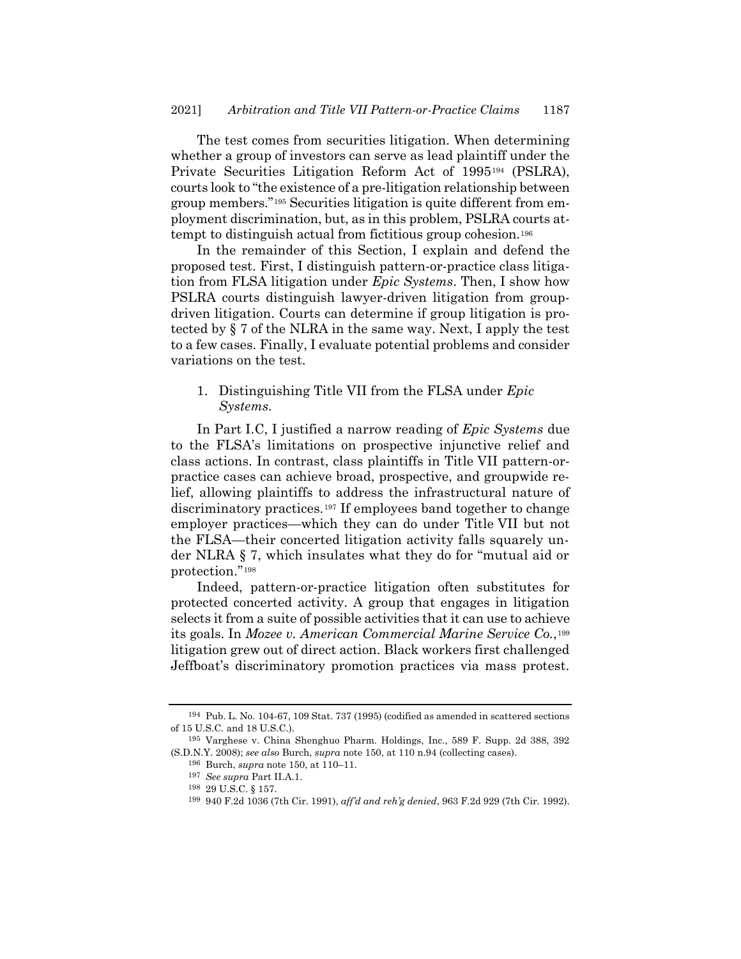The test comes from securities litigation. When determining whether a group of investors can serve as lead plaintiff under the Private Securities Litigation Reform Act of 1995<sup>194</sup> (PSLRA), courts look to "the existence of a pre-litigation relationship between group members."<sup>195</sup> Securities litigation is quite different from employment discrimination, but, as in this problem, PSLRA courts attempt to distinguish actual from fictitious group cohesion.<sup>196</sup>

In the remainder of this Section, I explain and defend the proposed test. First, I distinguish pattern-or-practice class litigation from FLSA litigation under *Epic Systems*. Then, I show how PSLRA courts distinguish lawyer-driven litigation from groupdriven litigation. Courts can determine if group litigation is protected by § 7 of the NLRA in the same way. Next, I apply the test to a few cases. Finally, I evaluate potential problems and consider variations on the test.

# 1. Distinguishing Title VII from the FLSA under *Epic Systems*.

In Part I.C, I justified a narrow reading of *Epic Systems* due to the FLSA's limitations on prospective injunctive relief and class actions. In contrast, class plaintiffs in Title VII pattern-orpractice cases can achieve broad, prospective, and groupwide relief, allowing plaintiffs to address the infrastructural nature of discriminatory practices.<sup>197</sup> If employees band together to change employer practices—which they can do under Title VII but not the FLSA—their concerted litigation activity falls squarely under NLRA § 7, which insulates what they do for "mutual aid or protection."<sup>198</sup>

Indeed, pattern-or-practice litigation often substitutes for protected concerted activity. A group that engages in litigation selects it from a suite of possible activities that it can use to achieve its goals. In *Mozee v. American Commercial Marine Service Co.*,<sup>199</sup> litigation grew out of direct action. Black workers first challenged Jeffboat's discriminatory promotion practices via mass protest.

<sup>194</sup> Pub. L. No. 104-67, 109 Stat. 737 (1995) (codified as amended in scattered sections of 15 U.S.C. and 18 U.S.C.).

<sup>195</sup> Varghese v. China Shenghuo Pharm. Holdings, Inc., 589 F. Supp. 2d 388, 392 (S.D.N.Y. 2008); *see also* Burch, *supra* note [150,](#page-20-0) at 110 n.94 (collecting cases).

<sup>196</sup> Burch, *supra* not[e 150,](#page-20-0) at 110–11.

<sup>197</sup> *See supra* Part II.A.1.

<sup>198</sup> 29 U.S.C. § 157.

<sup>199</sup> 940 F.2d 1036 (7th Cir. 1991), *aff'd and reh'g denied*, 963 F.2d 929 (7th Cir. 1992).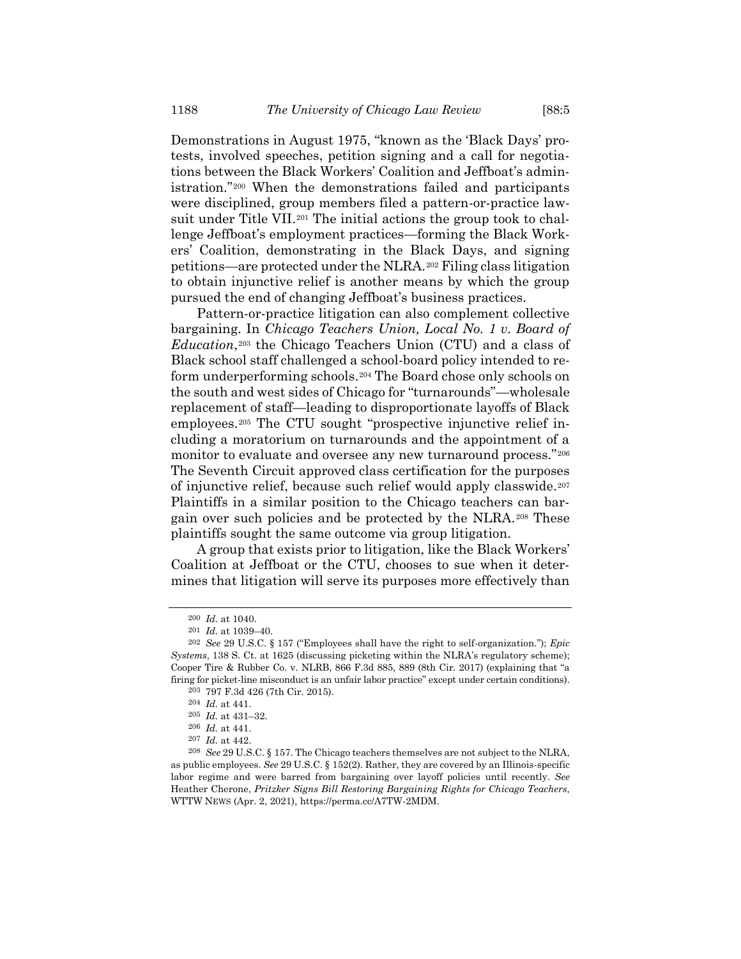Demonstrations in August 1975, "known as the 'Black Days' protests, involved speeches, petition signing and a call for negotiations between the Black Workers' Coalition and Jeffboat's administration."<sup>200</sup> When the demonstrations failed and participants were disciplined, group members filed a pattern-or-practice lawsuit under Title VII.<sup>201</sup> The initial actions the group took to challenge Jeffboat's employment practices—forming the Black Workers' Coalition, demonstrating in the Black Days, and signing petitions—are protected under the NLRA.*20F* <sup>202</sup> Filing class litigation to obtain injunctive relief is another means by which the group pursued the end of changing Jeffboat's business practices.

<span id="page-31-0"></span>Pattern-or-practice litigation can also complement collective bargaining. In *Chicago Teachers Union, Local No. 1 v. Board of Education*,<sup>203</sup> the Chicago Teachers Union (CTU) and a class of Black school staff challenged a school-board policy intended to reform underperforming schools.*204F* <sup>204</sup> The Board chose only schools on the south and west sides of Chicago for "turnarounds"—wholesale replacement of staff—leading to disproportionate layoffs of Black employees.<sup>205</sup> The CTU sought "prospective injunctive relief including a moratorium on turnarounds and the appointment of a monitor to evaluate and oversee any new turnaround process."<sup>206</sup> The Seventh Circuit approved class certification for the purposes of injunctive relief, because such relief would apply classwide.<sup>207</sup> Plaintiffs in a similar position to the Chicago teachers can bargain over such policies and be protected by the NLRA.<sup>208</sup> These plaintiffs sought the same outcome via group litigation.

A group that exists prior to litigation, like the Black Workers' Coalition at Jeffboat or the CTU, chooses to sue when it determines that litigation will serve its purposes more effectively than

<sup>200</sup> *Id.* at 1040.

<sup>201</sup> *Id.* at 1039–40.

<sup>202</sup> *See* 29 U.S.C. § 157 ("Employees shall have the right to self-organization."); *Epic Systems*, 138 S. Ct. at 1625 (discussing picketing within the NLRA's regulatory scheme); Cooper Tire & Rubber Co. v. NLRB, 866 F.3d 885, 889 (8th Cir. 2017) (explaining that "a firing for picket-line misconduct is an unfair labor practice" except under certain conditions).

<sup>203</sup> 797 F.3d 426 (7th Cir. 2015).

<sup>204</sup> *Id.* at 441.

<sup>205</sup> *Id.* at 431–32.

<sup>206</sup> *Id.* at 441.

<sup>207</sup> *Id.* at 442.

<sup>208</sup> *See* 29 U.S.C. § 157. The Chicago teachers themselves are not subject to the NLRA, as public employees. *See* 29 U.S.C. § 152(2). Rather, they are covered by an Illinois-specific labor regime and were barred from bargaining over layoff policies until recently. *See* Heather Cherone, *Pritzker Signs Bill Restoring Bargaining Rights for Chicago Teachers*, WTTW NEWS (Apr. 2, 2021), https://perma.cc/A7TW-2MDM.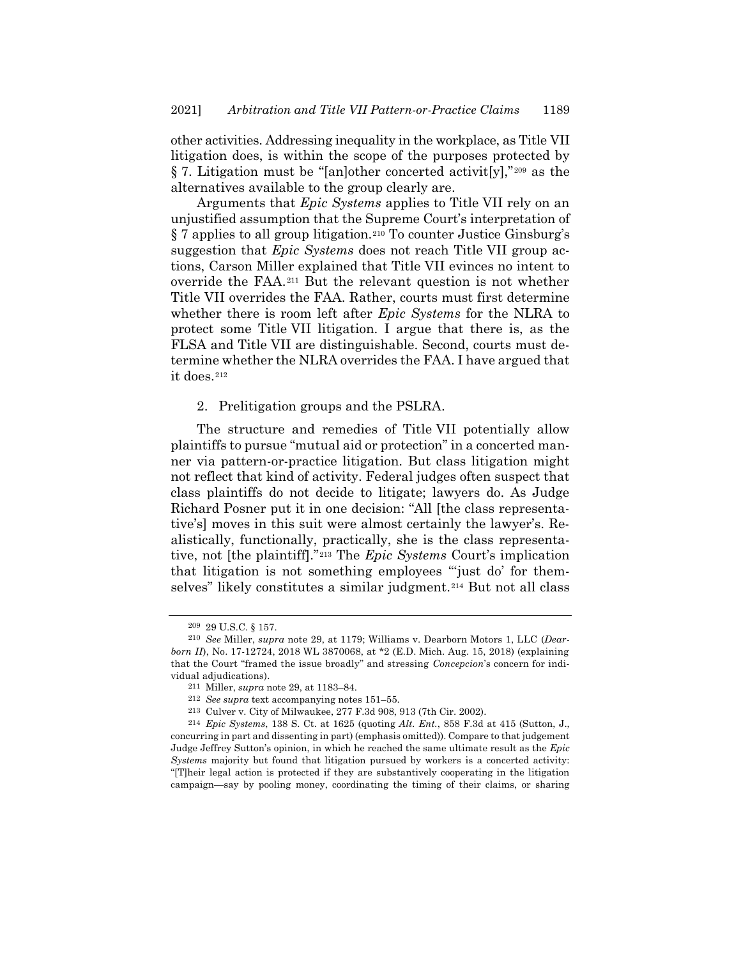other activities. Addressing inequality in the workplace, as Title VII litigation does, is within the scope of the purposes protected by § 7. Litigation must be "[an]other concerted activit[y],"<sup>209</sup> as the alternatives available to the group clearly are.

Arguments that *Epic Systems* applies to Title VII rely on an unjustified assumption that the Supreme Court's interpretation of § 7 applies to all group litigation.<sup>210</sup> To counter Justice Ginsburg's suggestion that *Epic Systems* does not reach Title VII group actions, Carson Miller explained that Title VII evinces no intent to override the FAA.<sup>211</sup> But the relevant question is not whether Title VII overrides the FAA. Rather, courts must first determine whether there is room left after *Epic Systems* for the NLRA to protect some Title VII litigation. I argue that there is, as the FLSA and Title VII are distinguishable. Second, courts must determine whether the NLRA overrides the FAA. I have argued that it does.<sup>212</sup>

## 2. Prelitigation groups and the PSLRA.

The structure and remedies of Title VII potentially allow plaintiffs to pursue "mutual aid or protection" in a concerted manner via pattern-or-practice litigation. But class litigation might not reflect that kind of activity. Federal judges often suspect that class plaintiffs do not decide to litigate; lawyers do. As Judge Richard Posner put it in one decision: "All [the class representative's] moves in this suit were almost certainly the lawyer's. Realistically, functionally, practically, she is the class representative, not [the plaintiff]."<sup>213</sup> The *Epic Systems* Court's implication that litigation is not something employees "'just do' for themselves" likely constitutes a similar judgment.<sup>214</sup> But not all class

<sup>209</sup> 29 U.S.C. § 157.

<sup>210</sup> *See* Miller, *supra* note [29,](#page-4-1) at 1179; Williams v. Dearborn Motors 1, LLC (*Dearborn II*), No. 17-12724, 2018 WL 3870068, at \*2 (E.D. Mich. Aug. 15, 2018) (explaining that the Court "framed the issue broadly" and stressing *Concepcion*'s concern for individual adjudications).

<sup>211</sup> Miller, *supra* not[e 29,](#page-4-1) at 1183–84.

<sup>212</sup> *See supra* text accompanying note[s 151](#page-20-1)–55.

<sup>213</sup> Culver v. City of Milwaukee, 277 F.3d 908, 913 (7th Cir. 2002).

<sup>214</sup> *Epic Systems*, 138 S. Ct. at 1625 (quoting *Alt. Ent.*, 858 F.3d at 415 (Sutton, J., concurring in part and dissenting in part) (emphasis omitted)). Compare to that judgement Judge Jeffrey Sutton's opinion, in which he reached the same ultimate result as the *Epic Systems* majority but found that litigation pursued by workers is a concerted activity: "[T]heir legal action is protected if they are substantively cooperating in the litigation campaign—say by pooling money, coordinating the timing of their claims, or sharing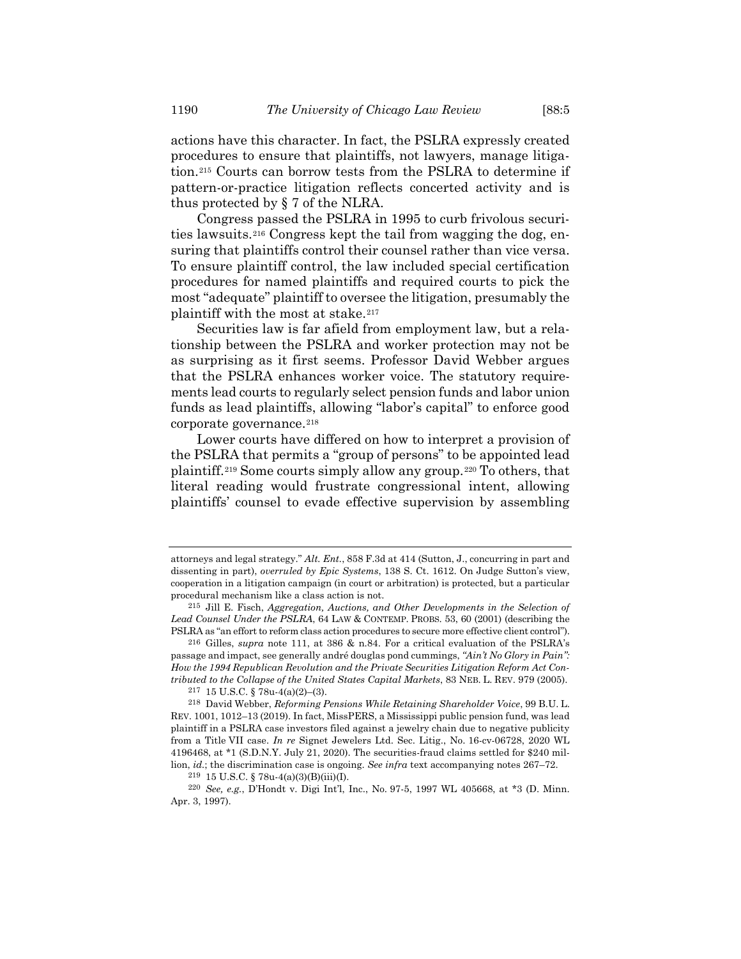actions have this character. In fact, the PSLRA expressly created procedures to ensure that plaintiffs, not lawyers, manage litigation.<sup>215</sup> Courts can borrow tests from the PSLRA to determine if pattern-or-practice litigation reflects concerted activity and is thus protected by § 7 of the NLRA.

Congress passed the PSLRA in 1995 to curb frivolous securities lawsuits.<sup>216</sup> Congress kept the tail from wagging the dog, ensuring that plaintiffs control their counsel rather than vice versa. To ensure plaintiff control, the law included special certification procedures for named plaintiffs and required courts to pick the most "adequate" plaintiff to oversee the litigation, presumably the plaintiff with the most at stake.<sup>217</sup>

Securities law is far afield from employment law, but a relationship between the PSLRA and worker protection may not be as surprising as it first seems. Professor David Webber argues that the PSLRA enhances worker voice. The statutory requirements lead courts to regularly select pension funds and labor union funds as lead plaintiffs, allowing "labor's capital" to enforce good corporate governance.<sup>218</sup>

Lower courts have differed on how to interpret a provision of the PSLRA that permits a "group of persons" to be appointed lead plaintiff.<sup>219</sup> Some courts simply allow any group.<sup>220</sup> To others, that literal reading would frustrate congressional intent, allowing plaintiffs' counsel to evade effective supervision by assembling

attorneys and legal strategy." *Alt. Ent.*, 858 F.3d at 414 (Sutton, J., concurring in part and dissenting in part), *overruled by Epic Systems*, 138 S. Ct. 1612. On Judge Sutton's view, cooperation in a litigation campaign (in court or arbitration) is protected, but a particular procedural mechanism like a class action is not.

<sup>215</sup> Jill E. Fisch, *Aggregation, Auctions, and Other Developments in the Selection of Lead Counsel Under the PSLRA*, 64 LAW & CONTEMP. PROBS. 53, 60 (2001) (describing the PSLRA as "an effort to reform class action procedures to secure more effective client control").

<sup>216</sup> Gilles, *supra* note [111,](#page-15-0) at 386 & n.84. For a critical evaluation of the PSLRA's passage and impact, see generally andré douglas pond cummings, *"Ain't No Glory in Pain": How the 1994 Republican Revolution and the Private Securities Litigation Reform Act Contributed to the Collapse of the United States Capital Markets*, 83 NEB. L. REV. 979 (2005).

<sup>217</sup> 15 U.S.C. § 78u-4(a)(2)–(3).

<sup>218</sup> David Webber, *Reforming Pensions While Retaining Shareholder Voice*, 99 B.U. L. REV. 1001, 1012–13 (2019). In fact, MissPERS, a Mississippi public pension fund, was lead plaintiff in a PSLRA case investors filed against a jewelry chain due to negative publicity from a Title VII case. *In re* Signet Jewelers Ltd. Sec. Litig., No. 16-cv-06728, 2020 WL 4196468, at \*1 (S.D.N.Y. July 21, 2020). The securities-fraud claims settled for \$240 million, *id.*; the discrimination case is ongoing. *See infra* text accompanying note[s 267](#page-41-0)–72.

<sup>219</sup> 15 U.S.C. § 78u-4(a)(3)(B)(iii)(I).

<sup>220</sup> *See, e.g.*, D'Hondt v. Digi Int'l, Inc., No. 97-5, 1997 WL 405668, at \*3 (D. Minn. Apr. 3, 1997).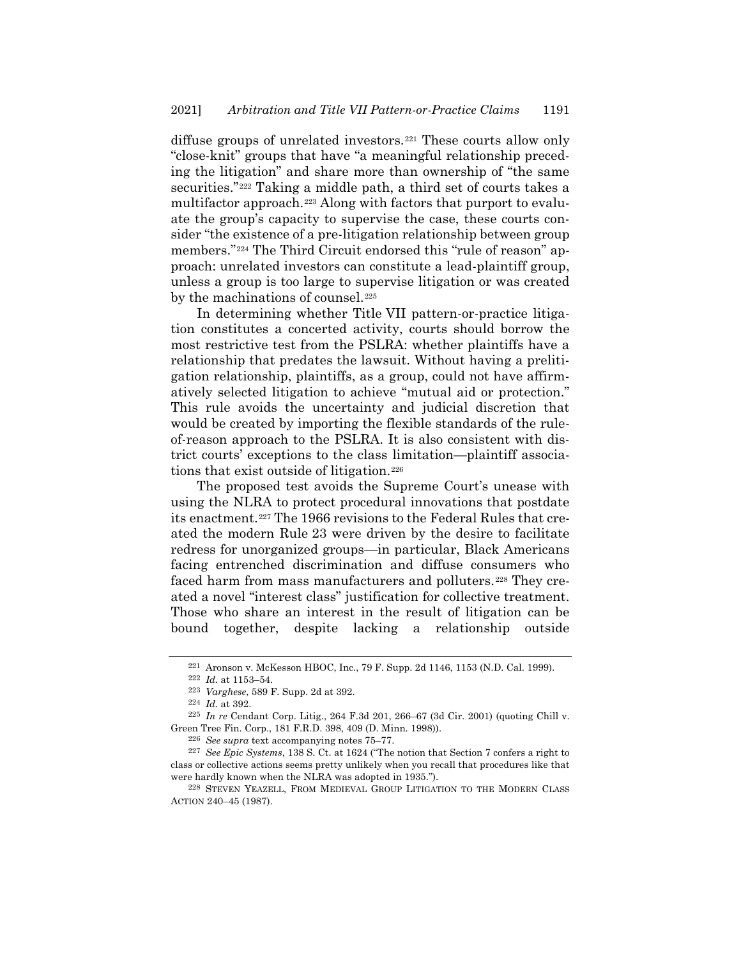diffuse groups of unrelated investors.<sup>221</sup> These courts allow only "close-knit" groups that have "a meaningful relationship preceding the litigation" and share more than ownership of "the same securities."<sup>222</sup> Taking a middle path, a third set of courts takes a multifactor approach.<sup>223</sup> Along with factors that purport to evaluate the group's capacity to supervise the case, these courts consider "the existence of a pre-litigation relationship between group members."<sup>224</sup> The Third Circuit endorsed this "rule of reason" approach: unrelated investors can constitute a lead-plaintiff group, unless a group is too large to supervise litigation or was created by the machinations of counsel.<sup>225</sup>

In determining whether Title VII pattern-or-practice litigation constitutes a concerted activity, courts should borrow the most restrictive test from the PSLRA: whether plaintiffs have a relationship that predates the lawsuit. Without having a prelitigation relationship, plaintiffs, as a group, could not have affirmatively selected litigation to achieve "mutual aid or protection." This rule avoids the uncertainty and judicial discretion that would be created by importing the flexible standards of the ruleof-reason approach to the PSLRA. It is also consistent with district courts' exceptions to the class limitation—plaintiff associations that exist outside of litigation.<sup>226</sup>

The proposed test avoids the Supreme Court's unease with using the NLRA to protect procedural innovations that postdate its enactment.<sup>227</sup> The 1966 revisions to the Federal Rules that created the modern Rule 23 were driven by the desire to facilitate redress for unorganized groups—in particular, Black Americans facing entrenched discrimination and diffuse consumers who faced harm from mass manufacturers and polluters.<sup>228</sup> They created a novel "interest class" justification for collective treatment. Those who share an interest in the result of litigation can be bound together, despite lacking a relationship outside

<sup>221</sup> Aronson v. McKesson HBOC, Inc., 79 F. Supp. 2d 1146, 1153 (N.D. Cal. 1999).

<sup>222</sup> *Id.* at 1153–54.

<sup>223</sup> *Varghese*, 589 F. Supp. 2d at 392.

<sup>224</sup> *Id.* at 392.

<sup>225</sup> *In re* Cendant Corp. Litig., 264 F.3d 201, 266–67 (3d Cir. 2001) (quoting Chill v. Green Tree Fin. Corp., 181 F.R.D. 398, 409 (D. Minn. 1998)).

<sup>226</sup> *See supra* text accompanying note[s 75](#page-11-2)–[77.](#page-11-0)

<sup>227</sup> *See Epic Systems*, 138 S. Ct. at 1624 ("The notion that Section 7 confers a right to class or collective actions seems pretty unlikely when you recall that procedures like that were hardly known when the NLRA was adopted in 1935.").

<sup>228</sup> STEVEN YEAZELL, FROM MEDIEVAL GROUP LITIGATION TO THE MODERN CLASS ACTION 240–45 (1987).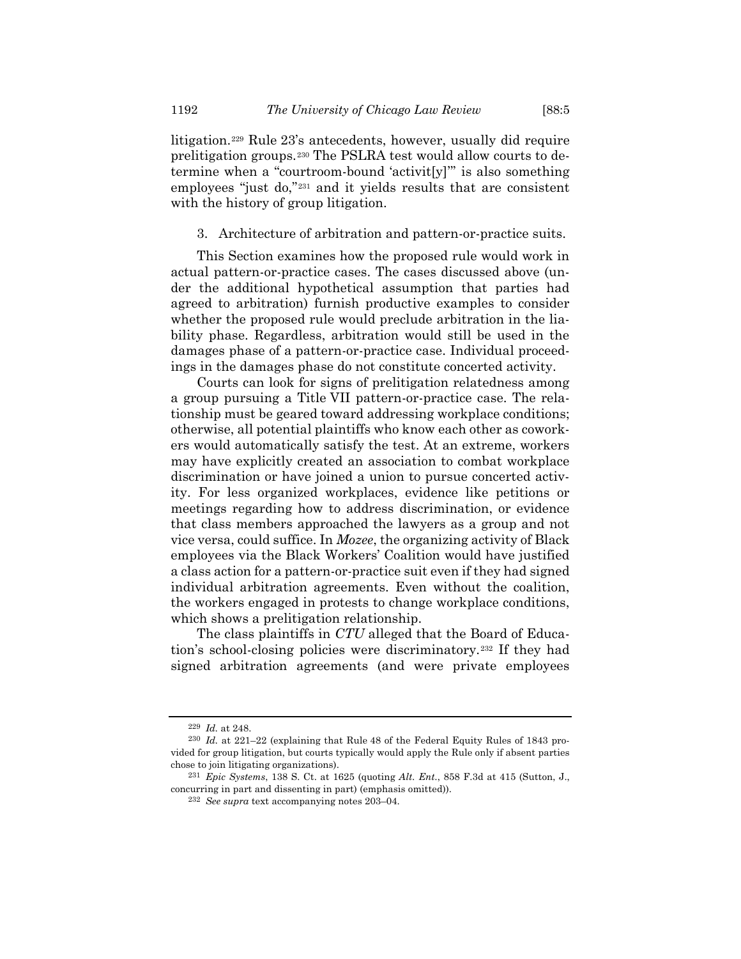litigation.<sup>229</sup> Rule 23's antecedents, however, usually did require prelitigation groups.<sup>230</sup> The PSLRA test would allow courts to determine when a "courtroom-bound 'activit[y]'" is also something employees "just do,"<sup>231</sup> and it yields results that are consistent with the history of group litigation.

## 3. Architecture of arbitration and pattern-or-practice suits.

This Section examines how the proposed rule would work in actual pattern-or-practice cases. The cases discussed above (under the additional hypothetical assumption that parties had agreed to arbitration) furnish productive examples to consider whether the proposed rule would preclude arbitration in the liability phase. Regardless, arbitration would still be used in the damages phase of a pattern-or-practice case. Individual proceedings in the damages phase do not constitute concerted activity.

Courts can look for signs of prelitigation relatedness among a group pursuing a Title VII pattern-or-practice case. The relationship must be geared toward addressing workplace conditions; otherwise, all potential plaintiffs who know each other as coworkers would automatically satisfy the test. At an extreme, workers may have explicitly created an association to combat workplace discrimination or have joined a union to pursue concerted activity. For less organized workplaces, evidence like petitions or meetings regarding how to address discrimination, or evidence that class members approached the lawyers as a group and not vice versa, could suffice. In *Mozee*, the organizing activity of Black employees via the Black Workers' Coalition would have justified a class action for a pattern-or-practice suit even if they had signed individual arbitration agreements. Even without the coalition, the workers engaged in protests to change workplace conditions, which shows a prelitigation relationship.

The class plaintiffs in *CTU* alleged that the Board of Education's school-closing policies were discriminatory.<sup>232</sup> If they had signed arbitration agreements (and were private employees

<sup>229</sup> *Id.* at 248.

<sup>230</sup> *Id.* at 221–22 (explaining that Rule 48 of the Federal Equity Rules of 1843 provided for group litigation, but courts typically would apply the Rule only if absent parties chose to join litigating organizations).

<sup>231</sup> *Epic Systems*, 138 S. Ct. at 1625 (quoting *Alt. Ent.*, 858 F.3d at 415 (Sutton, J., concurring in part and dissenting in part) (emphasis omitted)).

<sup>232</sup> *See supra* text accompanying note[s 203](#page-31-0)–04.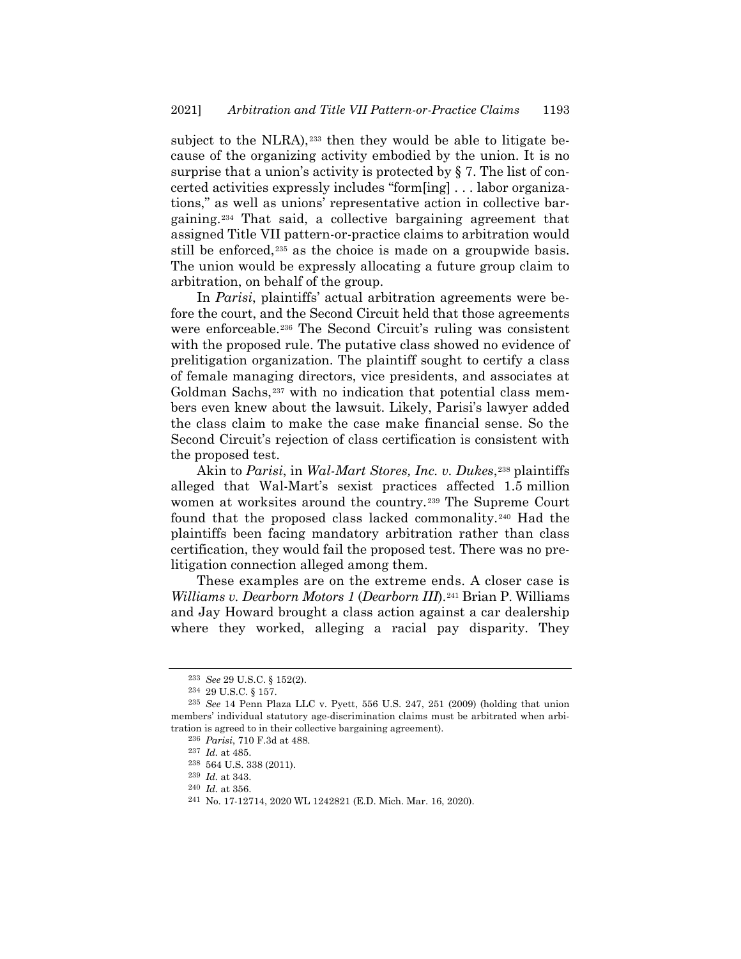subject to the NLRA),<sup>233</sup> then they would be able to litigate because of the organizing activity embodied by the union. It is no surprise that a union's activity is protected by § 7. The list of concerted activities expressly includes "form[ing] . . . labor organizations," as well as unions' representative action in collective bargaining.<sup>234</sup> That said, a collective bargaining agreement that assigned Title VII pattern-or-practice claims to arbitration would still be enforced,<sup>235</sup> as the choice is made on a groupwide basis. The union would be expressly allocating a future group claim to arbitration, on behalf of the group.

In *Parisi*, plaintiffs' actual arbitration agreements were before the court, and the Second Circuit held that those agreements were enforceable.<sup>236</sup> The Second Circuit's ruling was consistent with the proposed rule. The putative class showed no evidence of prelitigation organization. The plaintiff sought to certify a class of female managing directors, vice presidents, and associates at Goldman Sachs,<sup>237</sup> with no indication that potential class members even knew about the lawsuit. Likely, Parisi's lawyer added the class claim to make the case make financial sense. So the Second Circuit's rejection of class certification is consistent with the proposed test.

Akin to *Parisi*, in *Wal-Mart Stores, Inc. v. Dukes*,<sup>238</sup> plaintiffs alleged that Wal-Mart's sexist practices affected 1.5 million women at worksites around the country.<sup>239</sup> The Supreme Court found that the proposed class lacked commonality.<sup>240</sup> Had the plaintiffs been facing mandatory arbitration rather than class certification, they would fail the proposed test. There was no prelitigation connection alleged among them.

These examples are on the extreme ends. A closer case is *Williams v. Dearborn Motors 1 (Dearborn III).*<sup>241</sup> Brian P. Williams and Jay Howard brought a class action against a car dealership where they worked, alleging a racial pay disparity. They

<sup>233</sup> *See* 29 U.S.C. § 152(2).

<sup>234</sup> 29 U.S.C. § 157.

<sup>235</sup> *See* 14 Penn Plaza LLC v. Pyett, 556 U.S. 247, 251 (2009) (holding that union members' individual statutory age-discrimination claims must be arbitrated when arbitration is agreed to in their collective bargaining agreement).

<sup>236</sup> *Parisi*, 710 F.3d at 488.

<sup>237</sup> *Id.* at 485.

<sup>238</sup> 564 U.S. 338 (2011).

<sup>239</sup> *Id.* at 343.

<sup>240</sup> *Id.* at 356.

<sup>241</sup> No. 17-12714, 2020 WL 1242821 (E.D. Mich. Mar. 16, 2020).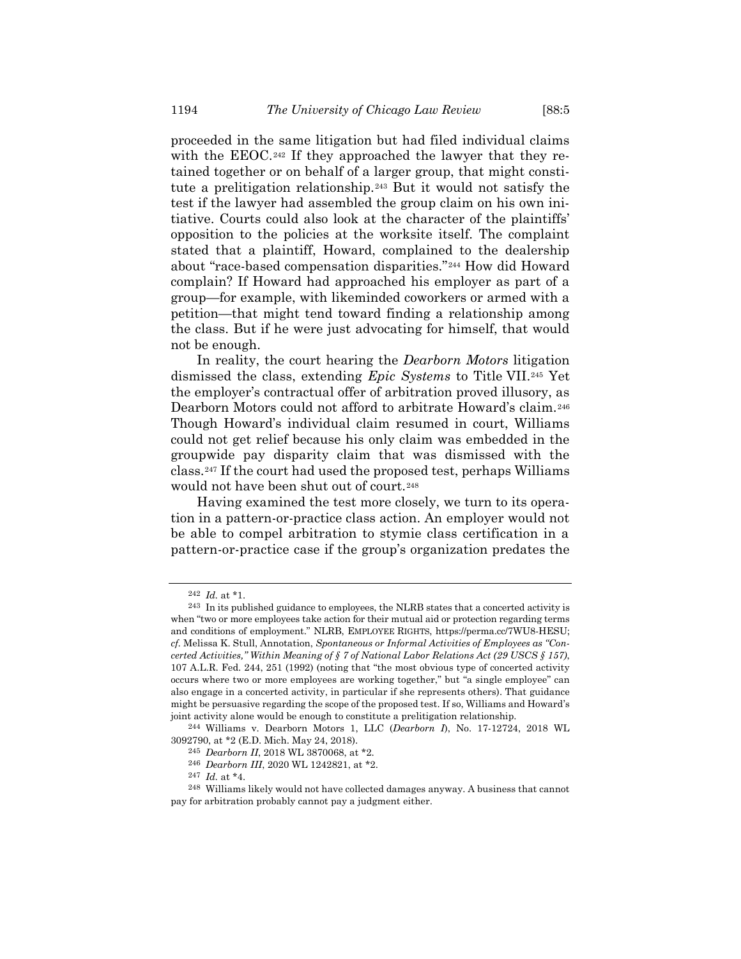proceeded in the same litigation but had filed individual claims with the EEOC.<sup>242</sup> If they approached the lawyer that they retained together or on behalf of a larger group, that might constitute a prelitigation relationship.<sup>243</sup> But it would not satisfy the test if the lawyer had assembled the group claim on his own initiative. Courts could also look at the character of the plaintiffs' opposition to the policies at the worksite itself. The complaint stated that a plaintiff, Howard, complained to the dealership about "race-based compensation disparities."<sup>244</sup> How did Howard complain? If Howard had approached his employer as part of a group—for example, with likeminded coworkers or armed with a petition—that might tend toward finding a relationship among the class. But if he were just advocating for himself, that would not be enough.

In reality, the court hearing the *Dearborn Motors* litigation dismissed the class, extending *Epic Systems* to Title VII.<sup>245</sup> Yet the employer's contractual offer of arbitration proved illusory, as Dearborn Motors could not afford to arbitrate Howard's claim.<sup>246</sup> Though Howard's individual claim resumed in court, Williams could not get relief because his only claim was embedded in the groupwide pay disparity claim that was dismissed with the class.<sup>247</sup> If the court had used the proposed test, perhaps Williams would not have been shut out of court.<sup>248</sup>

Having examined the test more closely, we turn to its operation in a pattern-or-practice class action. An employer would not be able to compel arbitration to stymie class certification in a pattern-or-practice case if the group's organization predates the

<sup>242</sup> *Id.* at \*1.

<sup>243</sup> In its published guidance to employees, the NLRB states that a concerted activity is when "two or more employees take action for their mutual aid or protection regarding terms and conditions of employment." NLRB, EMPLOYEE RIGHTS, https://perma.cc/7WU8-HESU; *cf.* Melissa K. Stull, Annotation, *Spontaneous or Informal Activities of Employees as "Concerted Activities," Within Meaning of § 7 of National Labor Relations Act (29 USCS § 157)*, 107 A.L.R. Fed. 244, 251 (1992) (noting that "the most obvious type of concerted activity occurs where two or more employees are working together," but "a single employee" can also engage in a concerted activity, in particular if she represents others). That guidance might be persuasive regarding the scope of the proposed test. If so, Williams and Howard's joint activity alone would be enough to constitute a prelitigation relationship.

<sup>244</sup> Williams v. Dearborn Motors 1, LLC (*Dearborn I*), No. 17-12724, 2018 WL 3092790, at \*2 (E.D. Mich. May 24, 2018).

<sup>245</sup> *Dearborn II*, 2018 WL 3870068, at \*2.

<sup>246</sup> *Dearborn III*, 2020 WL 1242821, at \*2.

<sup>247</sup> *Id.* at \*4.

<sup>248</sup> Williams likely would not have collected damages anyway. A business that cannot pay for arbitration probably cannot pay a judgment either.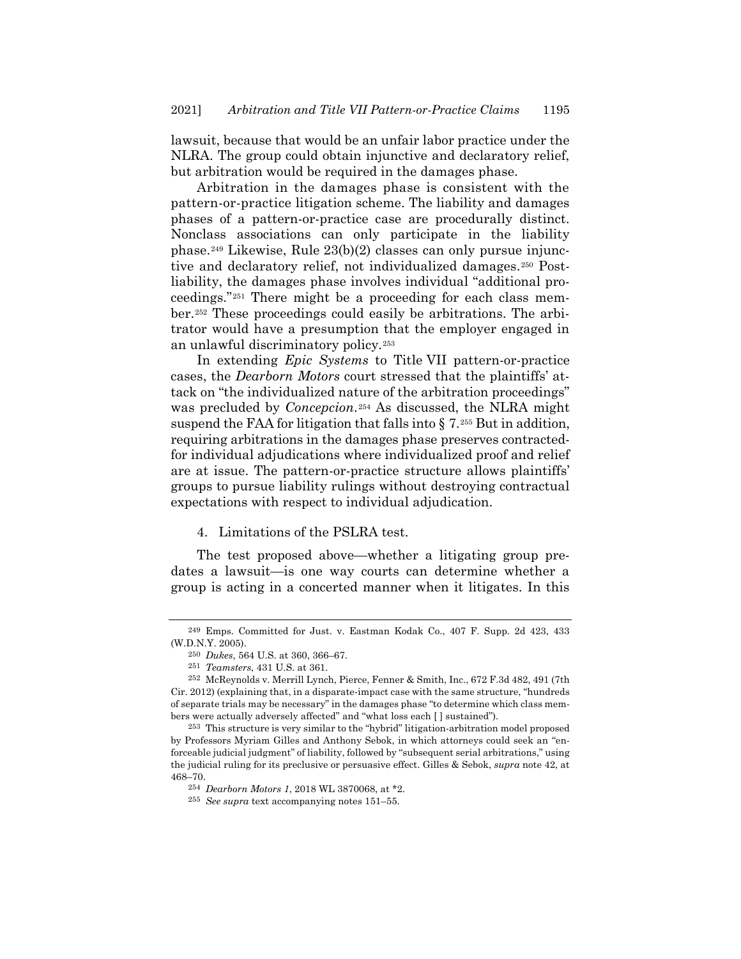lawsuit, because that would be an unfair labor practice under the NLRA. The group could obtain injunctive and declaratory relief, but arbitration would be required in the damages phase.

Arbitration in the damages phase is consistent with the pattern-or-practice litigation scheme. The liability and damages phases of a pattern-or-practice case are procedurally distinct. Nonclass associations can only participate in the liability phase.<sup>249</sup> Likewise, Rule 23(b)(2) classes can only pursue injunctive and declaratory relief, not individualized damages.<sup>250</sup> Postliability, the damages phase involves individual "additional proceedings."<sup>251</sup> There might be a proceeding for each class member.<sup>252</sup> These proceedings could easily be arbitrations. The arbitrator would have a presumption that the employer engaged in an unlawful discriminatory policy.<sup>253</sup>

In extending *Epic Systems* to Title VII pattern-or-practice cases, the *Dearborn Motors* court stressed that the plaintiffs' attack on "the individualized nature of the arbitration proceedings" was precluded by *Concepcion*.<sup>254</sup> As discussed, the NLRA might suspend the FAA for litigation that falls into § 7.*25F* <sup>255</sup> But in addition, requiring arbitrations in the damages phase preserves contractedfor individual adjudications where individualized proof and relief are at issue. The pattern-or-practice structure allows plaintiffs' groups to pursue liability rulings without destroying contractual expectations with respect to individual adjudication.

# 4. Limitations of the PSLRA test.

The test proposed above—whether a litigating group predates a lawsuit—is one way courts can determine whether a group is acting in a concerted manner when it litigates. In this

<sup>249</sup> Emps. Committed for Just. v. Eastman Kodak Co., 407 F. Supp. 2d 423, 433 (W.D.N.Y. 2005).

<sup>250</sup> *Dukes*, 564 U.S. at 360, 366–67.

<sup>251</sup> *Teamsters*, 431 U.S. at 361.

<sup>252</sup> McReynolds v. Merrill Lynch, Pierce, Fenner & Smith, Inc., 672 F.3d 482, 491 (7th Cir. 2012) (explaining that, in a disparate-impact case with the same structure, "hundreds of separate trials may be necessary" in the damages phase "to determine which class members were actually adversely affected" and "what loss each [ ] sustained").

<sup>253</sup> This structure is very similar to the "hybrid" litigation-arbitration model proposed by Professors Myriam Gilles and Anthony Sebok, in which attorneys could seek an "enforceable judicial judgment" of liability, followed by "subsequent serial arbitrations," using the judicial ruling for its preclusive or persuasive effect. Gilles & Sebok, *supra* note [42,](#page-6-1) at 468–70.

<sup>254</sup> *Dearborn Motors 1*, 2018 WL 3870068, at \*2.

<sup>255</sup> *See supra* text accompanying note[s 151](#page-20-1)–55.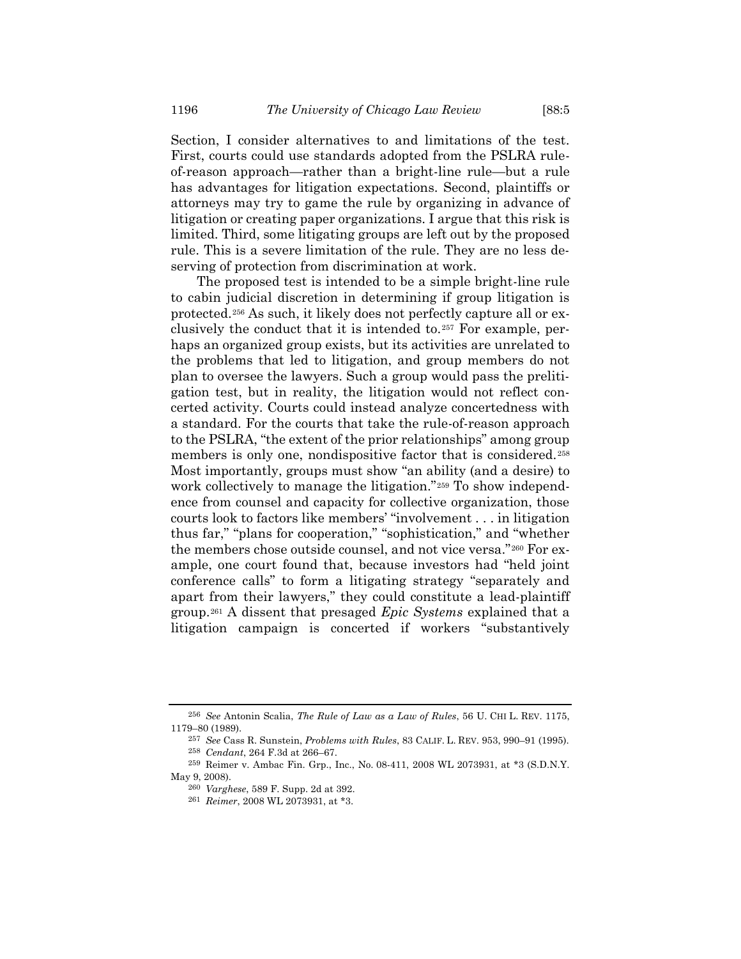Section, I consider alternatives to and limitations of the test. First, courts could use standards adopted from the PSLRA ruleof-reason approach—rather than a bright-line rule—but a rule has advantages for litigation expectations. Second, plaintiffs or attorneys may try to game the rule by organizing in advance of litigation or creating paper organizations. I argue that this risk is limited. Third, some litigating groups are left out by the proposed rule. This is a severe limitation of the rule. They are no less deserving of protection from discrimination at work.

<span id="page-39-0"></span>The proposed test is intended to be a simple bright-line rule to cabin judicial discretion in determining if group litigation is protected.<sup>256</sup> As such, it likely does not perfectly capture all or exclusively the conduct that it is intended to.<sup>257</sup> For example, perhaps an organized group exists, but its activities are unrelated to the problems that led to litigation, and group members do not plan to oversee the lawyers. Such a group would pass the prelitigation test, but in reality, the litigation would not reflect concerted activity. Courts could instead analyze concertedness with a standard. For the courts that take the rule-of-reason approach to the PSLRA, "the extent of the prior relationships" among group members is only one, nondispositive factor that is considered.<sup>258</sup> Most importantly, groups must show "an ability (and a desire) to work collectively to manage the litigation."<sup>259</sup> To show independence from counsel and capacity for collective organization, those courts look to factors like members' "involvement . . . in litigation thus far," "plans for cooperation," "sophistication," and "whether the members chose outside counsel, and not vice versa."<sup>260</sup> For example, one court found that, because investors had "held joint conference calls" to form a litigating strategy "separately and apart from their lawyers," they could constitute a lead-plaintiff group.<sup>261</sup> A dissent that presaged *Epic Systems* explained that a litigation campaign is concerted if workers "substantively

<sup>256</sup> *See* Antonin Scalia, *The Rule of Law as a Law of Rules*, 56 U. CHI L. REV. 1175, 1179–80 (1989).

<sup>257</sup> *See* Cass R. Sunstein, *Problems with Rules*, 83 CALIF. L. REV. 953, 990–91 (1995).

<sup>258</sup> *Cendant*, 264 F.3d at 266–67.

<sup>259</sup> Reimer v. Ambac Fin. Grp., Inc., No. 08-411, 2008 WL 2073931, at \*3 (S.D.N.Y. May 9, 2008).

<sup>260</sup> *Varghese*, 589 F. Supp. 2d at 392.

<sup>261</sup> *Reimer*, 2008 WL 2073931, at \*3.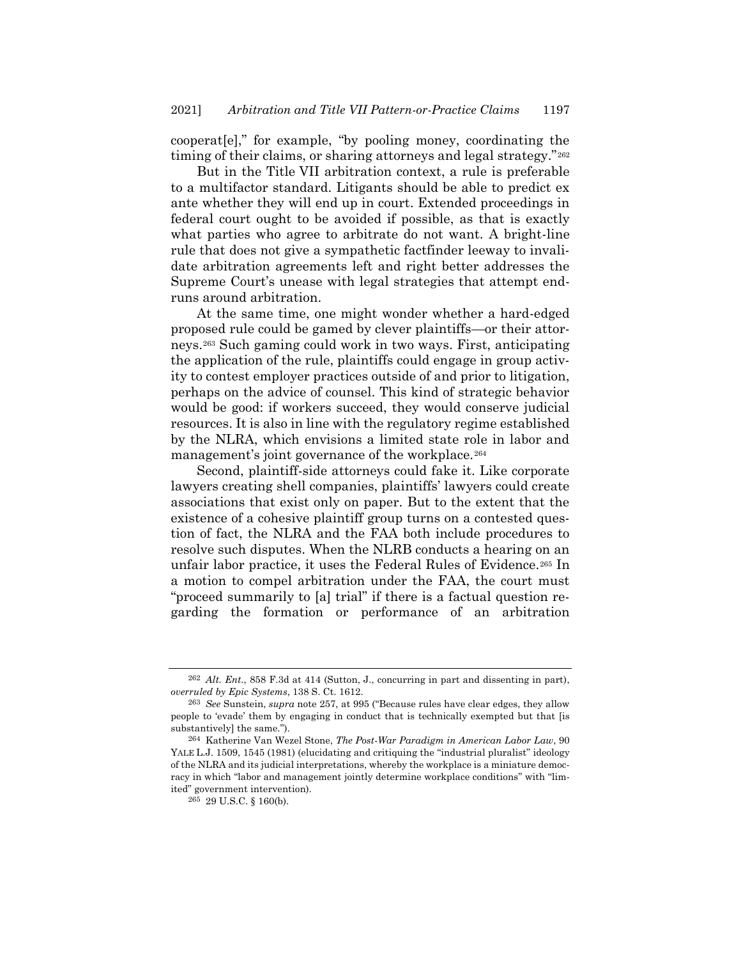cooperat[e]," for example, "by pooling money, coordinating the timing of their claims, or sharing attorneys and legal strategy."<sup>262</sup>

But in the Title VII arbitration context, a rule is preferable to a multifactor standard. Litigants should be able to predict ex ante whether they will end up in court. Extended proceedings in federal court ought to be avoided if possible, as that is exactly what parties who agree to arbitrate do not want. A bright-line rule that does not give a sympathetic factfinder leeway to invalidate arbitration agreements left and right better addresses the Supreme Court's unease with legal strategies that attempt endruns around arbitration.

At the same time, one might wonder whether a hard-edged proposed rule could be gamed by clever plaintiffs—or their attorneys.<sup>263</sup> Such gaming could work in two ways. First, anticipating the application of the rule, plaintiffs could engage in group activity to contest employer practices outside of and prior to litigation, perhaps on the advice of counsel. This kind of strategic behavior would be good: if workers succeed, they would conserve judicial resources. It is also in line with the regulatory regime established by the NLRA, which envisions a limited state role in labor and management's joint governance of the workplace.<sup>264</sup>

Second, plaintiff-side attorneys could fake it. Like corporate lawyers creating shell companies, plaintiffs' lawyers could create associations that exist only on paper. But to the extent that the existence of a cohesive plaintiff group turns on a contested question of fact, the NLRA and the FAA both include procedures to resolve such disputes. When the NLRB conducts a hearing on an unfair labor practice, it uses the Federal Rules of Evidence.<sup>265</sup> In a motion to compel arbitration under the FAA, the court must "proceed summarily to [a] trial" if there is a factual question regarding the formation or performance of an arbitration

<sup>262</sup> *Alt. Ent.*, 858 F.3d at 414 (Sutton, J., concurring in part and dissenting in part), *overruled by Epic Systems*, 138 S. Ct. 1612.

<sup>263</sup> *See* Sunstein, *supra* note [257,](#page-39-0) at 995 ("Because rules have clear edges, they allow people to 'evade' them by engaging in conduct that is technically exempted but that [is substantively] the same.").

<sup>264</sup> Katherine Van Wezel Stone, *The Post-War Paradigm in American Labor Law*, 90 YALE L.J. 1509, 1545 (1981) (elucidating and critiquing the "industrial pluralist" ideology of the NLRA and its judicial interpretations, whereby the workplace is a miniature democracy in which "labor and management jointly determine workplace conditions" with "limited" government intervention).

 $^{265}$  29 U.S.C.  $\S$  160(b).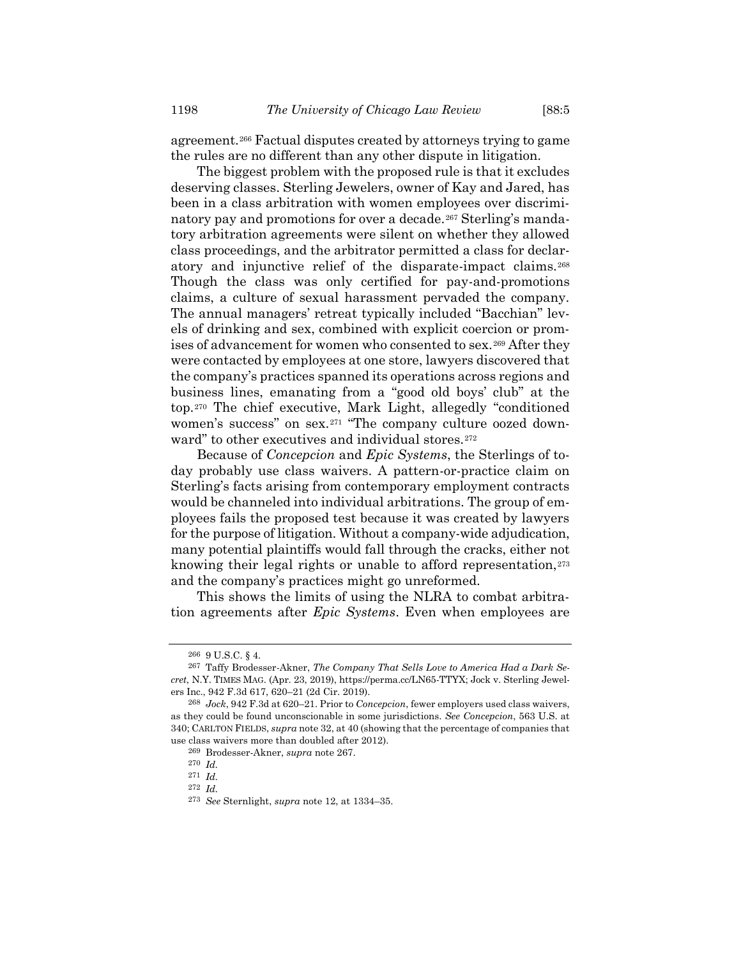<span id="page-41-0"></span>

agreement.<sup>266</sup> Factual disputes created by attorneys trying to game the rules are no different than any other dispute in litigation.

The biggest problem with the proposed rule is that it excludes deserving classes. Sterling Jewelers, owner of Kay and Jared, has been in a class arbitration with women employees over discriminatory pay and promotions for over a decade.<sup>267</sup> Sterling's mandatory arbitration agreements were silent on whether they allowed class proceedings, and the arbitrator permitted a class for declaratory and injunctive relief of the disparate-impact claims.<sup>268</sup> Though the class was only certified for pay-and-promotions claims, a culture of sexual harassment pervaded the company. The annual managers' retreat typically included "Bacchian" levels of drinking and sex, combined with explicit coercion or promises of advancement for women who consented to sex.<sup>269</sup> After they were contacted by employees at one store, lawyers discovered that the company's practices spanned its operations across regions and business lines, emanating from a "good old boys' club" at the top.<sup>270</sup> The chief executive, Mark Light, allegedly "conditioned women's success" on sex.<sup>271</sup> "The company culture oozed downward" to other executives and individual stores.<sup>272</sup>

Because of *Concepcion* and *Epic Systems*, the Sterlings of today probably use class waivers. A pattern-or-practice claim on Sterling's facts arising from contemporary employment contracts would be channeled into individual arbitrations. The group of employees fails the proposed test because it was created by lawyers for the purpose of litigation. Without a company-wide adjudication, many potential plaintiffs would fall through the cracks, either not knowing their legal rights or unable to afford representation,<sup>273</sup> and the company's practices might go unreformed.

This shows the limits of using the NLRA to combat arbitration agreements after *Epic Systems*. Even when employees are

<sup>266</sup> 9 U.S.C. § 4.

<sup>267</sup> Taffy Brodesser-Akner, *The Company That Sells Love to America Had a Dark Secret*, N.Y. TIMES MAG. (Apr. 23, 2019), https://perma.cc/LN65-TTYX; Jock v. Sterling Jewelers Inc., 942 F.3d 617, 620–21 (2d Cir. 2019).

<sup>268</sup> *Jock*, 942 F.3d at 620–21. Prior to *Concepcion*, fewer employers used class waivers, as they could be found unconscionable in some jurisdictions. *See Concepcion*, 563 U.S. at 340; CARLTON FIELDS, *supra* not[e 32,](#page-5-3) at 40 (showing that the percentage of companies that use class waivers more than doubled after 2012).

<sup>269</sup> Brodesser-Akner, *supra* not[e 267.](#page-41-0)

<sup>270</sup> *Id.*

<sup>271</sup> *Id.*

<sup>272</sup> *Id.*

<sup>273</sup> *See* Sternlight, *supra* not[e 12,](#page-2-0) at 1334–35.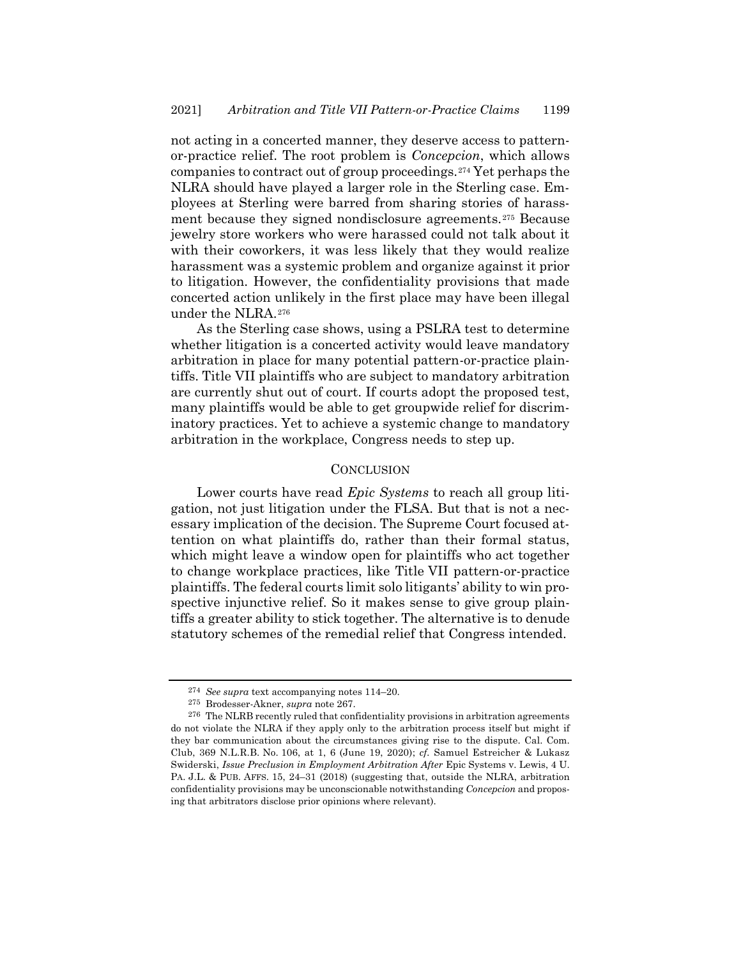not acting in a concerted manner, they deserve access to patternor-practice relief. The root problem is *Concepcion*, which allows companies to contract out of group proceedings.<sup>274</sup> Yet perhaps the NLRA should have played a larger role in the Sterling case. Employees at Sterling were barred from sharing stories of harassment because they signed nondisclosure agreements.<sup>275</sup> Because jewelry store workers who were harassed could not talk about it with their coworkers, it was less likely that they would realize harassment was a systemic problem and organize against it prior to litigation. However, the confidentiality provisions that made concerted action unlikely in the first place may have been illegal under the NLRA.<sup>276</sup>

As the Sterling case shows, using a PSLRA test to determine whether litigation is a concerted activity would leave mandatory arbitration in place for many potential pattern-or-practice plaintiffs. Title VII plaintiffs who are subject to mandatory arbitration are currently shut out of court. If courts adopt the proposed test, many plaintiffs would be able to get groupwide relief for discriminatory practices. Yet to achieve a systemic change to mandatory arbitration in the workplace, Congress needs to step up.

#### **CONCLUSION**

Lower courts have read *Epic Systems* to reach all group litigation, not just litigation under the FLSA. But that is not a necessary implication of the decision. The Supreme Court focused attention on what plaintiffs do, rather than their formal status, which might leave a window open for plaintiffs who act together to change workplace practices, like Title VII pattern-or-practice plaintiffs. The federal courts limit solo litigants' ability to win prospective injunctive relief. So it makes sense to give group plaintiffs a greater ability to stick together. The alternative is to denude statutory schemes of the remedial relief that Congress intended.

<sup>274</sup> *See supra* text accompanying note[s 114](#page-15-1)–20.

<sup>275</sup> Brodesser-Akner, *supra* not[e 267.](#page-41-0)

<sup>276</sup> The NLRB recently ruled that confidentiality provisions in arbitration agreements do not violate the NLRA if they apply only to the arbitration process itself but might if they bar communication about the circumstances giving rise to the dispute. Cal. Com. Club, 369 N.L.R.B. No. 106, at 1, 6 (June 19, 2020); *cf.* Samuel Estreicher & Lukasz Swiderski, *Issue Preclusion in Employment Arbitration After* Epic Systems v. Lewis, 4 U. PA. J.L. & PUB. AFFS. 15, 24–31 (2018) (suggesting that, outside the NLRA, arbitration confidentiality provisions may be unconscionable notwithstanding *Concepcion* and proposing that arbitrators disclose prior opinions where relevant).